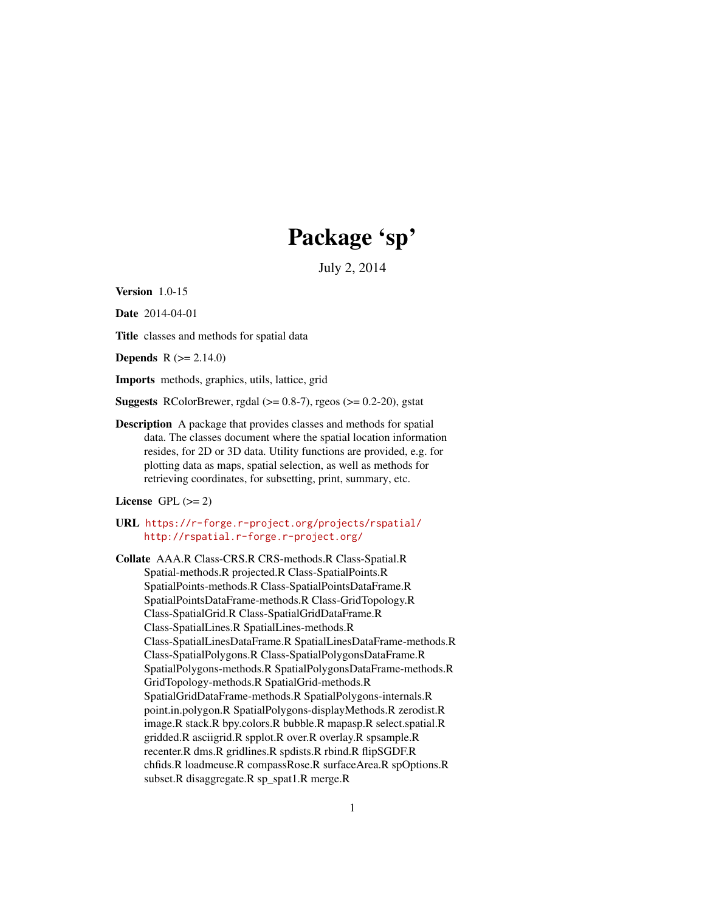# Package 'sp'

July 2, 2014

<span id="page-0-0"></span>Version 1.0-15

Date 2014-04-01

Title classes and methods for spatial data

**Depends**  $R (= 2.14.0)$ 

Imports methods, graphics, utils, lattice, grid

**Suggests** RColorBrewer, rgdal  $(>= 0.8-7)$ , rgeos  $(>= 0.2-20)$ , gstat

Description A package that provides classes and methods for spatial data. The classes document where the spatial location information resides, for 2D or 3D data. Utility functions are provided, e.g. for plotting data as maps, spatial selection, as well as methods for retrieving coordinates, for subsetting, print, summary, etc.

License GPL  $(>= 2)$ 

URL <https://r-forge.r-project.org/projects/rspatial/> <http://rspatial.r-forge.r-project.org/>

Collate AAA.R Class-CRS.R CRS-methods.R Class-Spatial.R Spatial-methods.R projected.R Class-SpatialPoints.R SpatialPoints-methods.R Class-SpatialPointsDataFrame.R SpatialPointsDataFrame-methods.R Class-GridTopology.R Class-SpatialGrid.R Class-SpatialGridDataFrame.R Class-SpatialLines.R SpatialLines-methods.R Class-SpatialLinesDataFrame.R SpatialLinesDataFrame-methods.R Class-SpatialPolygons.R Class-SpatialPolygonsDataFrame.R SpatialPolygons-methods.R SpatialPolygonsDataFrame-methods.R GridTopology-methods.R SpatialGrid-methods.R SpatialGridDataFrame-methods.R SpatialPolygons-internals.R point.in.polygon.R SpatialPolygons-displayMethods.R zerodist.R image.R stack.R bpy.colors.R bubble.R mapasp.R select.spatial.R gridded.R asciigrid.R spplot.R over.R overlay.R spsample.R recenter.R dms.R gridlines.R spdists.R rbind.R flipSGDF.R chfids.R loadmeuse.R compassRose.R surfaceArea.R spOptions.R subset.R disaggregate.R sp\_spat1.R merge.R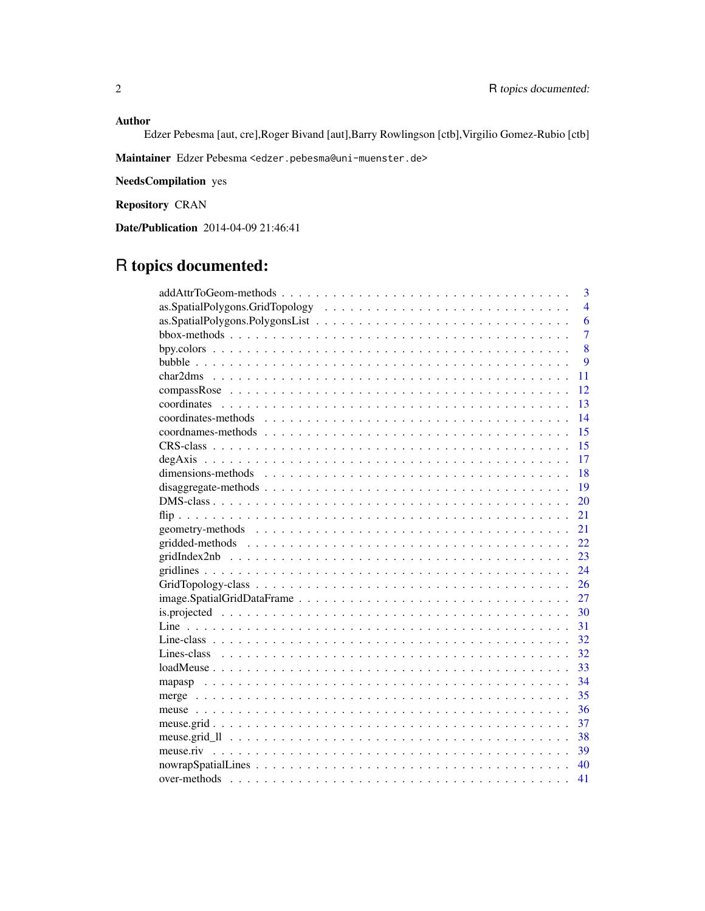# Author

Edzer Pebesma [aut, cre],Roger Bivand [aut],Barry Rowlingson [ctb],Virgilio Gomez-Rubio [ctb]

Maintainer Edzer Pebesma <edzer.pebesma@uni-muenster.de>

NeedsCompilation yes

Repository CRAN

Date/Publication 2014-04-09 21:46:41

# R topics documented:

| 3              |
|----------------|
| $\overline{4}$ |
| 6              |
| $\overline{7}$ |
| 8              |
| $\overline{Q}$ |
| 11             |
| 12             |
| 13             |
| 14             |
| 15             |
| 15             |
| 17             |
| 18             |
| 19             |
| 20             |
| 21             |
| 21             |
| 22             |
| 23             |
| 24             |
| 26             |
| 27             |
| 30             |
| 31             |
| 32             |
| 32             |
| 33             |
| 34             |
| 35             |
| 36             |
| 37             |
| 38             |
| 39             |
| 40             |
| 41             |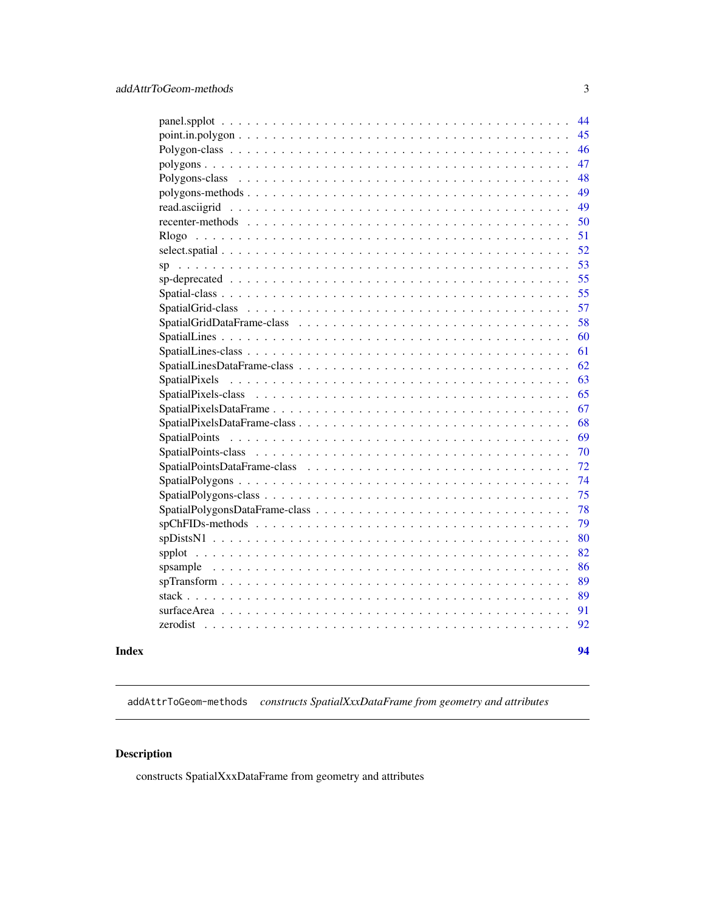<span id="page-2-0"></span>

| 44             |  |
|----------------|--|
| 45             |  |
| 46             |  |
| 47             |  |
| 48             |  |
| 49             |  |
| 49             |  |
| 50             |  |
| 51             |  |
| 52             |  |
| 53             |  |
| 55             |  |
| 55             |  |
| 57             |  |
| 58             |  |
| 60             |  |
| 61             |  |
| 62             |  |
| 63             |  |
| 65             |  |
| 67             |  |
| 68             |  |
| 69             |  |
| 70             |  |
| 72             |  |
| 74             |  |
| 75             |  |
| 78             |  |
| 79             |  |
| 80             |  |
| 82             |  |
| 86             |  |
| 89             |  |
| 89             |  |
| 91             |  |
| 92<br>zerodist |  |
|                |  |

#### **Index** [94](#page-93-0)

addAttrToGeom-methods *constructs SpatialXxxDataFrame from geometry and attributes*

# Description

constructs SpatialXxxDataFrame from geometry and attributes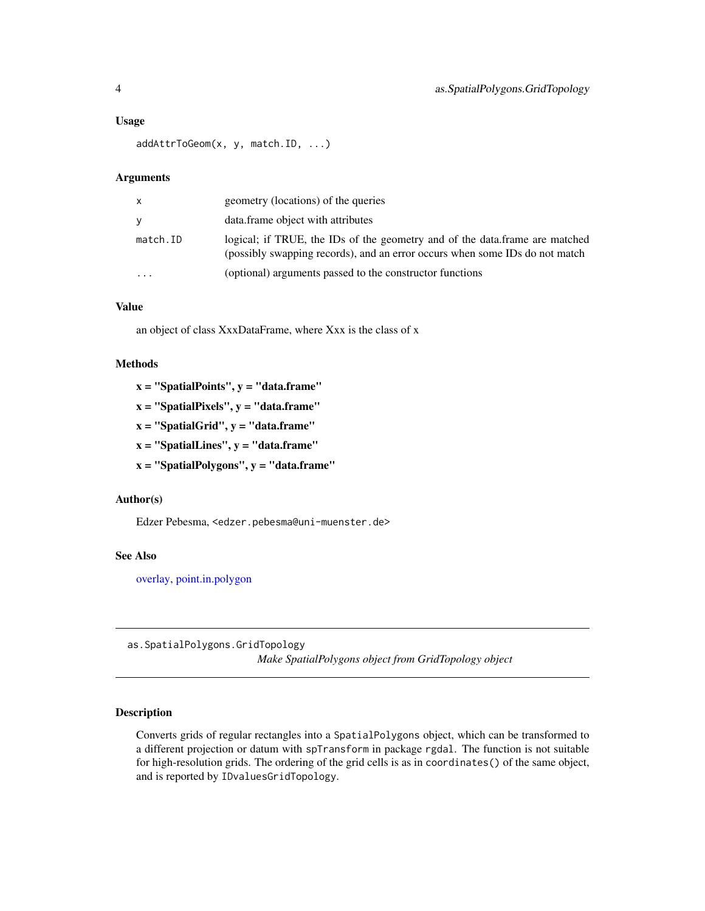#### <span id="page-3-0"></span>Usage

addAttrToGeom(x, y, match.ID, ...)

### Arguments

| X        | geometry (locations) of the queries                                                                                                                        |
|----------|------------------------------------------------------------------------------------------------------------------------------------------------------------|
| <b>V</b> | data.frame object with attributes                                                                                                                          |
| match.ID | logical; if TRUE, the IDs of the geometry and of the data.frame are matched<br>(possibly swapping records), and an error occurs when some IDs do not match |
|          | (optional) arguments passed to the constructor functions                                                                                                   |

#### Value

an object of class XxxDataFrame, where Xxx is the class of x

#### **Methods**

 $x = "SpatialPoints", y = "data-frame"$ 

 $x =$  "SpatialPixels",  $v =$  "data.frame"

- $x =$  "SpatialGrid",  $y =$  "data.frame"
- $x =$  "SpatialLines",  $y =$  "data.frame"

 $x =$  "SpatialPolygons",  $y =$  "data.frame"

# Author(s)

Edzer Pebesma, <edzer.pebesma@uni-muenster.de>

# See Also

[overlay,](#page-54-1) [point.in.polygon](#page-44-1)

as.SpatialPolygons.GridTopology *Make SpatialPolygons object from GridTopology object*

# Description

Converts grids of regular rectangles into a SpatialPolygons object, which can be transformed to a different projection or datum with spTransform in package rgdal. The function is not suitable for high-resolution grids. The ordering of the grid cells is as in coordinates() of the same object, and is reported by IDvaluesGridTopology.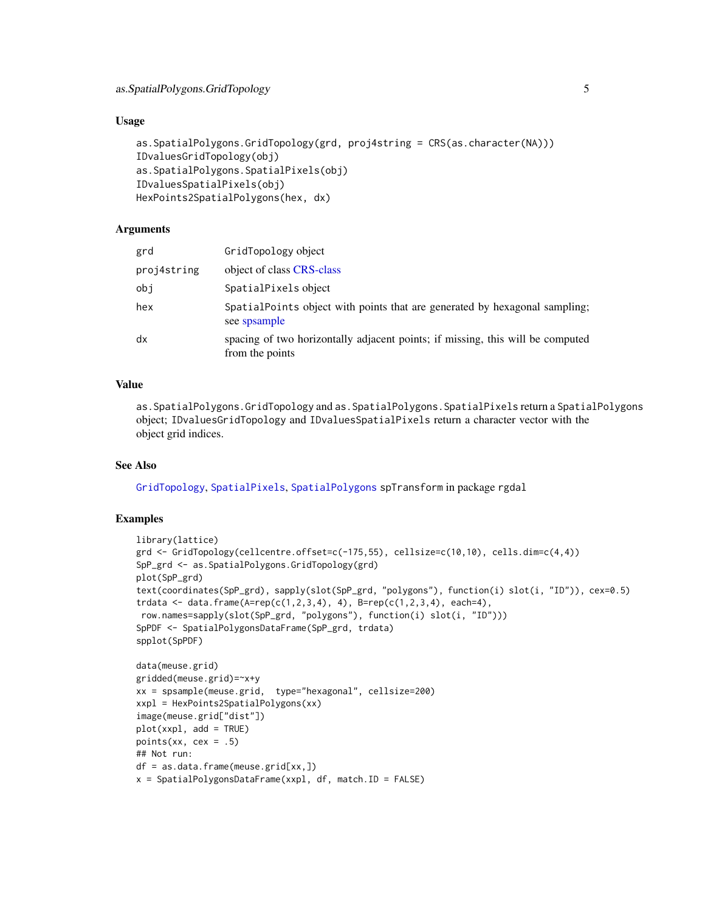#### Usage

```
as.SpatialPolygons.GridTopology(grd, proj4string = CRS(as.character(NA)))
IDvaluesGridTopology(obj)
as.SpatialPolygons.SpatialPixels(obj)
IDvaluesSpatialPixels(obj)
HexPoints2SpatialPolygons(hex, dx)
```
#### Arguments

| grd         | GridTopology object                                                                               |
|-------------|---------------------------------------------------------------------------------------------------|
| proj4string | object of class CRS-class                                                                         |
| obj         | SpatialPixels object                                                                              |
| hex         | SpatialPoints object with points that are generated by hexagonal sampling;<br>see spsample        |
| dx          | spacing of two horizontally adjacent points; if missing, this will be computed<br>from the points |

# Value

as.SpatialPolygons.GridTopology and as.SpatialPolygons.SpatialPixels return a SpatialPolygons object; IDvaluesGridTopology and IDvaluesSpatialPixels return a character vector with the object grid indices.

#### See Also

[GridTopology](#page-62-1), [SpatialPixels](#page-62-2), [SpatialPolygons](#page-73-1) spTransform in package rgdal

```
library(lattice)
grd <- GridTopology(cellcentre.offset=c(-175,55), cellsize=c(10,10), cells.dim=c(4,4))
SpP_grd <- as.SpatialPolygons.GridTopology(grd)
plot(SpP_grd)
text(coordinates(SpP_grd), sapply(slot(SpP_grd, "polygons"), function(i) slot(i, "ID")), cex=0.5)
trdata <- data.frame(A=rep(c(1,2,3,4), 4), B=rep(c(1,2,3,4), each=4),
row.names=sapply(slot(SpP_grd, "polygons"), function(i) slot(i, "ID")))
SpPDF <- SpatialPolygonsDataFrame(SpP_grd, trdata)
spplot(SpPDF)
data(meuse.grid)
gridded(meuse.grid)=~x+y
xx = spsample(meuse.grid, type="hexagonal", cellsize=200)
xxpl = HexPoints2SpatialPolygons(xx)
image(meuse.grid["dist"])
plot(xxpl, add = TRUE)
points(xx, cex = .5)
## Not run:
df = as.data.frame(meuse.grid[xx,])
x = SpatialPolygonsDataFrame(xxpl, df, match.ID = FALSE)
```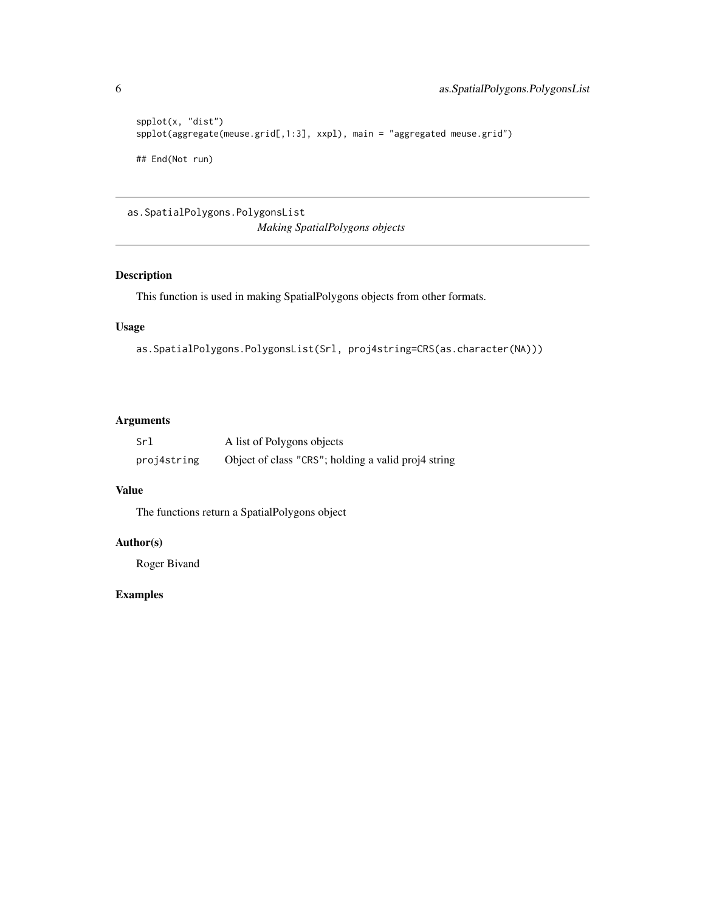```
spplot(x, "dist")
spplot(aggregate(meuse.grid[,1:3], xxpl), main = "aggregated meuse.grid")
## End(Not run)
```

```
as.SpatialPolygons.PolygonsList
```
*Making SpatialPolygons objects*

# Description

This function is used in making SpatialPolygons objects from other formats.

# Usage

```
as.SpatialPolygons.PolygonsList(Srl, proj4string=CRS(as.character(NA)))
```
# Arguments

| Srl         | A list of Polygons objects                          |
|-------------|-----------------------------------------------------|
| proj4string | Object of class "CRS"; holding a valid proj4 string |

# Value

The functions return a SpatialPolygons object

# Author(s)

Roger Bivand

<span id="page-5-0"></span>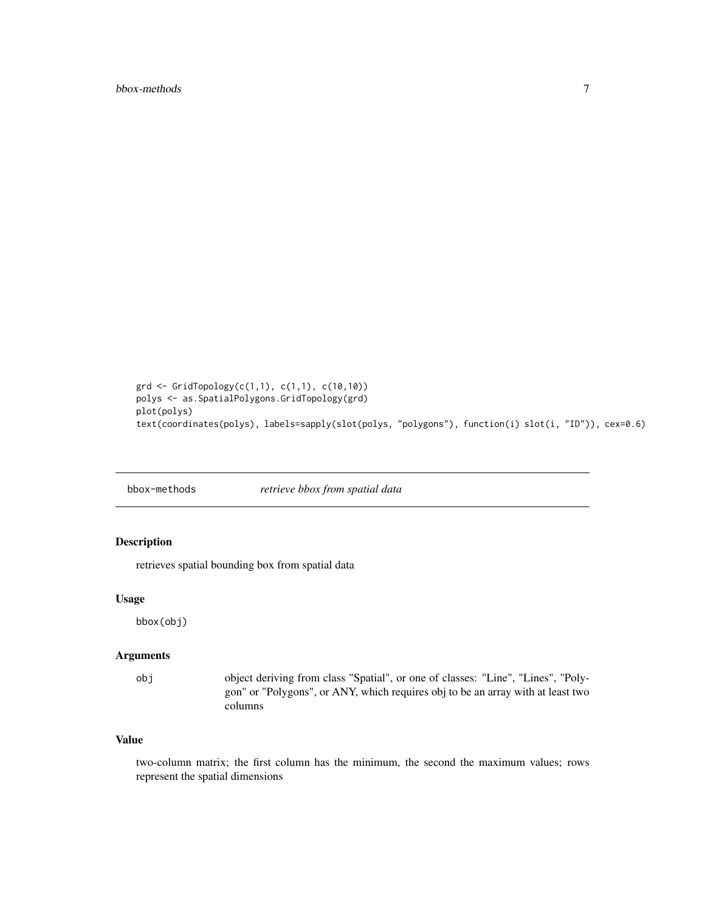```
grd <- GridTopology(c(1,1), c(1,1), c(10,10))
polys <- as.SpatialPolygons.GridTopology(grd)
plot(polys)
text(coordinates(polys), labels=sapply(slot(polys, "polygons"), function(i) slot(i, "ID")), cex=0.6)
```
bbox-methods *retrieve bbox from spatial data*

# Description

retrieves spatial bounding box from spatial data

#### Usage

bbox(obj)

#### Arguments

obj object deriving from class "Spatial", or one of classes: "Line", "Lines", "Polygon" or "Polygons", or ANY, which requires obj to be an array with at least two columns

# Value

two-column matrix; the first column has the minimum, the second the maximum values; rows represent the spatial dimensions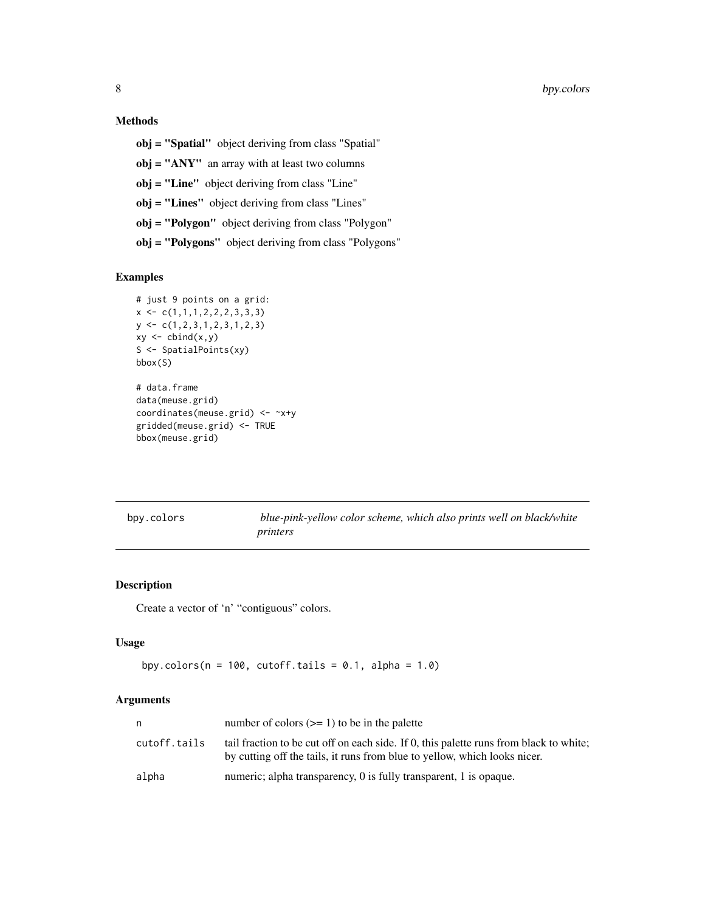# <span id="page-7-0"></span>Methods

obj = "Spatial" object deriving from class "Spatial" obj = "ANY" an array with at least two columns obj = "Line" object deriving from class "Line" obj = "Lines" object deriving from class "Lines" obj = "Polygon" object deriving from class "Polygon" obj = "Polygons" object deriving from class "Polygons"

# Examples

```
# just 9 points on a grid:
x \leftarrow c(1,1,1,2,2,2,3,3,3)y \leftarrow c(1, 2, 3, 1, 2, 3, 1, 2, 3)xy \leftarrow \text{cbind}(x, y)S <- SpatialPoints(xy)
bbox(S)
# data.frame
data(meuse.grid)
coordinates(meuse.grid) <- ~x+y
gridded(meuse.grid) <- TRUE
bbox(meuse.grid)
```
bpy.colors *blue-pink-yellow color scheme, which also prints well on black/white printers*

#### Description

Create a vector of 'n' "contiguous" colors.

# Usage

```
bpy.colors(n = 100, cutoff.tails = 0.1, alpha = 1.0)
```
# Arguments

| n            | number of colors $(>= 1)$ to be in the palette                                                                                                                      |
|--------------|---------------------------------------------------------------------------------------------------------------------------------------------------------------------|
| cutoff.tails | tail fraction to be cut off on each side. If 0, this palette runs from black to white;<br>by cutting off the tails, it runs from blue to yellow, which looks nicer. |
| alpha        | numeric; alpha transparency, 0 is fully transparent, 1 is opaque.                                                                                                   |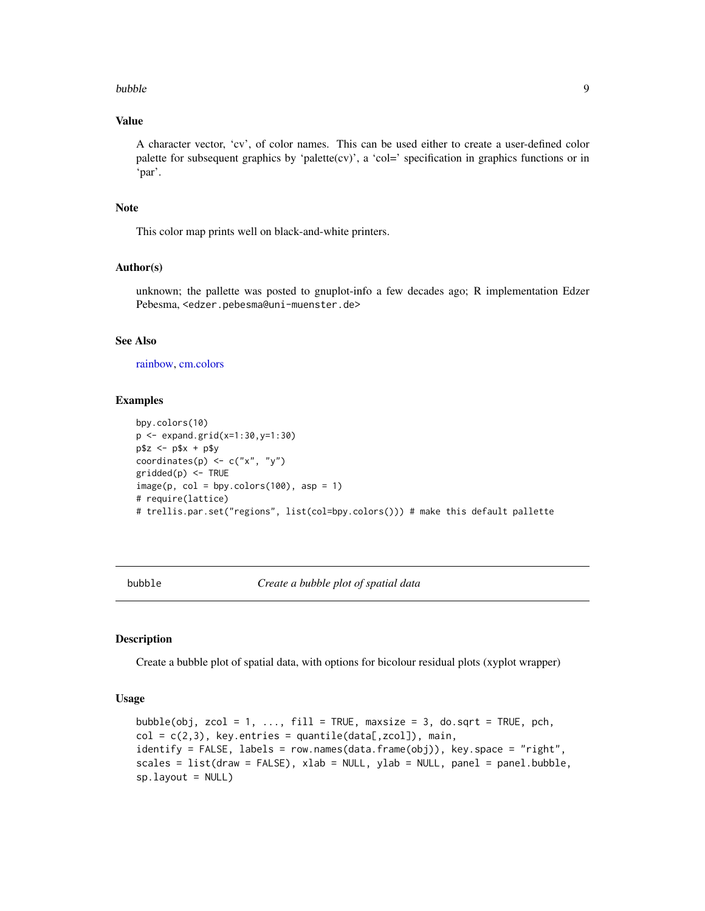#### <span id="page-8-0"></span>bubble **9**9

# Value

A character vector, 'cv', of color names. This can be used either to create a user-defined color palette for subsequent graphics by 'palette(cv)', a 'col=' specification in graphics functions or in 'par'.

# Note

This color map prints well on black-and-white printers.

#### Author(s)

unknown; the pallette was posted to gnuplot-info a few decades ago; R implementation Edzer Pebesma, <edzer.pebesma@uni-muenster.de>

# See Also

[rainbow,](#page-0-0) [cm.colors](#page-0-0)

#### Examples

```
bpy.colors(10)
p <- expand.grid(x=1:30,y=1:30)
p$z <- p$x + p$y
coordinates(p) \leq c("x", "y")
gridded(p) <- TRUE
image(p, col = bpy.close(100), asp = 1)# require(lattice)
# trellis.par.set("regions", list(col=bpy.colors())) # make this default pallette
```
bubble *Create a bubble plot of spatial data*

# Description

Create a bubble plot of spatial data, with options for bicolour residual plots (xyplot wrapper)

#### Usage

```
bubble(obj, zcol = 1, ..., fill = TRUE, maxsize = 3, do.sqrt = TRUE, pch,
col = c(2,3), key.entries = quantile(data[,zcol]), main,
identify = FALSE, labels = row.names(data.frame(obj)), key.space = "right",
scales = list(draw = FALSE), xlab = NULL, ylab = NULL, panel = panel.bubble,
sp.layout = NULL)
```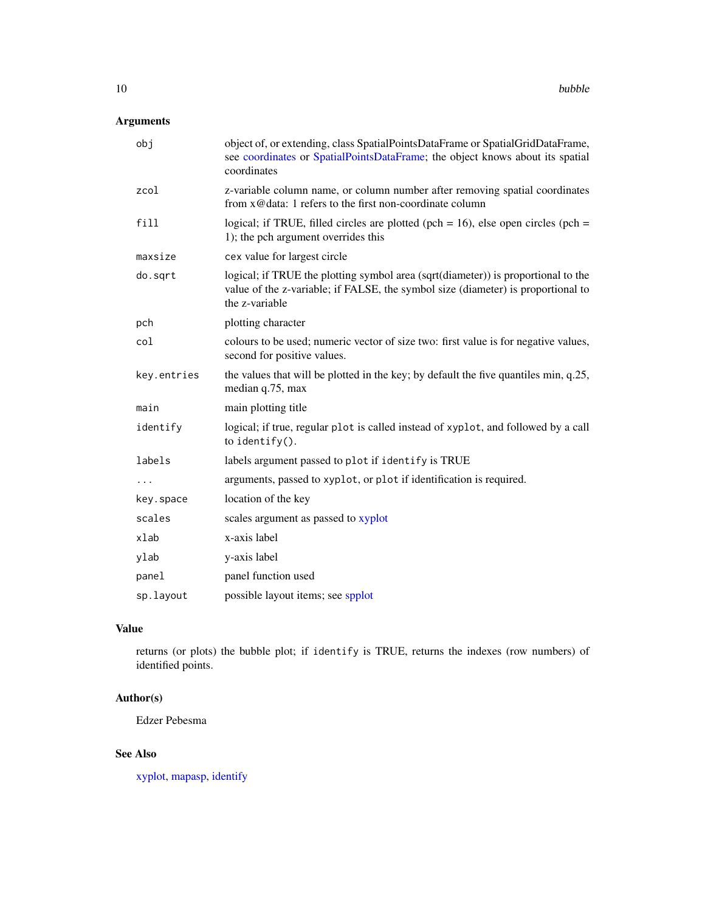# Arguments

| obj         | object of, or extending, class SpatialPointsDataFrame or SpatialGridDataFrame,<br>see coordinates or SpatialPointsDataFrame; the object knows about its spatial<br>coordinates          |
|-------------|-----------------------------------------------------------------------------------------------------------------------------------------------------------------------------------------|
| zcol        | z-variable column name, or column number after removing spatial coordinates<br>from x@data: 1 refers to the first non-coordinate column                                                 |
| fill        | logical; if TRUE, filled circles are plotted (pch = $16$ ), else open circles (pch =<br>1); the pch argument overrides this                                                             |
| maxsize     | cex value for largest circle                                                                                                                                                            |
| do.sqrt     | logical; if TRUE the plotting symbol area (sqrt(diameter)) is proportional to the<br>value of the z-variable; if FALSE, the symbol size (diameter) is proportional to<br>the z-variable |
| pch         | plotting character                                                                                                                                                                      |
| col         | colours to be used; numeric vector of size two: first value is for negative values,<br>second for positive values.                                                                      |
| key.entries | the values that will be plotted in the key; by default the five quantiles min, q.25,<br>median q.75, max                                                                                |
| main        | main plotting title                                                                                                                                                                     |
| identify    | logical; if true, regular plot is called instead of xyplot, and followed by a call<br>to identify $()$ .                                                                                |
| labels      | labels argument passed to plot if identify is TRUE                                                                                                                                      |
| $\ddots$    | arguments, passed to xyplot, or plot if identification is required.                                                                                                                     |
| key.space   | location of the key                                                                                                                                                                     |
| scales      | scales argument as passed to xyplot                                                                                                                                                     |
| xlab        | x-axis label                                                                                                                                                                            |
| ylab        | y-axis label                                                                                                                                                                            |
| panel       | panel function used                                                                                                                                                                     |
| sp.layout   | possible layout items; see spplot                                                                                                                                                       |

# Value

returns (or plots) the bubble plot; if identify is TRUE, returns the indexes (row numbers) of identified points.

# Author(s)

Edzer Pebesma

# See Also

[xyplot,](#page-0-0) [mapasp,](#page-33-1) [identify](#page-0-0)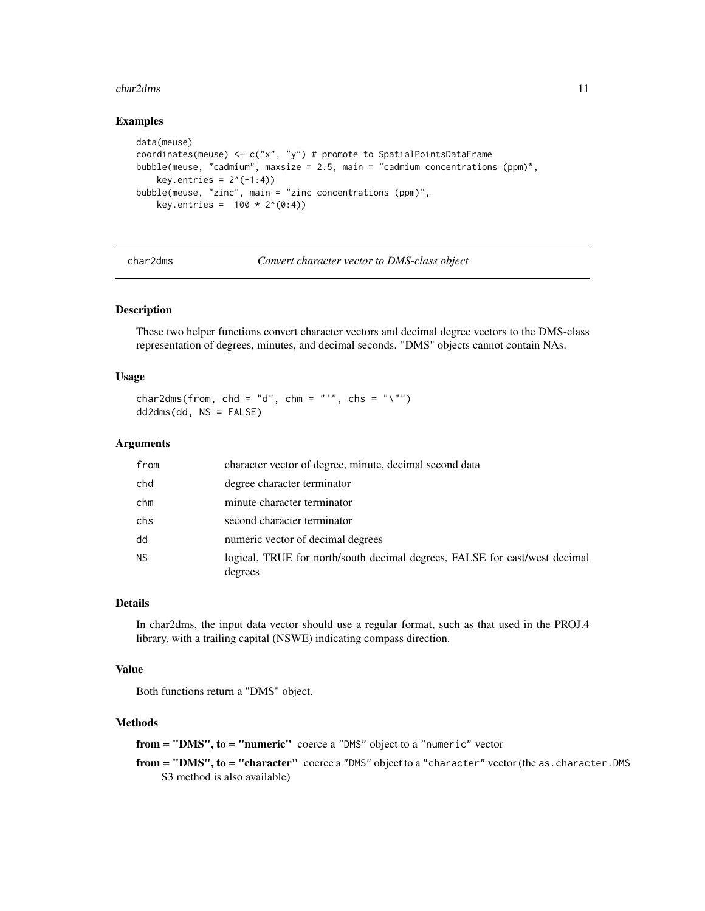#### <span id="page-10-0"></span>char2dms 11

#### Examples

```
data(meuse)
coordinates(meuse) <- c("x", "y") # promote to SpatialPointsDataFrame
bubble(meuse, "cadmium", maxsize = 2.5, main = "cadmium concentrations (ppm)",
   key.entries = 2^(-1:4))
bubble(meuse, "zinc", main = "zinc concentrations (ppm)",
   key. entries = 100 * 2^(0:4))
```
char2dms *Convert character vector to DMS-class object*

# <span id="page-10-2"></span>Description

These two helper functions convert character vectors and decimal degree vectors to the DMS-class representation of degrees, minutes, and decimal seconds. "DMS" objects cannot contain NAs.

#### Usage

char2dms(from, chd = "d", chm = "'", chs = "\"") dd2dms(dd, NS = FALSE)

#### Arguments

| from      | character vector of degree, minute, decimal second data                               |
|-----------|---------------------------------------------------------------------------------------|
| chd       | degree character terminator                                                           |
| chm       | minute character terminator                                                           |
| chs       | second character terminator                                                           |
| dd        | numeric vector of decimal degrees                                                     |
| <b>NS</b> | logical, TRUE for north/south decimal degrees, FALSE for east/west decimal<br>degrees |

#### Details

In char2dms, the input data vector should use a regular format, such as that used in the PROJ.4 library, with a trailing capital (NSWE) indicating compass direction.

#### Value

Both functions return a "DMS" object.

#### Methods

from = "DMS", to = "numeric" coerce a "DMS" object to a "numeric" vector

from = "DMS", to = "character" coerce a "DMS" object to a "character" vector (the as. character. DMS S3 method is also available)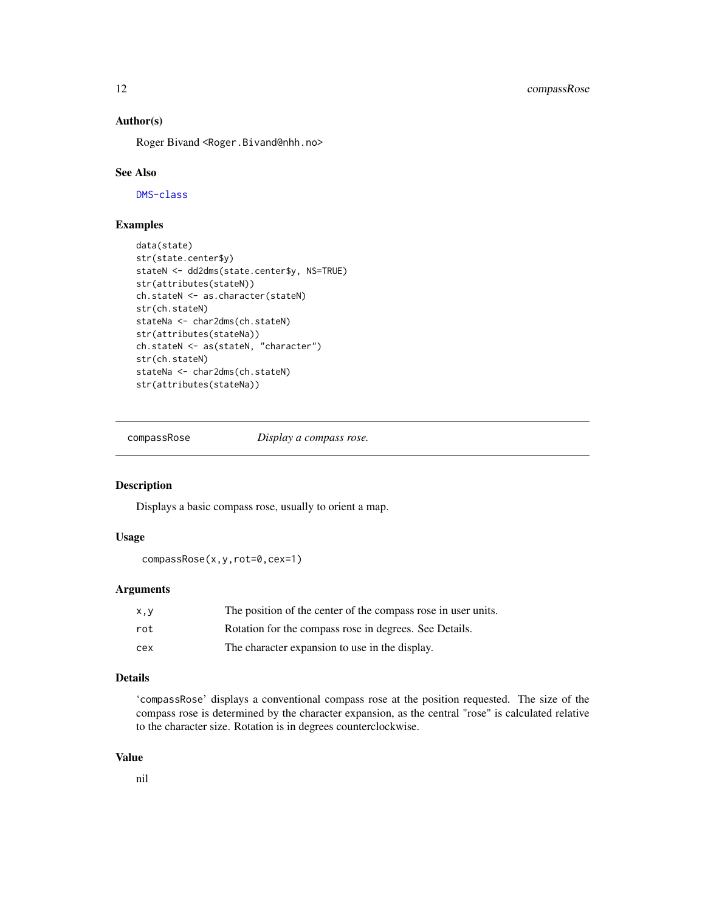# <span id="page-11-0"></span>Author(s)

Roger Bivand <Roger.Bivand@nhh.no>

#### See Also

[DMS-class](#page-19-1)

# Examples

```
data(state)
str(state.center$y)
stateN <- dd2dms(state.center$y, NS=TRUE)
str(attributes(stateN))
ch.stateN <- as.character(stateN)
str(ch.stateN)
stateNa <- char2dms(ch.stateN)
str(attributes(stateNa))
ch.stateN <- as(stateN, "character")
str(ch.stateN)
stateNa <- char2dms(ch.stateN)
str(attributes(stateNa))
```
compassRose *Display a compass rose.*

#### Description

Displays a basic compass rose, usually to orient a map.

# Usage

compassRose(x,y,rot=0,cex=1)

# Arguments

| X, V | The position of the center of the compass rose in user units. |
|------|---------------------------------------------------------------|
| rot  | Rotation for the compass rose in degrees. See Details.        |
| cex  | The character expansion to use in the display.                |

#### Details

'compassRose' displays a conventional compass rose at the position requested. The size of the compass rose is determined by the character expansion, as the central "rose" is calculated relative to the character size. Rotation is in degrees counterclockwise.

#### Value

nil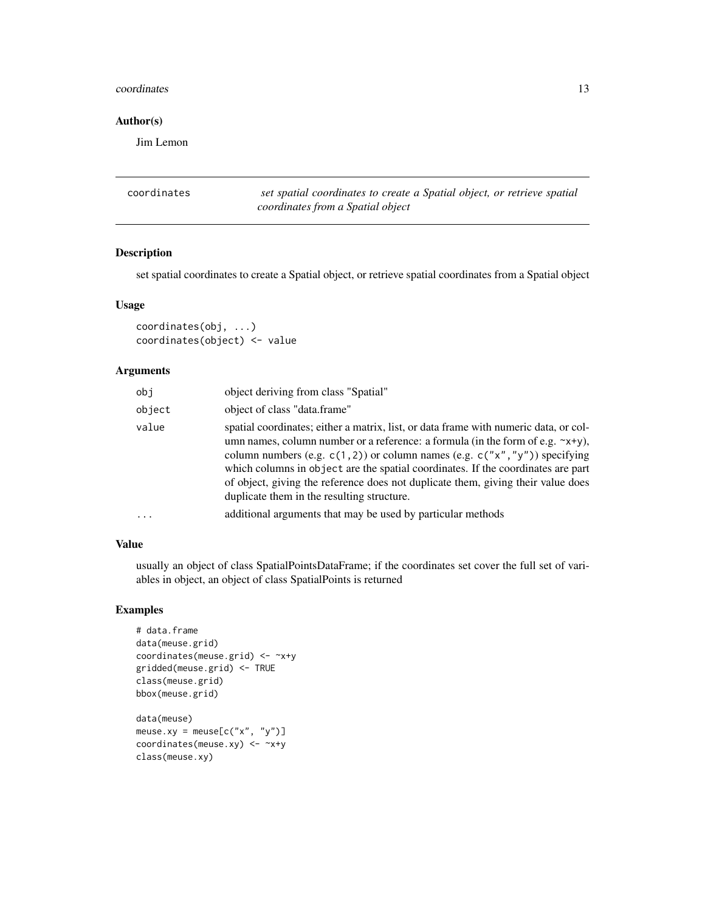#### <span id="page-12-0"></span>coordinates and the coordinates of the coordinates and the coordinates of the coordinates of the coordinates of the coordinates of the coordinates of the coordinates of the coordinates of the coordinates of the coordinates

# Author(s)

Jim Lemon

<span id="page-12-1"></span>

| coordinates | set spatial coordinates to create a Spatial object, or retrieve spatial |
|-------------|-------------------------------------------------------------------------|
|             | coordinates from a Spatial object                                       |

# Description

set spatial coordinates to create a Spatial object, or retrieve spatial coordinates from a Spatial object

# Usage

coordinates(obj, ...) coordinates(object) <- value

#### Arguments

| obj    | object deriving from class "Spatial"                                                                                                                                                                                                                                                                                                                                                                                                                                                     |
|--------|------------------------------------------------------------------------------------------------------------------------------------------------------------------------------------------------------------------------------------------------------------------------------------------------------------------------------------------------------------------------------------------------------------------------------------------------------------------------------------------|
| object | object of class "data.frame"                                                                                                                                                                                                                                                                                                                                                                                                                                                             |
| value  | spatial coordinates; either a matrix, list, or data frame with numeric data, or col-<br>umn names, column number or a reference: a formula (in the form of e.g. $\sim x+y$ ),<br>column numbers (e.g. $c(1, 2)$ ) or column names (e.g. $c("x", "y")$ ) specifying<br>which columns in object are the spatial coordinates. If the coordinates are part<br>of object, giving the reference does not duplicate them, giving their value does<br>duplicate them in the resulting structure. |
| .      | additional arguments that may be used by particular methods                                                                                                                                                                                                                                                                                                                                                                                                                              |

# Value

usually an object of class SpatialPointsDataFrame; if the coordinates set cover the full set of variables in object, an object of class SpatialPoints is returned

```
# data.frame
data(meuse.grid)
coordinates(meuse.grid) <- ~x+y
gridded(meuse.grid) <- TRUE
class(meuse.grid)
bbox(meuse.grid)
data(meuse)
meuse.xy = meuse[c("x", "y")]coordinates(meuse.xy) <- ~x+y
class(meuse.xy)
```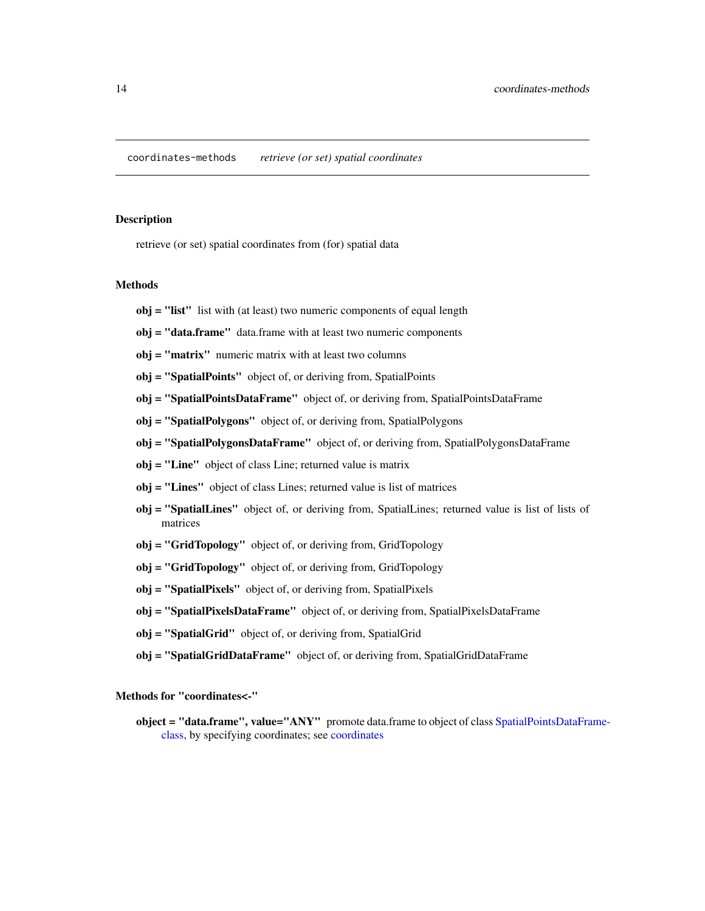<span id="page-13-0"></span>coordinates-methods *retrieve (or set) spatial coordinates*

#### Description

retrieve (or set) spatial coordinates from (for) spatial data

# Methods

- obj = "list" list with (at least) two numeric components of equal length
- obj = "data.frame" data.frame with at least two numeric components
- obj = "matrix" numeric matrix with at least two columns
- obj = "SpatialPoints" object of, or deriving from, SpatialPoints
- obj = "SpatialPointsDataFrame" object of, or deriving from, SpatialPointsDataFrame
- obj = "SpatialPolygons" object of, or deriving from, SpatialPolygons
- obj = "SpatialPolygonsDataFrame" object of, or deriving from, SpatialPolygonsDataFrame
- obj = "Line" object of class Line; returned value is matrix
- obj = "Lines" object of class Lines; returned value is list of matrices
- obj = "SpatialLines" object of, or deriving from, SpatialLines; returned value is list of lists of matrices
- obj = "GridTopology" object of, or deriving from, GridTopology
- obj = "GridTopology" object of, or deriving from, GridTopology
- obj = "SpatialPixels" object of, or deriving from, SpatialPixels
- obj = "SpatialPixelsDataFrame" object of, or deriving from, SpatialPixelsDataFrame
- obj = "SpatialGrid" object of, or deriving from, SpatialGrid
- obj = "SpatialGridDataFrame" object of, or deriving from, SpatialGridDataFrame

Methods for "coordinates<-"

object = "data.frame", value="ANY" promote data.frame to object of class [SpatialPointsDataFra](#page-71-1)me[class,](#page-71-1) by specifying coordinates; see [coordinates](#page-12-1)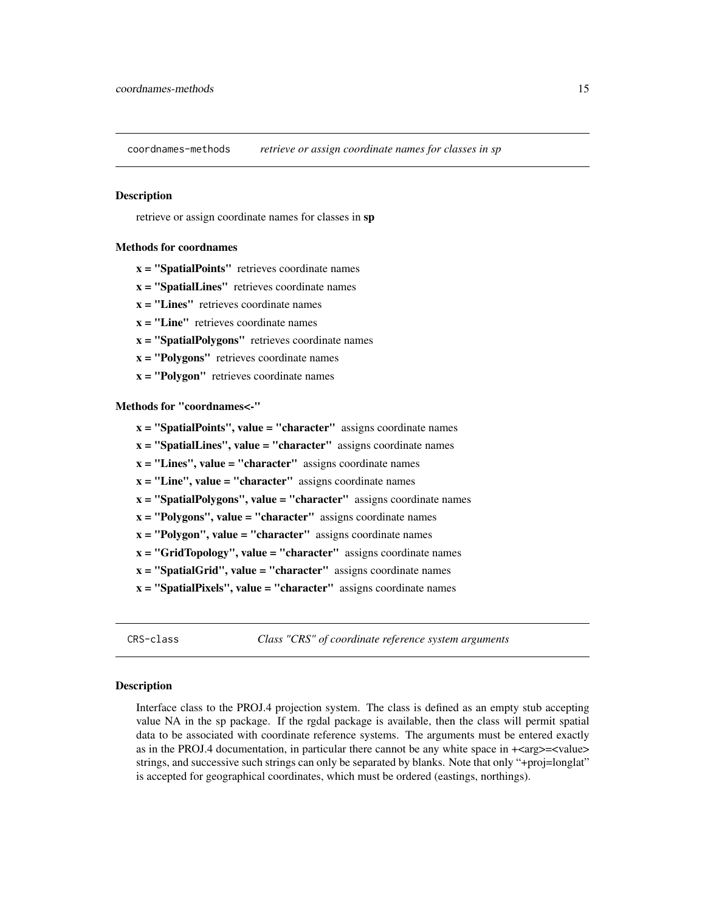<span id="page-14-0"></span>coordnames-methods *retrieve or assign coordinate names for classes in sp*

# Description

retrieve or assign coordinate names for classes in sp

#### Methods for coordnames

 $x =$  "SpatialPoints" retrieves coordinate names

- $x =$  "SpatialLines" retrieves coordinate names
- $x =$  "Lines" retrieves coordinate names
- $x = "Line"$  retrieves coordinate names
- $x =$  "SpatialPolygons" retrieves coordinate names
- $x = "Polygons"$  retrieves coordinate names
- $x = "Polygon"$  retrieves coordinate names

#### Methods for "coordnames<-"

- $x =$  "SpatialPoints", value = "character" assigns coordinate names
- $x =$  "SpatialLines", value = "character" assigns coordinate names
- $x =$  "Lines", value = "character" assigns coordinate names
- $x =$  "Line", value = "character" assigns coordinate names
- $x =$  "SpatialPolygons", value = "character" assigns coordinate names
- $x = "Polygons", value = "character" assigns coordinate names$
- $x = "Polygon", value = "character" assigns coordinate names$
- $x = "GridTopology", value = "character" assigns coordinate names$
- $x =$  "SpatialGrid", value = "character" assigns coordinate names
- $x =$  "SpatialPixels", value = "character" assigns coordinate names
- 

<span id="page-14-1"></span>CRS-class *Class "CRS" of coordinate reference system arguments*

#### <span id="page-14-2"></span>Description

Interface class to the PROJ.4 projection system. The class is defined as an empty stub accepting value NA in the sp package. If the rgdal package is available, then the class will permit spatial data to be associated with coordinate reference systems. The arguments must be entered exactly as in the PROJ.4 documentation, in particular there cannot be any white space in  $+\langle \text{arg}\rangle = \langle \text{value}\rangle$ strings, and successive such strings can only be separated by blanks. Note that only "+proj=longlat" is accepted for geographical coordinates, which must be ordered (eastings, northings).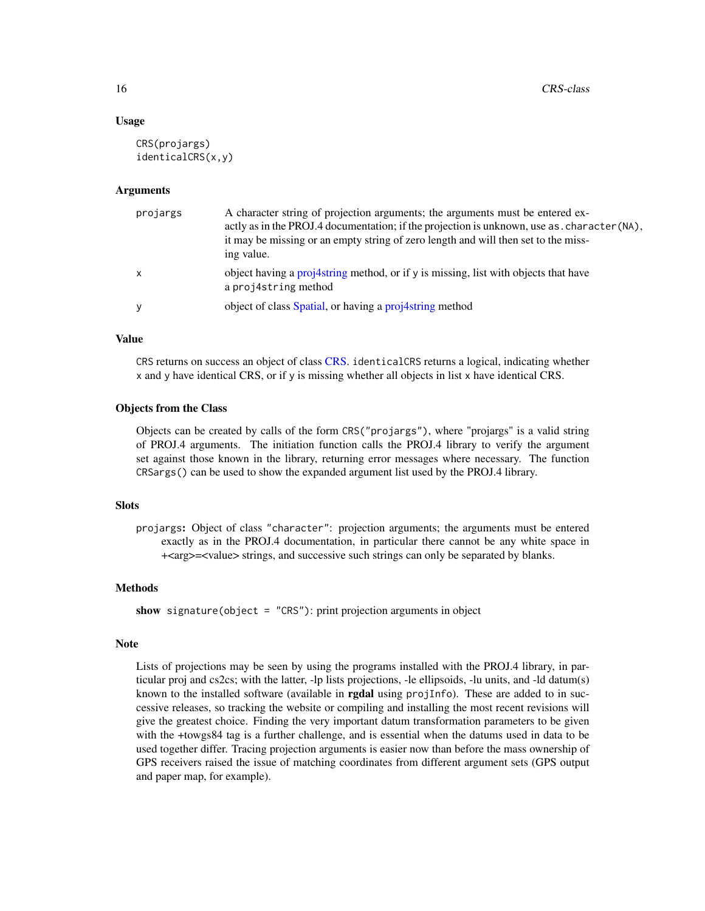#### Usage

```
CRS(projargs)
identicalCRS(x,y)
```
#### Arguments

| projargs     | A character string of projection arguments; the arguments must be entered ex-<br>actly as in the PROJ.4 documentation; if the projection is unknown, use as . character (NA),<br>it may be missing or an empty string of zero length and will then set to the miss-<br>ing value. |
|--------------|-----------------------------------------------------------------------------------------------------------------------------------------------------------------------------------------------------------------------------------------------------------------------------------|
| $\mathsf{X}$ | object having a projet string method, or if $\gamma$ is missing, list with objects that have<br>a projastring method                                                                                                                                                              |
| y            | object of class Spatial, or having a proj4string method                                                                                                                                                                                                                           |

#### Value

CRS returns on success an object of class [CRS.](#page-14-2) identicalCRS returns a logical, indicating whether x and y have identical CRS, or if y is missing whether all objects in list x have identical CRS.

#### Objects from the Class

Objects can be created by calls of the form CRS("projargs"), where "projargs" is a valid string of PROJ.4 arguments. The initiation function calls the PROJ.4 library to verify the argument set against those known in the library, returning error messages where necessary. The function CRSargs() can be used to show the expanded argument list used by the PROJ.4 library.

# **Slots**

projargs: Object of class "character": projection arguments; the arguments must be entered exactly as in the PROJ.4 documentation, in particular there cannot be any white space in +<arg>=<value> strings, and successive such strings can only be separated by blanks.

#### Methods

```
show signature(object = "CRS"): print projection arguments in object
```
#### Note

Lists of projections may be seen by using the programs installed with the PROJ.4 library, in particular proj and cs2cs; with the latter, -lp lists projections, -le ellipsoids, -lu units, and -ld datum(s) known to the installed software (available in **rgdal** using projInfo). These are added to in successive releases, so tracking the website or compiling and installing the most recent revisions will give the greatest choice. Finding the very important datum transformation parameters to be given with the +towgs84 tag is a further challenge, and is essential when the datums used in data to be used together differ. Tracing projection arguments is easier now than before the mass ownership of GPS receivers raised the issue of matching coordinates from different argument sets (GPS output and paper map, for example).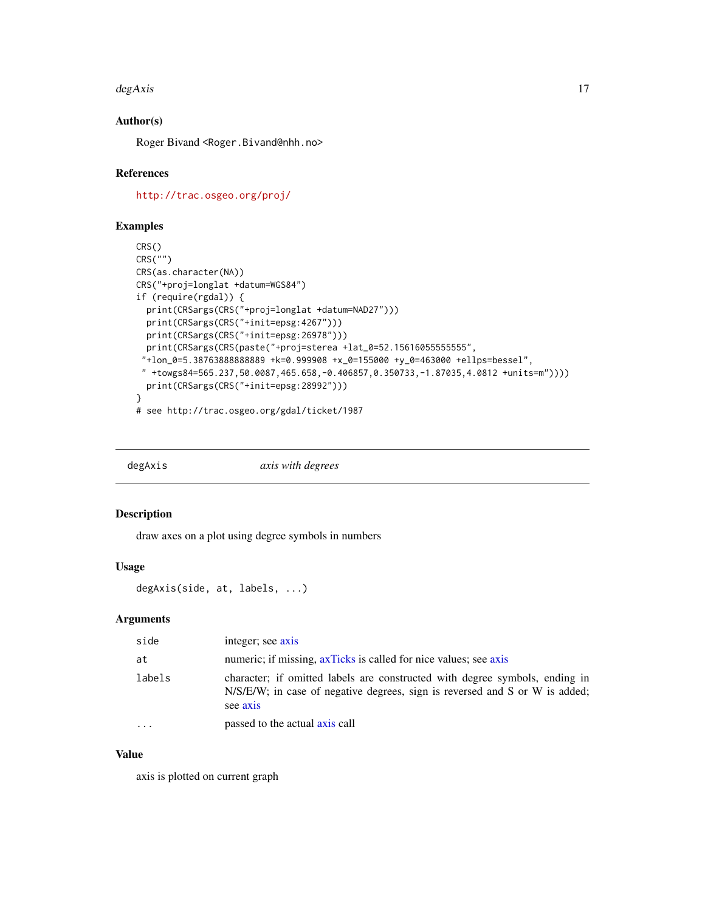#### <span id="page-16-0"></span> $degAxis$  17

# Author(s)

Roger Bivand <Roger.Bivand@nhh.no>

#### References

<http://trac.osgeo.org/proj/>

#### Examples

```
CRS()
CRS("")
CRS(as.character(NA))
CRS("+proj=longlat +datum=WGS84")
if (require(rgdal)) {
  print(CRSargs(CRS("+proj=longlat +datum=NAD27")))
  print(CRSargs(CRS("+init=epsg:4267")))
  print(CRSargs(CRS("+init=epsg:26978")))
 print(CRSargs(CRS(paste("+proj=sterea +lat_0=52.15616055555555",
 "+lon_0=5.38763888888889 +k=0.999908 +x_0=155000 +y_0=463000 +ellps=bessel",
 " +towgs84=565.237,50.0087,465.658,-0.406857,0.350733,-1.87035,4.0812 +units=m"))))
  print(CRSargs(CRS("+init=epsg:28992")))
}
# see http://trac.osgeo.org/gdal/ticket/1987
```
degAxis *axis with degrees*

# Description

draw axes on a plot using degree symbols in numbers

# Usage

degAxis(side, at, labels, ...)

# Arguments

| side      | integer; see axis                                                                                                                                                      |
|-----------|------------------------------------------------------------------------------------------------------------------------------------------------------------------------|
| at        | numeric; if missing, axTicks is called for nice values; see axis                                                                                                       |
| labels    | character; if omitted labels are constructed with degree symbols, ending in<br>N/S/E/W; in case of negative degrees, sign is reversed and S or W is added;<br>see axis |
| $\ddotsc$ | passed to the actual axis call                                                                                                                                         |

# Value

axis is plotted on current graph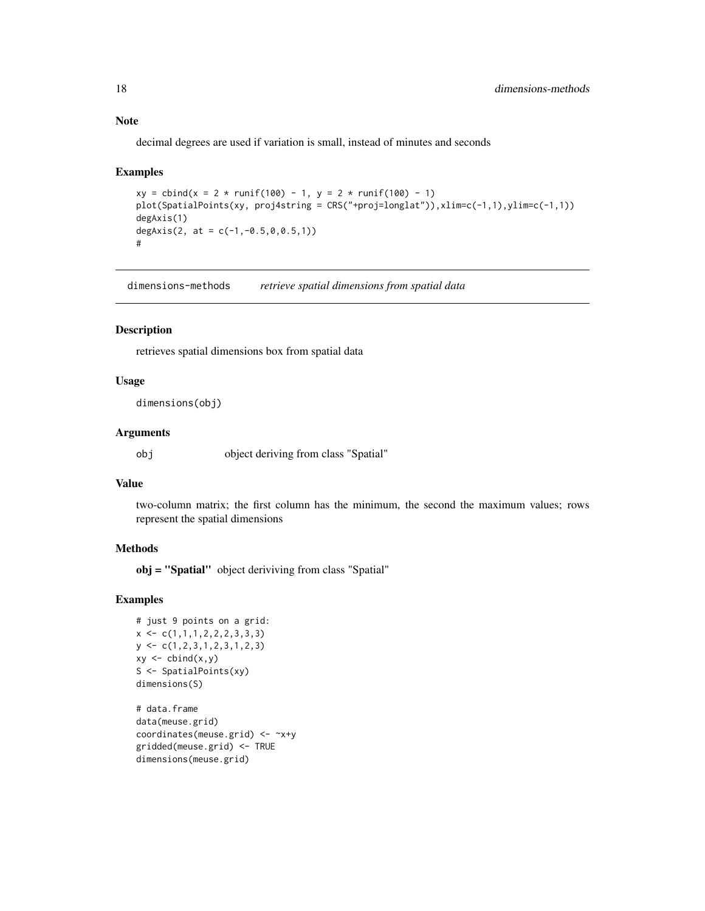decimal degrees are used if variation is small, instead of minutes and seconds

#### Examples

```
xy = \text{cbind}(x = 2 * \text{runif}(100) - 1, y = 2 * \text{runif}(100) - 1)plot(SpatialPoints(xy, proj4string = CRS("+proj=longlat")),xlim=c(-1,1),ylim=c(-1,1))
degAxis(1)
degAxis(2, at = c(-1, -0.5, 0, 0.5, 1))
#
```
dimensions-methods *retrieve spatial dimensions from spatial data*

#### Description

retrieves spatial dimensions box from spatial data

#### Usage

dimensions(obj)

#### Arguments

obj object deriving from class "Spatial"

# Value

two-column matrix; the first column has the minimum, the second the maximum values; rows represent the spatial dimensions

#### Methods

obj = "Spatial" object deriviving from class "Spatial"

#### Examples

```
# just 9 points on a grid:
x \leftarrow c(1,1,1,2,2,2,3,3,3)y \leftarrow c(1, 2, 3, 1, 2, 3, 1, 2, 3)xy \leftarrow \text{cbind}(x, y)S <- SpatialPoints(xy)
dimensions(S)
```
# data.frame data(meuse.grid) coordinates(meuse.grid) <- ~x+y gridded(meuse.grid) <- TRUE dimensions(meuse.grid)

<span id="page-17-0"></span>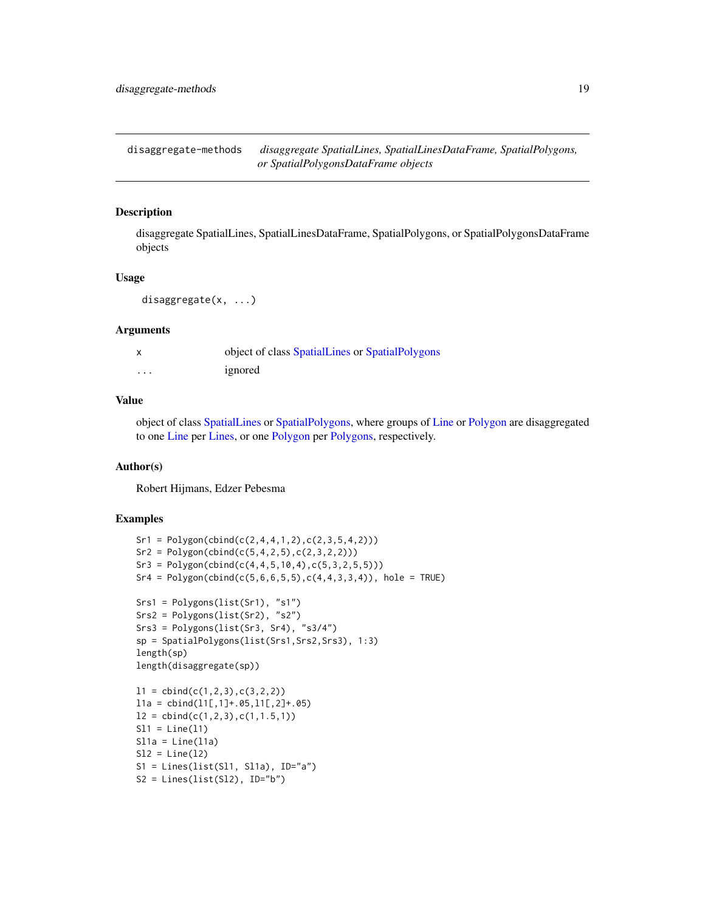<span id="page-18-0"></span>disaggregate-methods *disaggregate SpatialLines, SpatialLinesDataFrame, SpatialPolygons, or SpatialPolygonsDataFrame objects*

#### **Description**

disaggregate SpatialLines, SpatialLinesDataFrame, SpatialPolygons, or SpatialPolygonsDataFrame objects

# Usage

disaggregate(x, ...)

#### Arguments

|          | object of class SpatialLines or SpatialPolygons |
|----------|-------------------------------------------------|
| $\cdots$ | ignored                                         |

#### Value

object of class [SpatialLines](#page-59-1) or [SpatialPolygons,](#page-73-1) where groups of [Line](#page-30-1) or [Polygon](#page-73-2) are disaggregated to one [Line](#page-30-1) per [Lines,](#page-30-2) or one [Polygon](#page-73-2) per [Polygons,](#page-73-2) respectively.

#### Author(s)

Robert Hijmans, Edzer Pebesma

```
Sr1 = Polygon(cbind(c(2, 4, 4, 1, 2), c(2, 3, 5, 4, 2)))Sr2 = Polygon(cbind(c(5, 4, 2, 5), c(2, 3, 2, 2)))Sr3 = Polygon(cbind(c(4, 4, 5, 10, 4), c(5, 3, 2, 5, 5)))Sr4 = Polygon(cbind(c(5, 6, 6, 5, 5), c(4, 4, 3, 3, 4)), hole = TRUE)Srs1 = Polygons(list(Sr1), "s1")
Srs2 = Polygons(list(Sr2), "s2")
Srs3 = Polygons(list(Sr3, Sr4), "s3/4")
sp = SpatialPolygons(list(Srs1,Srs2,Srs3), 1:3)
length(sp)
length(disaggregate(sp))
11 = \text{cbind}(c(1,2,3),c(3,2,2))11a = \text{cbind}(11[, 1]+.05, 11[, 2]+.05)l2 = \text{cbind}(c(1, 2, 3), c(1, 1.5, 1))S11 = Line(11)S11a = Line(11a)S12 = Line(12)S1 = Lines(list(S11, S11a), ID="a")S2 = Lines(list(S12), ID="b")
```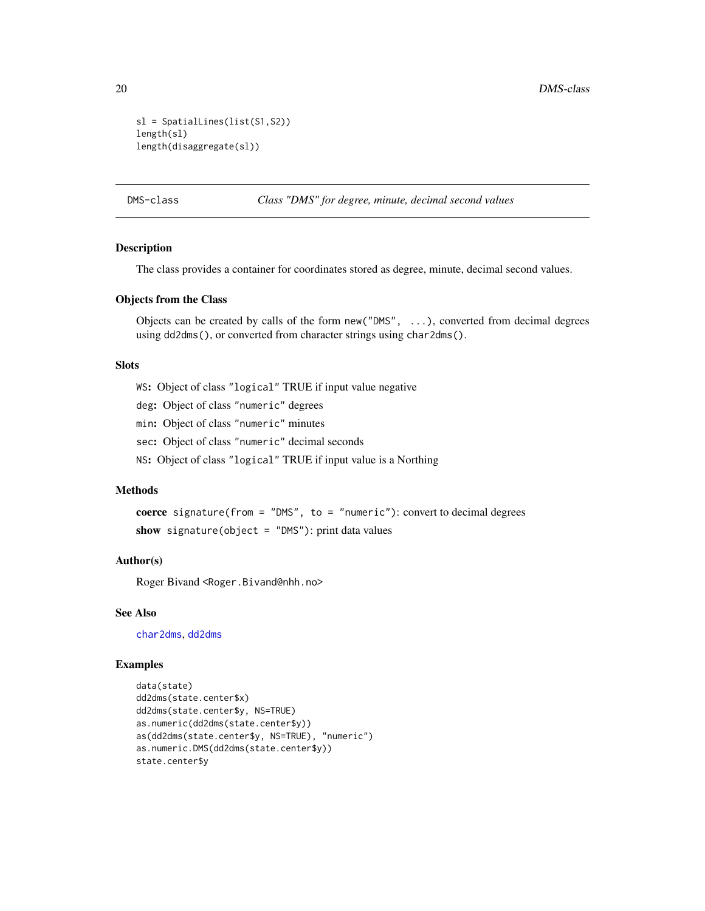```
sl = SpatialLines(list(S1,S2))
length(sl)
length(disaggregate(sl))
```
<span id="page-19-1"></span>DMS-class *Class "DMS" for degree, minute, decimal second values*

# Description

The class provides a container for coordinates stored as degree, minute, decimal second values.

#### Objects from the Class

Objects can be created by calls of the form new("DMS", ...), converted from decimal degrees using dd2dms(), or converted from character strings using char2dms().

#### **Slots**

WS: Object of class "logical" TRUE if input value negative

deg: Object of class "numeric" degrees

min: Object of class "numeric" minutes

sec: Object of class "numeric" decimal seconds

NS: Object of class "logical" TRUE if input value is a Northing

# Methods

coerce signature(from = "DMS", to = "numeric"): convert to decimal degrees show signature(object =  $"DMS"$ ): print data values

#### Author(s)

Roger Bivand <Roger.Bivand@nhh.no>

# See Also

[char2dms](#page-10-1), [dd2dms](#page-10-2)

```
data(state)
dd2dms(state.center$x)
dd2dms(state.center$y, NS=TRUE)
as.numeric(dd2dms(state.center$y))
as(dd2dms(state.center$y, NS=TRUE), "numeric")
as.numeric.DMS(dd2dms(state.center$y))
state.center$y
```
<span id="page-19-0"></span>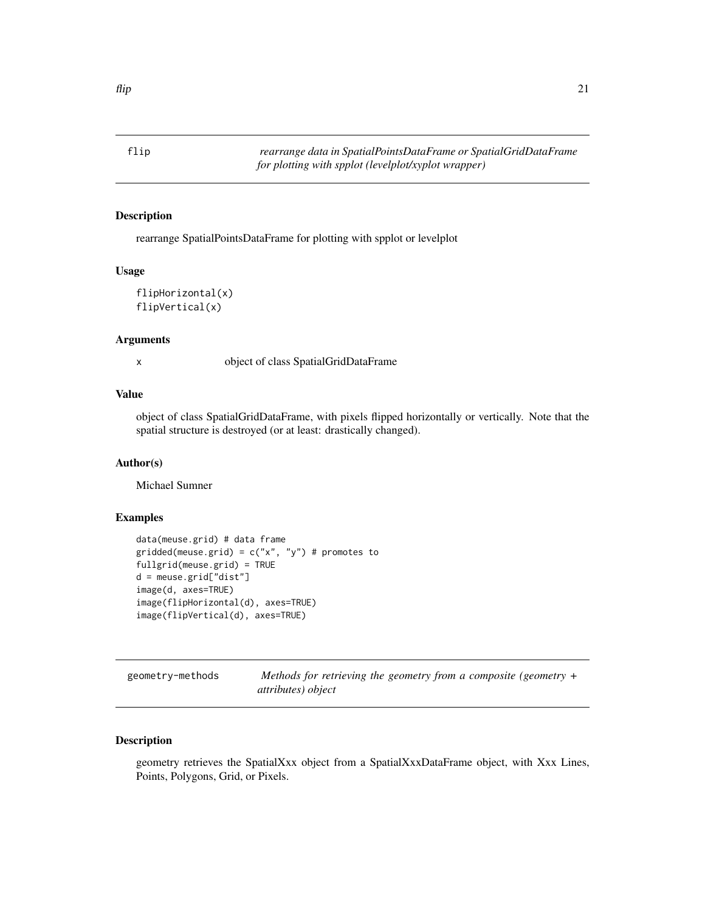<span id="page-20-0"></span>

# Description

rearrange SpatialPointsDataFrame for plotting with spplot or levelplot

#### Usage

```
flipHorizontal(x)
flipVertical(x)
```
#### Arguments

x object of class SpatialGridDataFrame

#### Value

object of class SpatialGridDataFrame, with pixels flipped horizontally or vertically. Note that the spatial structure is destroyed (or at least: drastically changed).

# Author(s)

Michael Sumner

# Examples

```
data(meuse.grid) # data frame
gridded(meuse.grid) = c("x", "y") # promotes to
fullgrid(meuse.grid) = TRUE
d = meuse.grid["dist"]
image(d, axes=TRUE)
image(flipHorizontal(d), axes=TRUE)
image(flipVertical(d), axes=TRUE)
```

| geometry-methods | Methods for retrieving the geometry from a composite (geometry $+$ |  |
|------------------|--------------------------------------------------------------------|--|
|                  | attributes) object                                                 |  |

# Description

geometry retrieves the SpatialXxx object from a SpatialXxxDataFrame object, with Xxx Lines, Points, Polygons, Grid, or Pixels.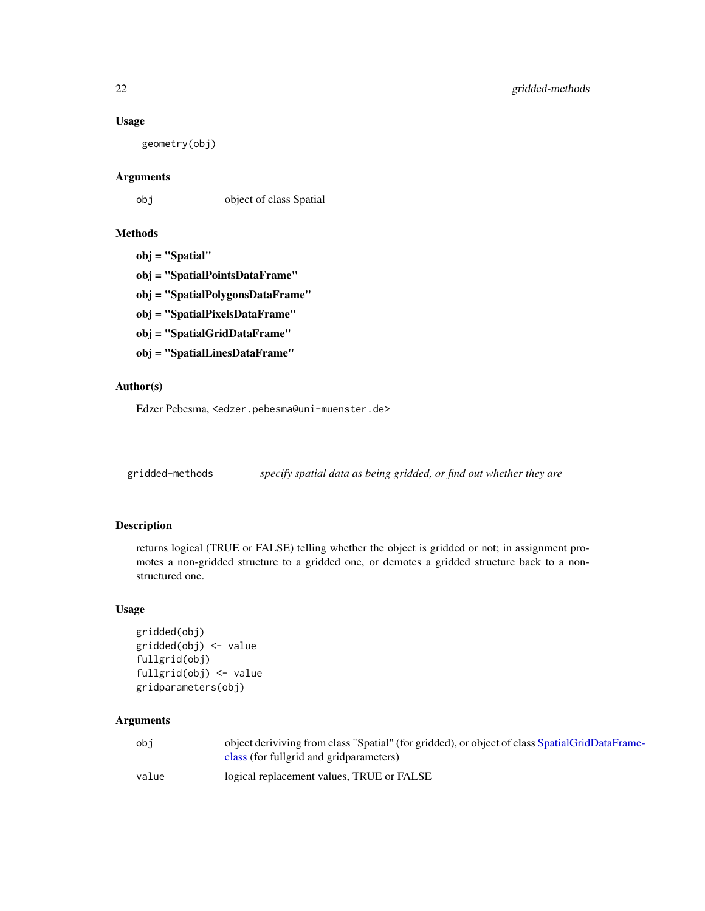# <span id="page-21-0"></span>Usage

geometry(obj)

# Arguments

obj object of class Spatial

# Methods

obj = "Spatial"

obj = "SpatialPointsDataFrame"

obj = "SpatialPolygonsDataFrame"

obj = "SpatialPixelsDataFrame"

obj = "SpatialGridDataFrame"

obj = "SpatialLinesDataFrame"

# Author(s)

Edzer Pebesma, <edzer.pebesma@uni-muenster.de>

gridded-methods *specify spatial data as being gridded, or find out whether they are*

# Description

returns logical (TRUE or FALSE) telling whether the object is gridded or not; in assignment promotes a non-gridded structure to a gridded one, or demotes a gridded structure back to a nonstructured one.

# Usage

```
gridded(obj)
gridded(obj) <- value
fullgrid(obj)
fullgrid(obj) <- value
gridparameters(obj)
```
# Arguments

| obi   | object deriviving from class "Spatial" (for gridded), or object of class SpatialGridDataFrame- |
|-------|------------------------------------------------------------------------------------------------|
|       | class (for fullgrid and grid parameters)                                                       |
| value | logical replacement values, TRUE or FALSE                                                      |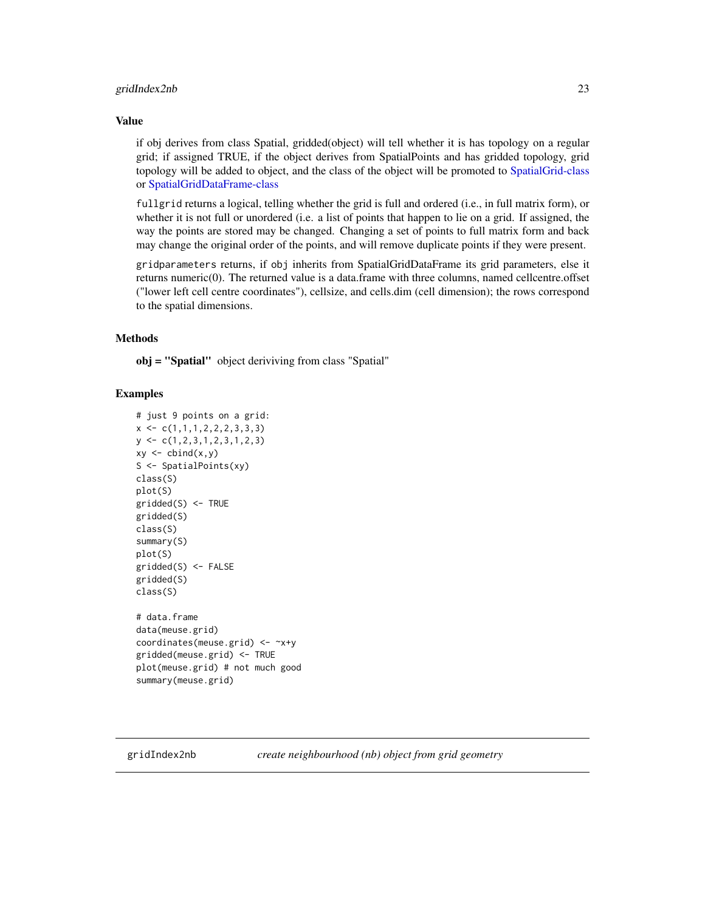#### <span id="page-22-0"></span>gridIndex2nb 23

#### Value

if obj derives from class Spatial, gridded(object) will tell whether it is has topology on a regular grid; if assigned TRUE, if the object derives from SpatialPoints and has gridded topology, grid topology will be added to object, and the class of the object will be promoted to [SpatialGrid-class](#page-56-1) or [SpatialGridDataFrame-class](#page-57-1)

fullgrid returns a logical, telling whether the grid is full and ordered (i.e., in full matrix form), or whether it is not full or unordered (i.e. a list of points that happen to lie on a grid. If assigned, the way the points are stored may be changed. Changing a set of points to full matrix form and back may change the original order of the points, and will remove duplicate points if they were present.

gridparameters returns, if obj inherits from SpatialGridDataFrame its grid parameters, else it returns numeric(0). The returned value is a data.frame with three columns, named cellcentre.offset ("lower left cell centre coordinates"), cellsize, and cells.dim (cell dimension); the rows correspond to the spatial dimensions.

#### Methods

obj = "Spatial" object deriviving from class "Spatial"

#### Examples

```
# just 9 points on a grid:
x \leftarrow c(1,1,1,2,2,2,3,3,3)y <- c(1,2,3,1,2,3,1,2,3)
xy \leftarrow \text{cbind}(x, y)S <- SpatialPoints(xy)
class(S)
plot(S)
gridded(S) <- TRUE
gridded(S)
class(S)
summary(S)
plot(S)
gridded(S) <- FALSE
gridded(S)
class(S)
# data.frame
data(meuse.grid)
coordinates(meuse.grid) <- ~x+y
gridded(meuse.grid) <- TRUE
plot(meuse.grid) # not much good
summary(meuse.grid)
```
gridIndex2nb *create neighbourhood (nb) object from grid geometry*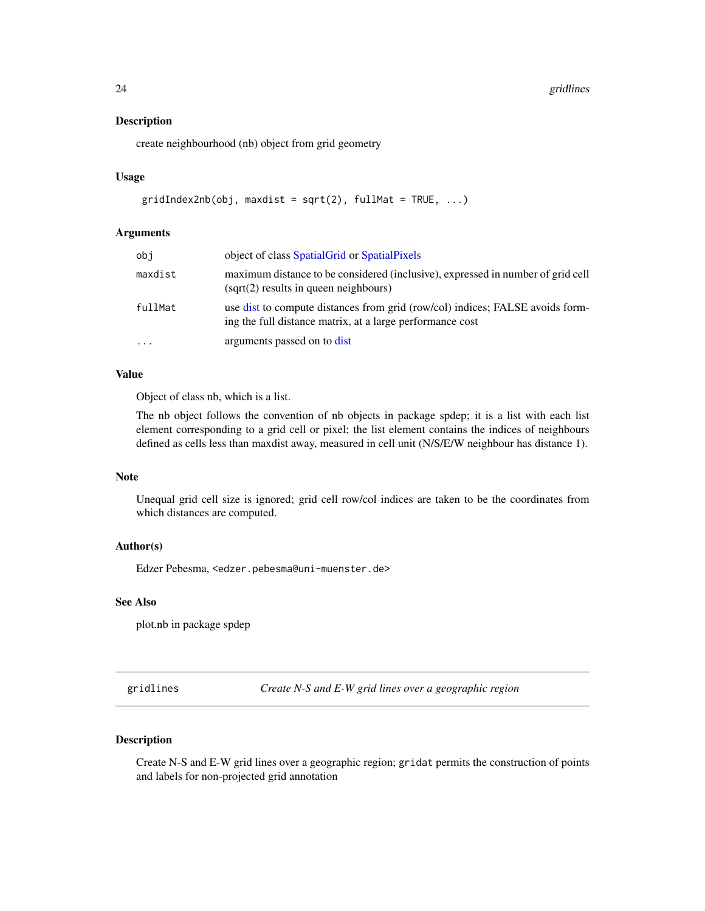<span id="page-23-0"></span>24 gridlines

#### Description

create neighbourhood (nb) object from grid geometry

# Usage

```
gridIndex2nb(obj, maxdist = sqrt(2), fullMat = TRUE, ...)
```
#### Arguments

| obj       | object of class Spatial Grid or Spatial Pixels                                                                                             |
|-----------|--------------------------------------------------------------------------------------------------------------------------------------------|
| maxdist   | maximum distance to be considered (inclusive), expressed in number of grid cell<br>$(sqrt(2)$ results in queen neighbours)                 |
| fullMat   | use dist to compute distances from grid (row/col) indices; FALSE avoids form-<br>ing the full distance matrix, at a large performance cost |
| $\ddotsc$ | arguments passed on to dist                                                                                                                |

# Value

Object of class nb, which is a list.

The nb object follows the convention of nb objects in package spdep; it is a list with each list element corresponding to a grid cell or pixel; the list element contains the indices of neighbours defined as cells less than maxdist away, measured in cell unit (N/S/E/W neighbour has distance 1).

#### Note

Unequal grid cell size is ignored; grid cell row/col indices are taken to be the coordinates from which distances are computed.

#### Author(s)

Edzer Pebesma, <edzer.pebesma@uni-muenster.de>

# See Also

plot.nb in package spdep

gridlines *Create N-S and E-W grid lines over a geographic region*

# Description

Create N-S and E-W grid lines over a geographic region; gridat permits the construction of points and labels for non-projected grid annotation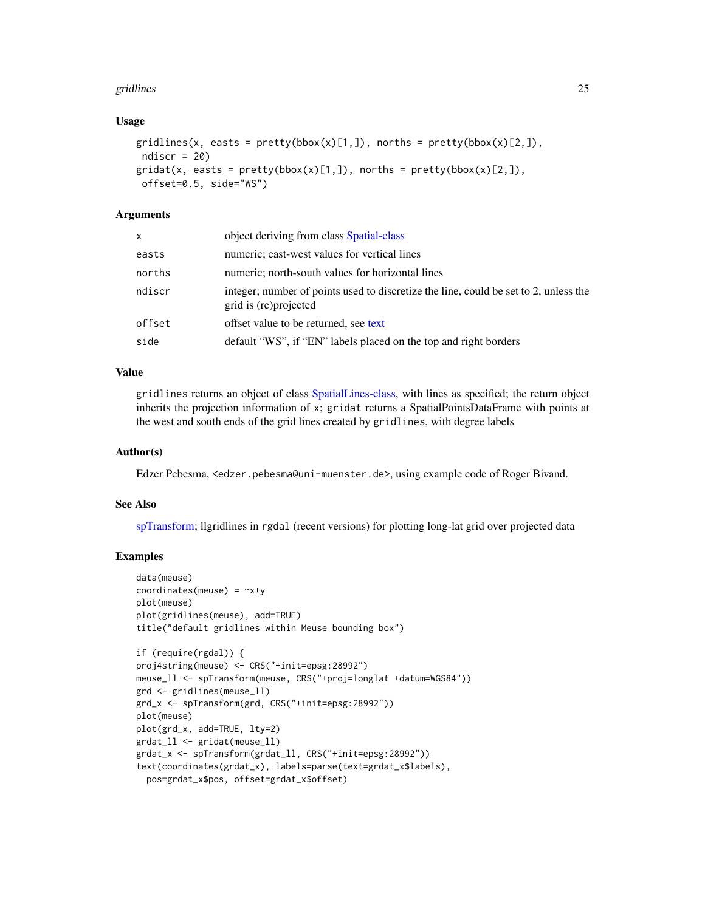#### gridlines 25

#### Usage

```
gridlines(x, easts = pretty(bbox(x)[1,]), norths = pretty(bbox(x)[2,]),
ndiscr = 20)
gridat(x, easts = pretty(bbox(x)[1,]), norths = pretty(bbox(x)[2,]),offset=0.5, side="WS")
```
# Arguments

| x      | object deriving from class Spatial-class                                                                       |
|--------|----------------------------------------------------------------------------------------------------------------|
| easts  | numeric; east-west values for vertical lines                                                                   |
| norths | numeric; north-south values for horizontal lines                                                               |
| ndiscr | integer; number of points used to discretize the line, could be set to 2, unless the<br>grid is (re) projected |
| offset | offset value to be returned, see text                                                                          |
| side   | default "WS", if "EN" labels placed on the top and right borders                                               |
|        |                                                                                                                |

# Value

gridlines returns an object of class [SpatialLines-class,](#page-60-1) with lines as specified; the return object inherits the projection information of x; gridat returns a SpatialPointsDataFrame with points at the west and south ends of the grid lines created by gridlines, with degree labels

#### Author(s)

Edzer Pebesma, <edzer.pebesma@uni-muenster.de>, using example code of Roger Bivand.

#### See Also

[spTransform;](#page-88-1) llgridlines in rgdal (recent versions) for plotting long-lat grid over projected data

```
data(meuse)
coordinates(meuse) = -x+yplot(meuse)
plot(gridlines(meuse), add=TRUE)
title("default gridlines within Meuse bounding box")
if (require(rgdal)) {
proj4string(meuse) <- CRS("+init=epsg:28992")
meuse_ll <- spTransform(meuse, CRS("+proj=longlat +datum=WGS84"))
grd <- gridlines(meuse_ll)
grd_x <- spTransform(grd, CRS("+init=epsg:28992"))
plot(meuse)
plot(grd_x, add=TRUE, lty=2)
grdat_ll <- gridat(meuse_ll)
grdat_x <- spTransform(grdat_ll, CRS("+init=epsg:28992"))
text(coordinates(grdat_x), labels=parse(text=grdat_x$labels),
  pos=grdat_x$pos, offset=grdat_x$offset)
```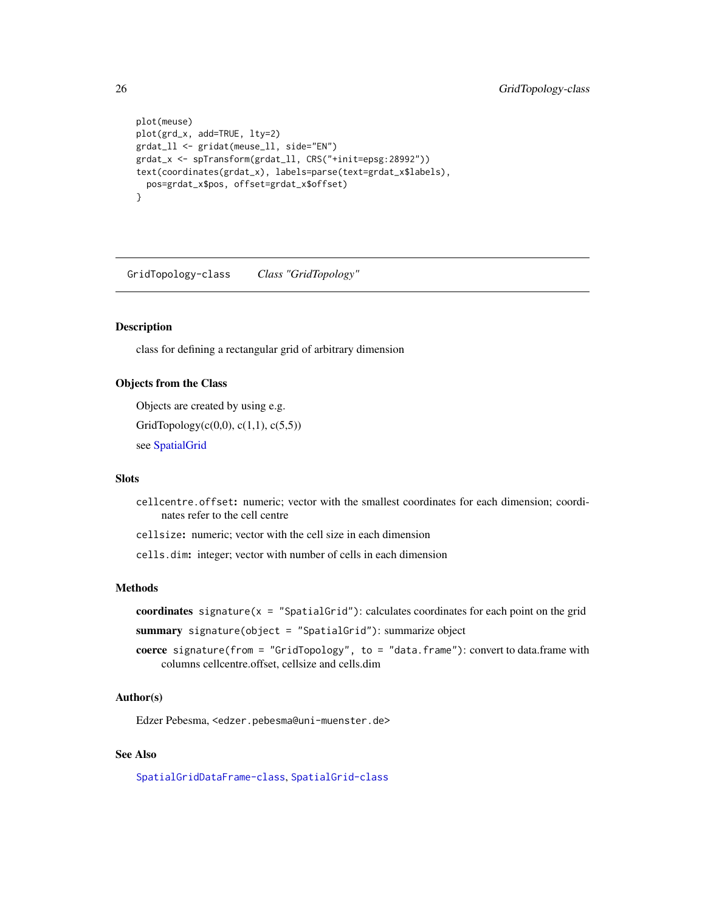```
plot(meuse)
plot(grd_x, add=TRUE, lty=2)
grdat_ll <- gridat(meuse_ll, side="EN")
grdat_x <- spTransform(grdat_ll, CRS("+init=epsg:28992"))
text(coordinates(grdat_x), labels=parse(text=grdat_x$labels),
  pos=grdat_x$pos, offset=grdat_x$offset)
}
```
GridTopology-class *Class "GridTopology"*

#### Description

class for defining a rectangular grid of arbitrary dimension

#### Objects from the Class

Objects are created by using e.g.

GridTopology( $c(0,0)$ ,  $c(1,1)$ ,  $c(5,5)$ )

see [SpatialGrid](#page-62-1)

#### Slots

cellcentre.offset: numeric; vector with the smallest coordinates for each dimension; coordinates refer to the cell centre

cellsize: numeric; vector with the cell size in each dimension

cells.dim: integer; vector with number of cells in each dimension

#### Methods

coordinates signature( $x =$  "SpatialGrid"): calculates coordinates for each point on the grid

summary signature(object = "SpatialGrid"): summarize object

coerce signature(from = "GridTopology", to = "data.frame"): convert to data.frame with columns cellcentre.offset, cellsize and cells.dim

#### Author(s)

Edzer Pebesma, <edzer.pebesma@uni-muenster.de>

# See Also

[SpatialGridDataFrame-class](#page-57-1), [SpatialGrid-class](#page-56-1)

<span id="page-25-0"></span>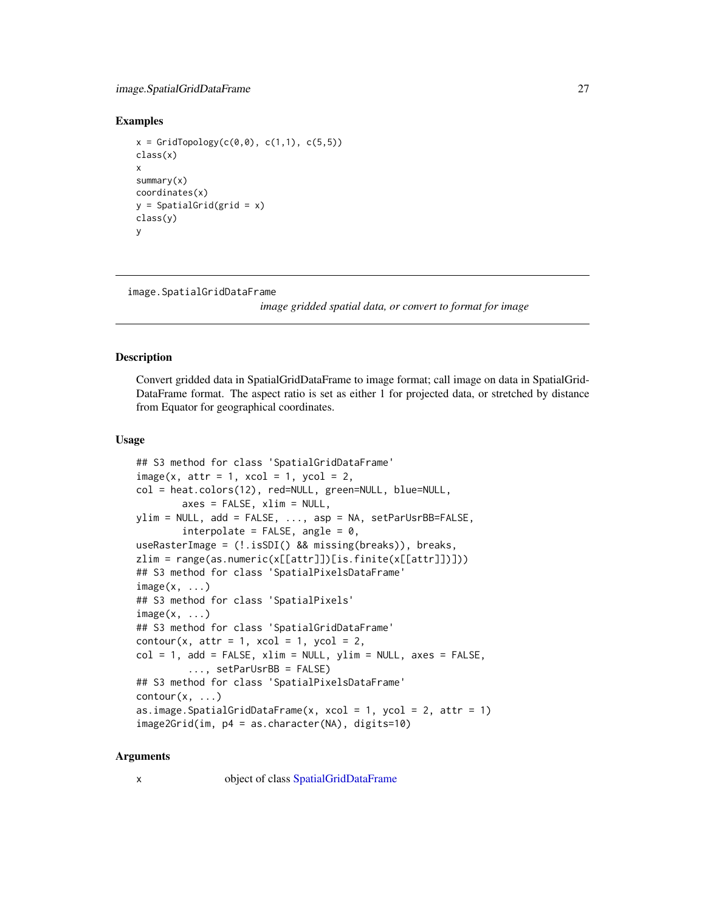# <span id="page-26-0"></span>image.SpatialGridDataFrame 27

#### Examples

```
x = \text{GridTopology}(c(0, 0), c(1, 1), c(5, 5))class(x)
x
summary(x)
coordinates(x)
y = SpatialGrid(grid = x)
class(y)
y
```
image.SpatialGridDataFrame

*image gridded spatial data, or convert to format for image*

#### **Description**

Convert gridded data in SpatialGridDataFrame to image format; call image on data in SpatialGrid-DataFrame format. The aspect ratio is set as either 1 for projected data, or stretched by distance from Equator for geographical coordinates.

# Usage

```
## S3 method for class 'SpatialGridDataFrame'
image(x, attr = 1, xcol = 1, ycol = 2,col = heat.colors(12), red=NULL, green=NULL, blue=NULL,
        axes = FALSE, xlim = NULL,
ylim = NULL, add = FALSE, ..., asp = NA, setParUsrBB=FALSE,
        interpolate = FALSE, angle = 0,
useRasterImage = (!.isSDI() && missing(breaks)), breaks,
zlim = range(as.numeric(x[[attr]])[is.finite(x[[attr]])]))
## S3 method for class 'SpatialPixelsDataFrame'
image(x, \ldots)## S3 method for class 'SpatialPixels'
image(x, \ldots)## S3 method for class 'SpatialGridDataFrame'
contour(x, attr = 1, xcol = 1, ycol = 2,col = 1, add = FALSE, xlim = NULL, ylim = NULL, axes = FALSE,
         ..., setParUsrBB = FALSE)
## S3 method for class 'SpatialPixelsDataFrame'
contour(x, \ldots)as.image.SpatialGridDataFrame(x, xcol = 1, ycol = 2, attr = 1)
image2Grid(im, p4 = as.character(NA), digits=10)
```
#### Arguments

x object of class [SpatialGridDataFrame](#page-66-1)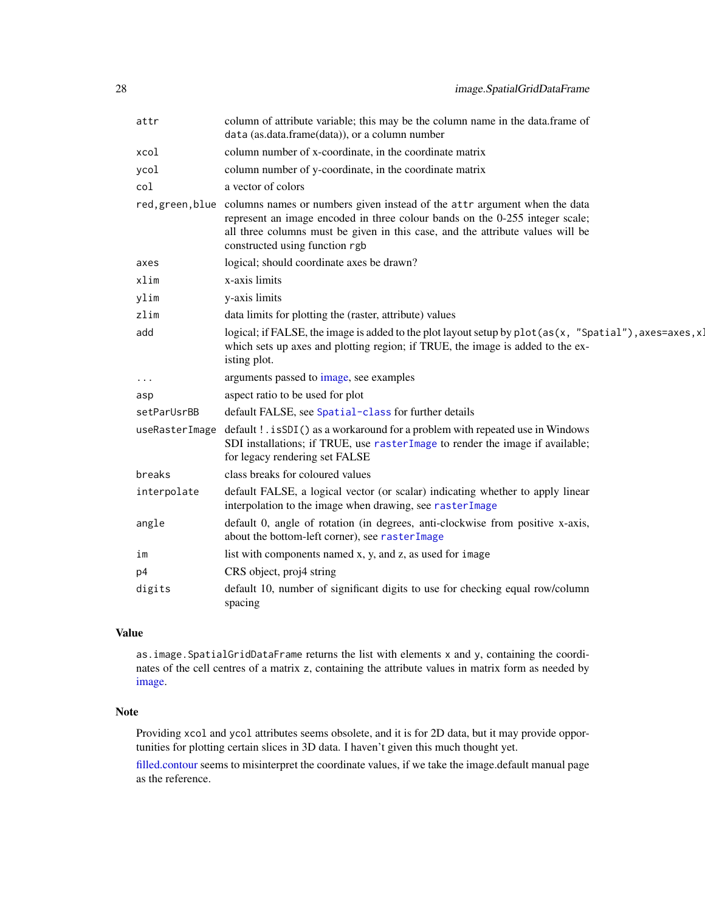| attr           | column of attribute variable; this may be the column name in the data.frame of<br>data (as.data.frame(data)), or a column number                                                                                                                                                               |
|----------------|------------------------------------------------------------------------------------------------------------------------------------------------------------------------------------------------------------------------------------------------------------------------------------------------|
| xcol           | column number of x-coordinate, in the coordinate matrix                                                                                                                                                                                                                                        |
| ycol           | column number of y-coordinate, in the coordinate matrix                                                                                                                                                                                                                                        |
| col            | a vector of colors                                                                                                                                                                                                                                                                             |
|                | red, green, blue columns names or numbers given instead of the attr argument when the data<br>represent an image encoded in three colour bands on the 0-255 integer scale;<br>all three columns must be given in this case, and the attribute values will be<br>constructed using function rgb |
| axes           | logical; should coordinate axes be drawn?                                                                                                                                                                                                                                                      |
| xlim           | x-axis limits                                                                                                                                                                                                                                                                                  |
| ylim           | y-axis limits                                                                                                                                                                                                                                                                                  |
| zlim           | data limits for plotting the (raster, attribute) values                                                                                                                                                                                                                                        |
| add            | logical; if FALSE, the image is added to the plot layout setup by $plot(as(x, "Spatial")$ , axes=axes, x.<br>which sets up axes and plotting region; if TRUE, the image is added to the ex-<br>isting plot.                                                                                    |
| .              | arguments passed to image, see examples                                                                                                                                                                                                                                                        |
| asp            | aspect ratio to be used for plot                                                                                                                                                                                                                                                               |
| setParUsrBB    | default FALSE, see Spatial-class for further details                                                                                                                                                                                                                                           |
| useRasterImage | default ! . is SDI() as a workaround for a problem with repeated use in Windows<br>SDI installations; if TRUE, use rasterImage to render the image if available;<br>for legacy rendering set FALSE                                                                                             |
| breaks         | class breaks for coloured values                                                                                                                                                                                                                                                               |
| interpolate    | default FALSE, a logical vector (or scalar) indicating whether to apply linear<br>interpolation to the image when drawing, see rasterImage                                                                                                                                                     |
| angle          | default 0, angle of rotation (in degrees, anti-clockwise from positive x-axis,<br>about the bottom-left corner), see rasterImage                                                                                                                                                               |
| im             | list with components named x, y, and z, as used for image                                                                                                                                                                                                                                      |
| p4             | CRS object, proj4 string                                                                                                                                                                                                                                                                       |
| digits         | default 10, number of significant digits to use for checking equal row/column<br>spacing                                                                                                                                                                                                       |

# Value

as.image.SpatialGridDataFrame returns the list with elements x and y, containing the coordinates of the cell centres of a matrix z, containing the attribute values in matrix form as needed by [image.](#page-0-0)

# Note

Providing xcol and ycol attributes seems obsolete, and it is for 2D data, but it may provide opportunities for plotting certain slices in 3D data. I haven't given this much thought yet.

[filled.contour](#page-0-0) seems to misinterpret the coordinate values, if we take the image.default manual page as the reference.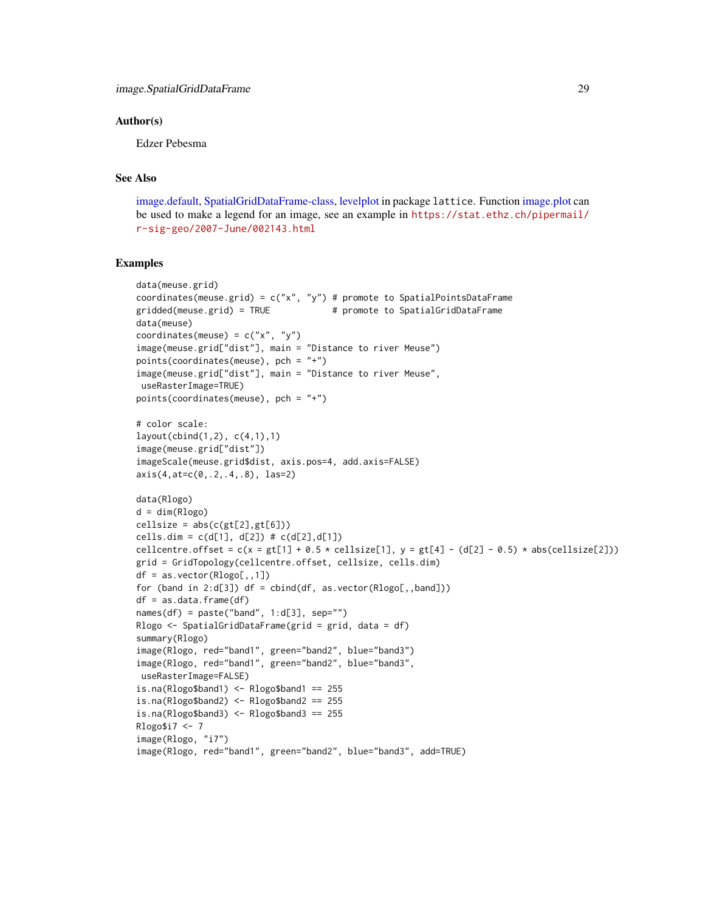#### Author(s)

Edzer Pebesma

# See Also

[image.default,](#page-0-0) [SpatialGridDataFrame-class,](#page-57-1) [levelplot](#page-0-0) in package lattice. Function [image.plot](#page-0-0) can be used to make a legend for an image, see an example in [https://stat.ethz.ch/pipermail/](https://stat.ethz.ch/pipermail/r-sig-geo/2007-June/002143.html) [r-sig-geo/2007-June/002143.html](https://stat.ethz.ch/pipermail/r-sig-geo/2007-June/002143.html)

```
data(meuse.grid)
coordinates(meuse.grid) = c("x", "y") # promote to SpatialPointsDataFrame
gridded(meuse.grid) = TRUE # promote to SpatialGridDataFrame
data(meuse)
coordinates(meuse) = c("x", "y")image(meuse.grid["dist"], main = "Distance to river Meuse")
points(coordinates(meuse), pch = "+")
image(meuse.grid["dist"], main = "Distance to river Meuse",
useRasterImage=TRUE)
points(coordinates(meuse), pch = "+")
# color scale:
layout(cbind(1,2), c(4,1),1)
image(meuse.grid["dist"])
imageScale(meuse.grid$dist, axis.pos=4, add.axis=FALSE)
axis(4,at=c(0,.2,.4,.8), las=2)
data(Rlogo)
d = dim(Rlogo)cellsize = abs(c(gt[2], gt[6]))cells.dim = c(d[1], d[2]) # c(d[2], d[1])cellcentre.offset = c(x = gt[1] + 0.5 \times cellsize[1], y = gt[4] - (d[2] - 0.5) \times abs(cellsize[2]))
grid = GridTopology(cellcentre.offset, cellsize, cells.dim)
df = as.vector(Rlogo[,,1])
for (band in 2:d[3]) df = cbind(df, as.vector(Rlogo[,,band]))
df = as.data.frame(df)
names(df) = paste("band", 1:d[3], sep="")
Rlogo <- SpatialGridDataFrame(grid = grid, data = df)
summary(Rlogo)
image(Rlogo, red="band1", green="band2", blue="band3")
image(Rlogo, red="band1", green="band2", blue="band3",
useRasterImage=FALSE)
is.na(Rlogo$band1) <- Rlogo$band1 == 255
is.na(Rlogo$band2) <- Rlogo$band2 == 255
is.na(Rlogo$band3) < -Rlogo$band3 == 255Rlogo$i7 <- 7
image(Rlogo, "i7")
image(Rlogo, red="band1", green="band2", blue="band3", add=TRUE)
```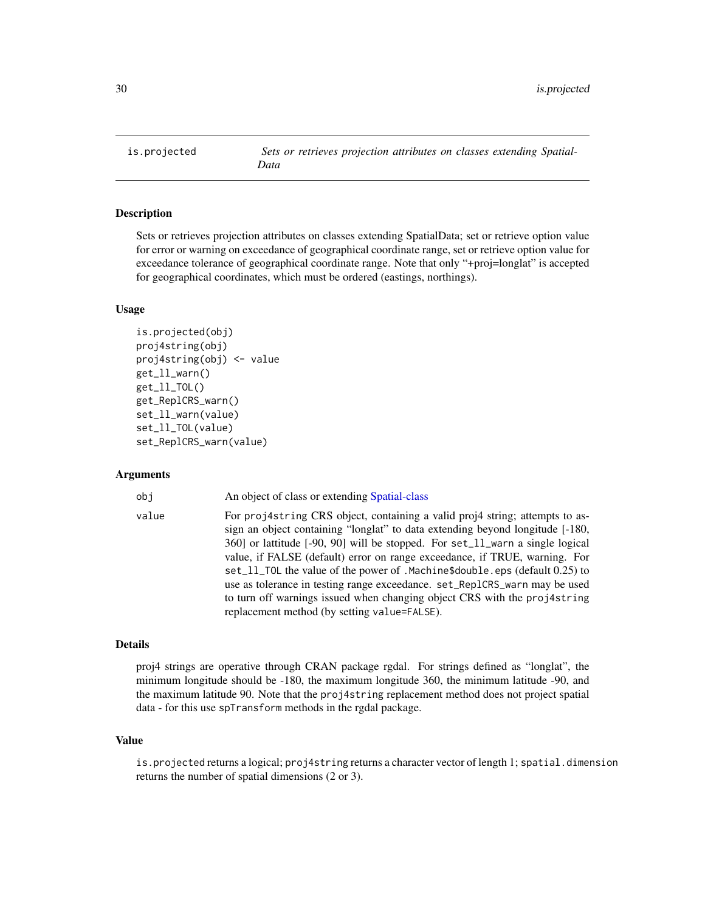<span id="page-29-0"></span>is.projected *Sets or retrieves projection attributes on classes extending Spatial-Data*

#### <span id="page-29-1"></span>Description

Sets or retrieves projection attributes on classes extending SpatialData; set or retrieve option value for error or warning on exceedance of geographical coordinate range, set or retrieve option value for exceedance tolerance of geographical coordinate range. Note that only "+proj=longlat" is accepted for geographical coordinates, which must be ordered (eastings, northings).

#### Usage

```
is.projected(obj)
proj4string(obj)
proj4string(obj) <- value
get_ll_warn()
get_ll_TOL()
get_ReplCRS_warn()
set_ll_warn(value)
set_ll_TOL(value)
set_ReplCRS_warn(value)
```
#### Arguments

obj An object of class or extending [Spatial-class](#page-54-3)

value For proj4string CRS object, containing a valid proj4 string; attempts to assign an object containing "longlat" to data extending beyond longitude [-180, 360] or lattitude [-90, 90] will be stopped. For set\_ll\_warn a single logical value, if FALSE (default) error on range exceedance, if TRUE, warning. For set\_ll\_TOL the value of the power of .Machine\$double.eps (default 0.25) to use as tolerance in testing range exceedance. set\_ReplCRS\_warn may be used to turn off warnings issued when changing object CRS with the proj4string replacement method (by setting value=FALSE).

## Details

proj4 strings are operative through CRAN package rgdal. For strings defined as "longlat", the minimum longitude should be -180, the maximum longitude 360, the minimum latitude -90, and the maximum latitude 90. Note that the proj4string replacement method does not project spatial data - for this use spTransform methods in the rgdal package.

#### Value

is.projected returns a logical; proj4string returns a character vector of length 1; spatial.dimension returns the number of spatial dimensions (2 or 3).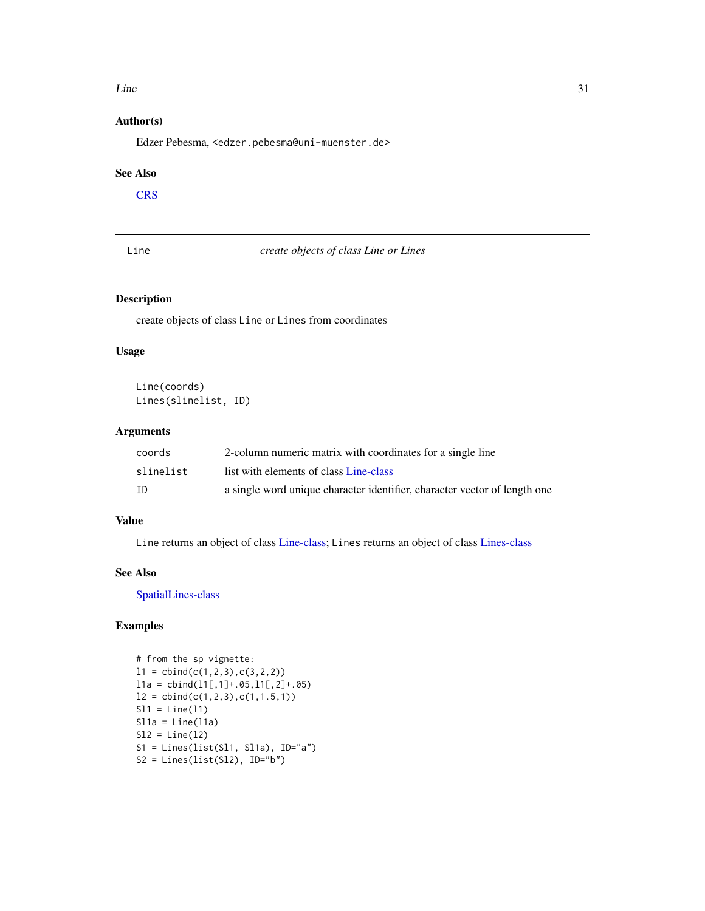#### <span id="page-30-0"></span> $Line$  31

# Author(s)

Edzer Pebesma, <edzer.pebesma@uni-muenster.de>

#### See Also

**[CRS](#page-14-2)** 

<span id="page-30-1"></span>Line *create objects of class Line or Lines*

# <span id="page-30-2"></span>Description

create objects of class Line or Lines from coordinates

#### Usage

Line(coords) Lines(slinelist, ID)

# Arguments

| coords    | 2-column numeric matrix with coordinates for a single line                |
|-----------|---------------------------------------------------------------------------|
| slinelist | list with elements of class Line-class                                    |
| ΙD        | a single word unique character identifier, character vector of length one |

# Value

Line returns an object of class [Line-class;](#page-31-1) Lines returns an object of class [Lines-class](#page-31-2)

#### See Also

[SpatialLines-class](#page-60-1)

```
# from the sp vignette:
11 = \text{cbind}(c(1, 2, 3), c(3, 2, 2))l1a = cbind(l1[,1]+.05,l1[,2]+.05)
12 = \text{cbind}(c(1, 2, 3), c(1, 1.5, 1))S11 = Line(11)S11a = Line(11a)S12 = Line(12)S1 = Lines(list(Sl1, Sl1a), ID="a")
S2 = Lines(list(S12), ID="b")
```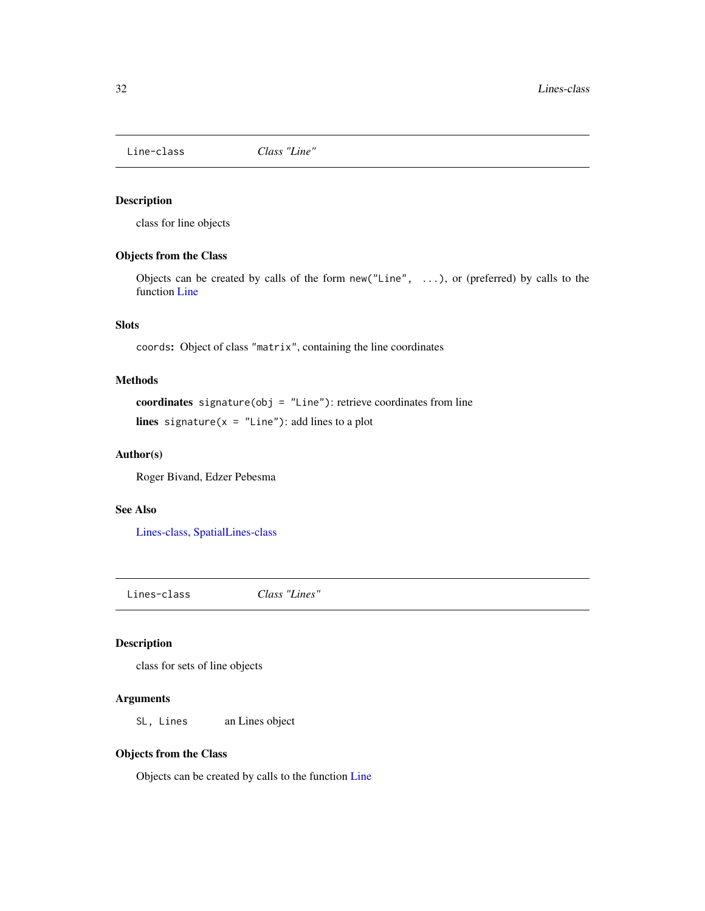<span id="page-31-1"></span><span id="page-31-0"></span>

#### Description

class for line objects

# Objects from the Class

Objects can be created by calls of the form new("Line", ...), or (preferred) by calls to the function [Line](#page-30-1)

# **Slots**

coords: Object of class "matrix", containing the line coordinates

# Methods

coordinates signature(obj = "Line"): retrieve coordinates from line lines signature( $x =$  "Line"): add lines to a plot

# Author(s)

Roger Bivand, Edzer Pebesma

#### See Also

[Lines-class,](#page-31-2) [SpatialLines-class](#page-60-1)

<span id="page-31-2"></span>Lines-class *Class "Lines"*

#### Description

class for sets of line objects

#### Arguments

SL, Lines an Lines object

#### Objects from the Class

Objects can be created by calls to the function [Line](#page-30-1)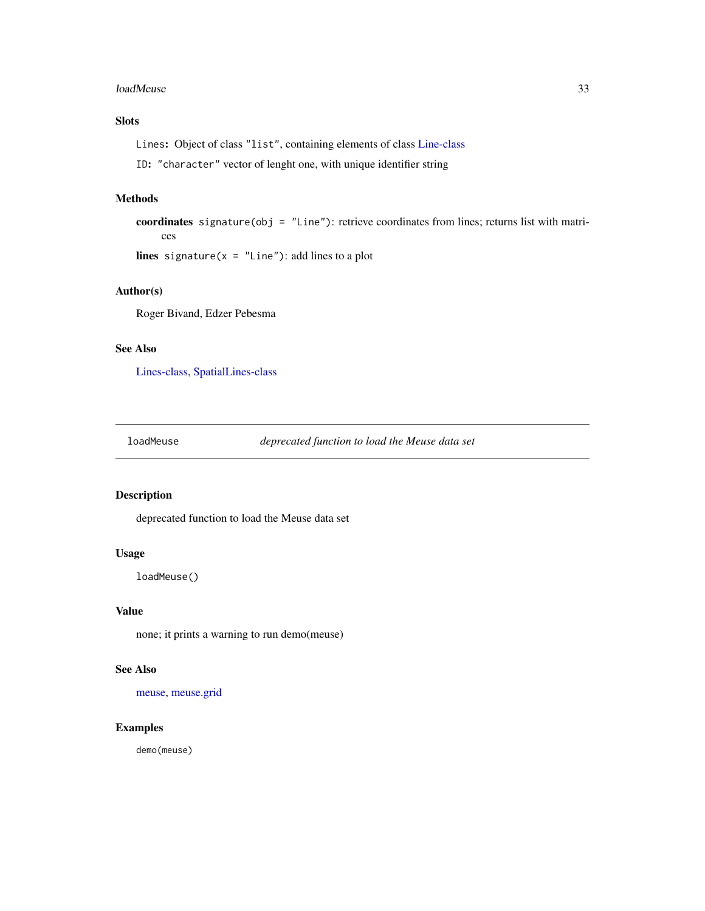#### <span id="page-32-0"></span>loadMeuse 33

# Slots

Lines: Object of class "list", containing elements of class [Line-class](#page-31-1)

ID: "character" vector of lenght one, with unique identifier string

# Methods

coordinates signature(obj = "Line"): retrieve coordinates from lines; returns list with matrices

lines signature( $x =$  "Line"): add lines to a plot

# Author(s)

Roger Bivand, Edzer Pebesma

# See Also

[Lines-class,](#page-31-2) [SpatialLines-class](#page-60-1)

loadMeuse *deprecated function to load the Meuse data set*

#### Description

deprecated function to load the Meuse data set

# Usage

loadMeuse()

# Value

none; it prints a warning to run demo(meuse)

# See Also

[meuse,](#page-35-1) [meuse.grid](#page-36-1)

#### Examples

demo(meuse)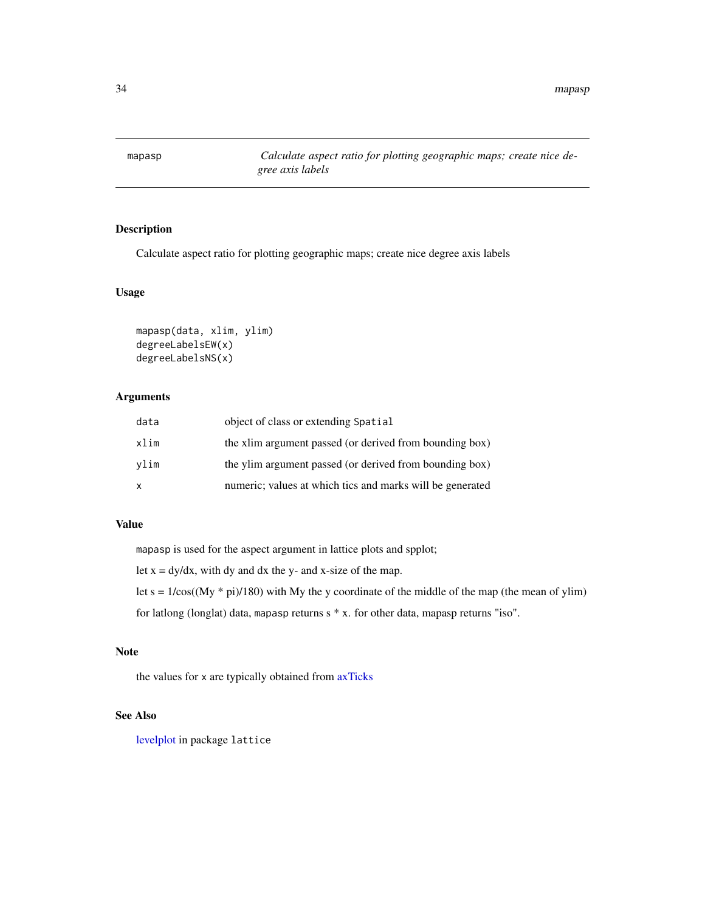<span id="page-33-1"></span><span id="page-33-0"></span>mapasp *Calculate aspect ratio for plotting geographic maps; create nice degree axis labels*

# Description

Calculate aspect ratio for plotting geographic maps; create nice degree axis labels

# Usage

```
mapasp(data, xlim, ylim)
degreeLabelsEW(x)
degreeLabelsNS(x)
```
# Arguments

| data         | object of class or extending Spatial                      |
|--------------|-----------------------------------------------------------|
| xlim         | the xlim argument passed (or derived from bounding box)   |
| vlim         | the ylim argument passed (or derived from bounding box)   |
| $\mathsf{x}$ | numeric; values at which tics and marks will be generated |

# Value

mapasp is used for the aspect argument in lattice plots and spplot;

let  $x = dy/dx$ , with dy and dx the y- and x-size of the map.

let  $s = 1/\cos((My * pi)/180)$  with My the y coordinate of the middle of the map (the mean of ylim)

for latlong (longlat) data, mapasp returns s \* x. for other data, mapasp returns "iso".

# Note

the values for x are typically obtained from [axTicks](#page-0-0)

# See Also

[levelplot](#page-0-0) in package lattice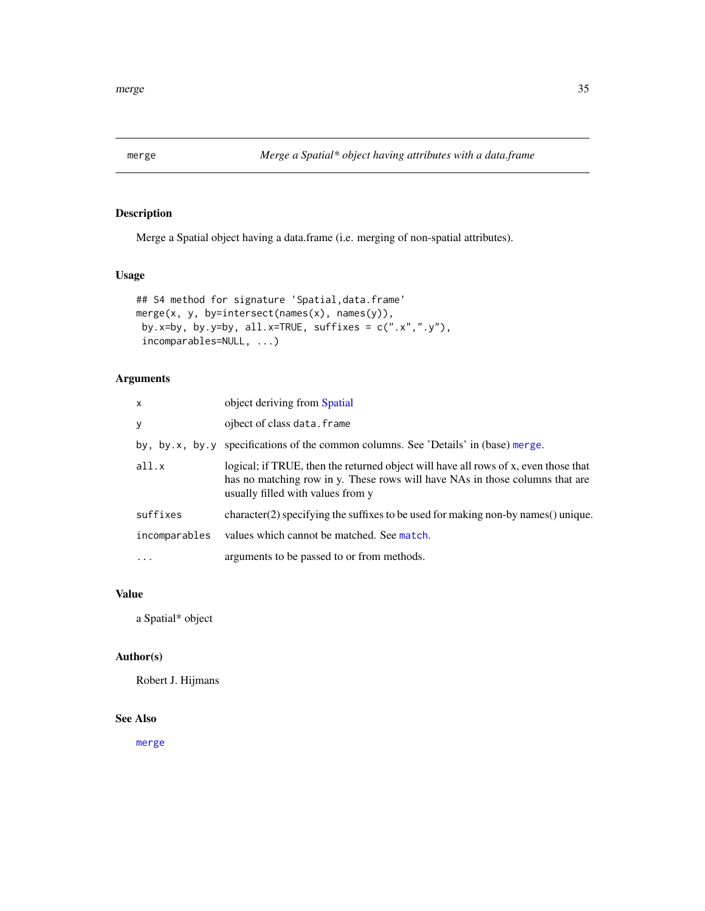<span id="page-34-1"></span><span id="page-34-0"></span>

# Description

Merge a Spatial object having a data.frame (i.e. merging of non-spatial attributes).

# Usage

```
## S4 method for signature 'Spatial, data.frame'
merge(x, y, by=intersect(names(x), names(y)),
by.x=by, by.y=by, all.x=TRUE, suffixes = c("x", "y"),
incomparables=NULL, ...)
```
# Arguments

| $\mathsf{x}$  | object deriving from Spatial                                                                                                                                                                             |
|---------------|----------------------------------------------------------------------------------------------------------------------------------------------------------------------------------------------------------|
| y             | ojbect of class data. frame                                                                                                                                                                              |
|               | by, by.x, by.y specifications of the common columns. See 'Details' in (base) merge.                                                                                                                      |
| all.x         | logical; if TRUE, then the returned object will have all rows of x, even those that<br>has no matching row in y. These rows will have NAs in those columns that are<br>usually filled with values from y |
| suffixes      | $character(2)$ specifying the suffixes to be used for making non-by names $()$ unique.                                                                                                                   |
| incomparables | values which cannot be matched. See match.                                                                                                                                                               |
| $\cdot$       | arguments to be passed to or from methods.                                                                                                                                                               |

# Value

a Spatial\* object

# Author(s)

Robert J. Hijmans

# See Also

[merge](#page-34-1)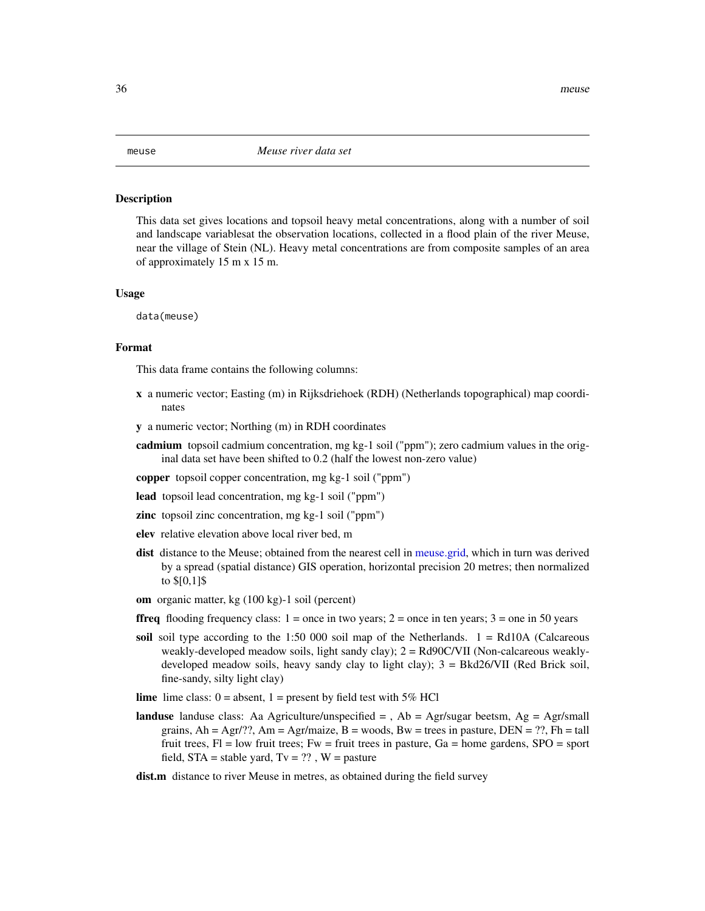#### <span id="page-35-1"></span><span id="page-35-0"></span>**Description**

This data set gives locations and topsoil heavy metal concentrations, along with a number of soil and landscape variablesat the observation locations, collected in a flood plain of the river Meuse, near the village of Stein (NL). Heavy metal concentrations are from composite samples of an area of approximately 15 m x 15 m.

#### Usage

data(meuse)

# Format

This data frame contains the following columns:

- x a numeric vector; Easting (m) in Rijksdriehoek (RDH) (Netherlands topographical) map coordinates
- y a numeric vector; Northing (m) in RDH coordinates
- cadmium topsoil cadmium concentration, mg kg-1 soil ("ppm"); zero cadmium values in the original data set have been shifted to 0.2 (half the lowest non-zero value)
- copper topsoil copper concentration, mg kg-1 soil ("ppm")
- lead topsoil lead concentration, mg kg-1 soil ("ppm")
- zinc topsoil zinc concentration, mg kg-1 soil ("ppm")
- elev relative elevation above local river bed, m
- dist distance to the Meuse; obtained from the nearest cell in [meuse.grid,](#page-36-1) which in turn was derived by a spread (spatial distance) GIS operation, horizontal precision 20 metres; then normalized to \$[0,1]\$
- om organic matter, kg (100 kg)-1 soil (percent)
- **ffreq** flooding frequency class:  $1 =$  once in two years;  $2 =$  once in ten years;  $3 =$  one in 50 years
- soil soil type according to the 1:50 000 soil map of the Netherlands.  $1 = \text{Rd10A}$  (Calcareous weakly-developed meadow soils, light sandy clay); 2 = Rd90C/VII (Non-calcareous weaklydeveloped meadow soils, heavy sandy clay to light clay); 3 = Bkd26/VII (Red Brick soil, fine-sandy, silty light clay)
- **lime** lime class:  $0 =$  absent,  $1 =$  present by field test with 5% HCl
- **landuse** landuse class: Aa Agriculture/unspecified  $=$  , Ab  $=$  Agr/sugar beetsm, Ag  $=$  Agr/small grains,  $Ah = Agr/??$ ,  $Am = Agr/maize$ ,  $B =$  woods,  $Bw =$  trees in pasture,  $DEN = ?$ ?,  $Fh =$  tall fruit trees,  $Fl = low$  fruit trees;  $Fw = fruit$  trees in pasture,  $Ga = home$  gardens,  $SPO = sport$ field,  $STA = stable$  yard,  $Tv = ?$ ?,  $W =$  pasture
- dist.m distance to river Meuse in metres, as obtained during the field survey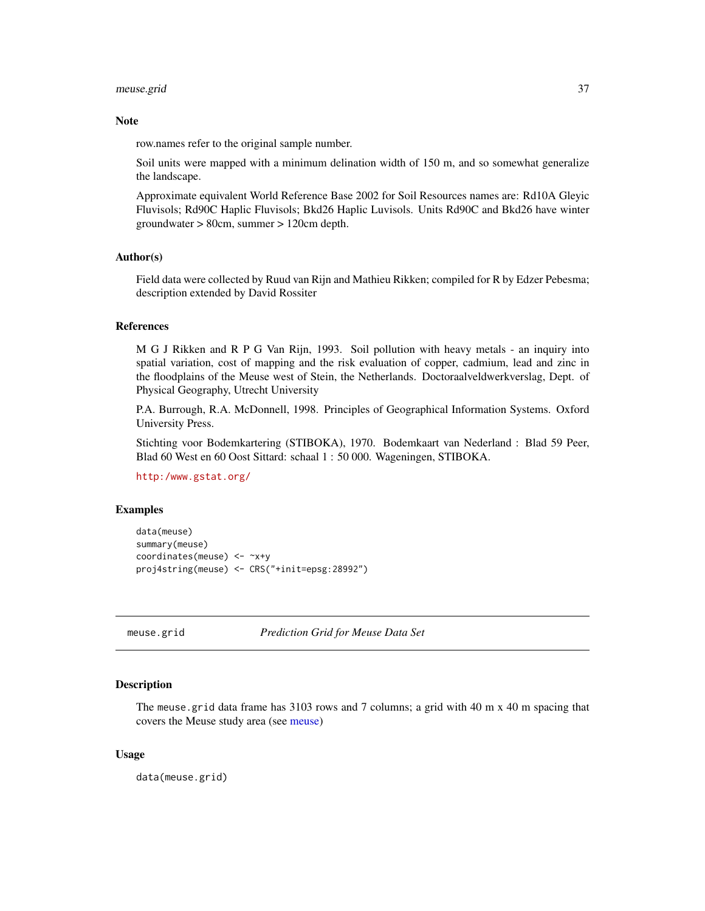#### meuse.grid 37

#### **Note**

row.names refer to the original sample number.

Soil units were mapped with a minimum delination width of 150 m, and so somewhat generalize the landscape.

Approximate equivalent World Reference Base 2002 for Soil Resources names are: Rd10A Gleyic Fluvisols; Rd90C Haplic Fluvisols; Bkd26 Haplic Luvisols. Units Rd90C and Bkd26 have winter groundwater > 80cm, summer > 120cm depth.

### Author(s)

Field data were collected by Ruud van Rijn and Mathieu Rikken; compiled for R by Edzer Pebesma; description extended by David Rossiter

#### References

M G J Rikken and R P G Van Rijn, 1993. Soil pollution with heavy metals - an inquiry into spatial variation, cost of mapping and the risk evaluation of copper, cadmium, lead and zinc in the floodplains of the Meuse west of Stein, the Netherlands. Doctoraalveldwerkverslag, Dept. of Physical Geography, Utrecht University

P.A. Burrough, R.A. McDonnell, 1998. Principles of Geographical Information Systems. Oxford University Press.

Stichting voor Bodemkartering (STIBOKA), 1970. Bodemkaart van Nederland : Blad 59 Peer, Blad 60 West en 60 Oost Sittard: schaal 1 : 50 000. Wageningen, STIBOKA.

<http:/www.gstat.org/>

#### Examples

```
data(meuse)
summary(meuse)
coordinates(meuse) <- ~x+y
proj4string(meuse) <- CRS("+init=epsg:28992")
```
meuse.grid *Prediction Grid for Meuse Data Set*

# **Description**

The meuse grid data frame has 3103 rows and 7 columns; a grid with 40 m x 40 m spacing that covers the Meuse study area (see [meuse\)](#page-35-0)

### Usage

data(meuse.grid)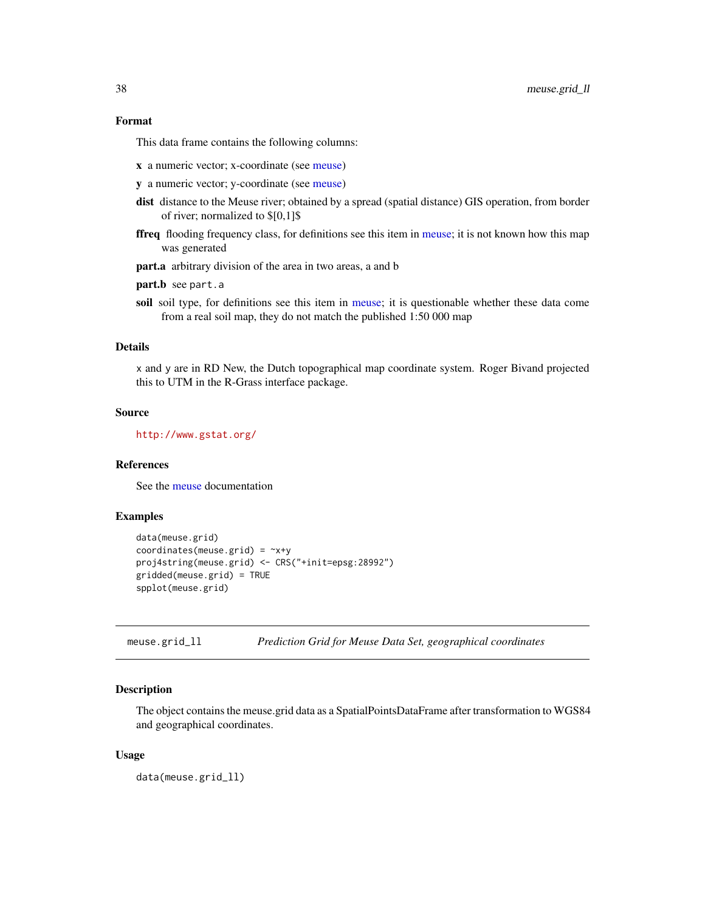## Format

This data frame contains the following columns:

- x a numeric vector; x-coordinate (see [meuse\)](#page-35-0)
- y a numeric vector; y-coordinate (see [meuse\)](#page-35-0)
- dist distance to the Meuse river; obtained by a spread (spatial distance) GIS operation, from border of river; normalized to \$[0,1]\$
- ffreq flooding frequency class, for definitions see this item in [meuse;](#page-35-0) it is not known how this map was generated
- part.a arbitrary division of the area in two areas, a and b
- part.b see part.a
- soil soil type, for definitions see this item in [meuse;](#page-35-0) it is questionable whether these data come from a real soil map, they do not match the published 1:50 000 map

# Details

x and y are in RD New, the Dutch topographical map coordinate system. Roger Bivand projected this to UTM in the R-Grass interface package.

#### Source

<http://www.gstat.org/>

### References

See the [meuse](#page-35-0) documentation

## Examples

```
data(meuse.grid)
coordinates(meuse.grid) = -x+yproj4string(meuse.grid) <- CRS("+init=epsg:28992")
gridded(meuse.grid) = TRUE
spplot(meuse.grid)
```
meuse.grid\_ll *Prediction Grid for Meuse Data Set, geographical coordinates*

# Description

The object contains the meuse.grid data as a SpatialPointsDataFrame after transformation to WGS84 and geographical coordinates.

#### Usage

data(meuse.grid\_ll)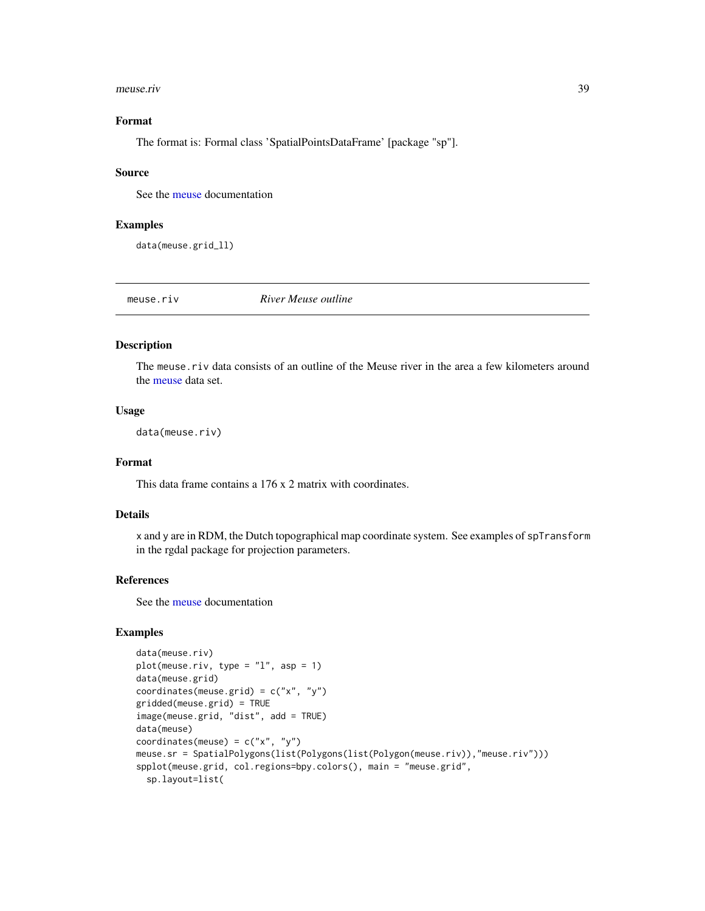#### meuse.riv 39

## Format

The format is: Formal class 'SpatialPointsDataFrame' [package "sp"].

#### Source

See the [meuse](#page-35-0) documentation

## Examples

data(meuse.grid\_ll)

meuse.riv *River Meuse outline*

## Description

The meuse.riv data consists of an outline of the Meuse river in the area a few kilometers around the [meuse](#page-35-0) data set.

# Usage

data(meuse.riv)

# Format

This data frame contains a 176 x 2 matrix with coordinates.

## Details

x and y are in RDM, the Dutch topographical map coordinate system. See examples of spTransform in the rgdal package for projection parameters.

### References

See the [meuse](#page-35-0) documentation

# Examples

```
data(meuse.riv)
plot(meuse.riv, type = "l", asp = 1)
data(meuse.grid)
coordinates(meuse.grid) = c("x", "y")gridded(meuse.grid) = TRUE
image(meuse.grid, "dist", add = TRUE)
data(meuse)
coordinates(meuse) = c("x", "y")meuse.sr = SpatialPolygons(list(Polygons(list(Polygon(meuse.riv)),"meuse.riv")))
spplot(meuse.grid, col.regions=bpy.colors(), main = "meuse.grid",
  sp.layout=list(
```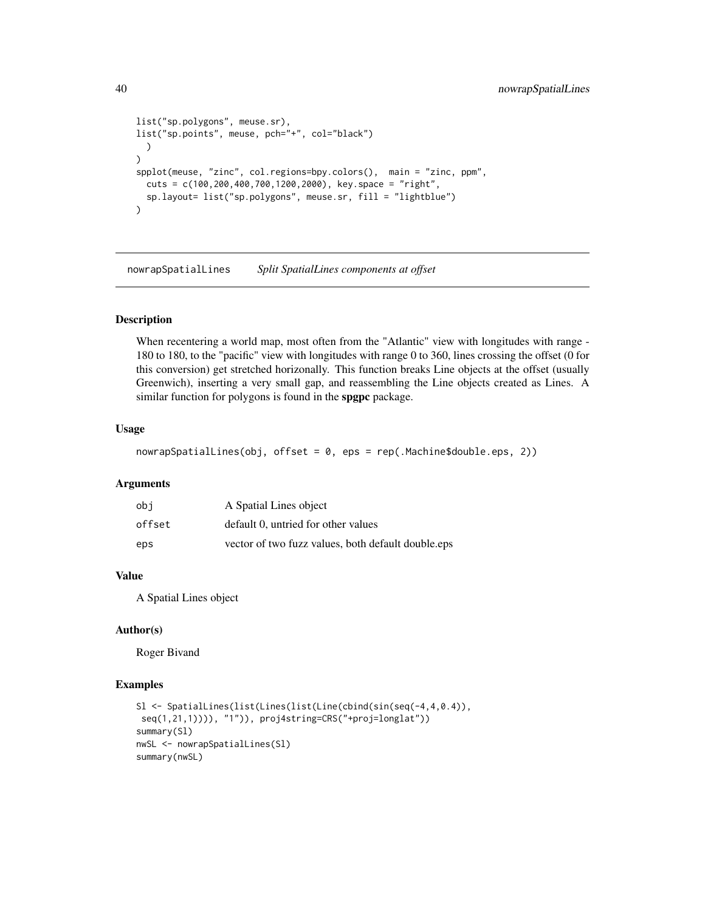```
list("sp.polygons", meuse.sr),
list("sp.points", meuse, pch="+", col="black")
  )
\mathcal{L}spplot(meuse, "zinc", col.regions=bpy.colors(), main = "zinc, ppm",
  cuts = c(100,200,400,700,1200,2000), key.space = "right",
  sp.layout= list("sp.polygons", meuse.sr, fill = "lightblue")
\mathcal{L}
```
nowrapSpatialLines *Split SpatialLines components at offset*

## Description

When recentering a world map, most often from the "Atlantic" view with longitudes with range - 180 to 180, to the "pacific" view with longitudes with range 0 to 360, lines crossing the offset (0 for this conversion) get stretched horizonally. This function breaks Line objects at the offset (usually Greenwich), inserting a very small gap, and reassembling the Line objects created as Lines. A similar function for polygons is found in the **spgpc** package.

# Usage

```
nowrapSpatialLines(obj, offset = 0, eps = rep(.Machine$double.eps, 2))
```
# Arguments

| obi    | A Spatial Lines object                             |
|--------|----------------------------------------------------|
| offset | default 0, untried for other values                |
| eps    | vector of two fuzz values, both default double.eps |

## Value

A Spatial Lines object

## Author(s)

Roger Bivand

## Examples

```
Sl <- SpatialLines(list(Lines(list(Line(cbind(sin(seq(-4,4,0.4)),
seq(1,21,1)))), "1")), proj4string=CRS("+proj=longlat"))
summary(Sl)
nwSL <- nowrapSpatialLines(Sl)
summary(nwSL)
```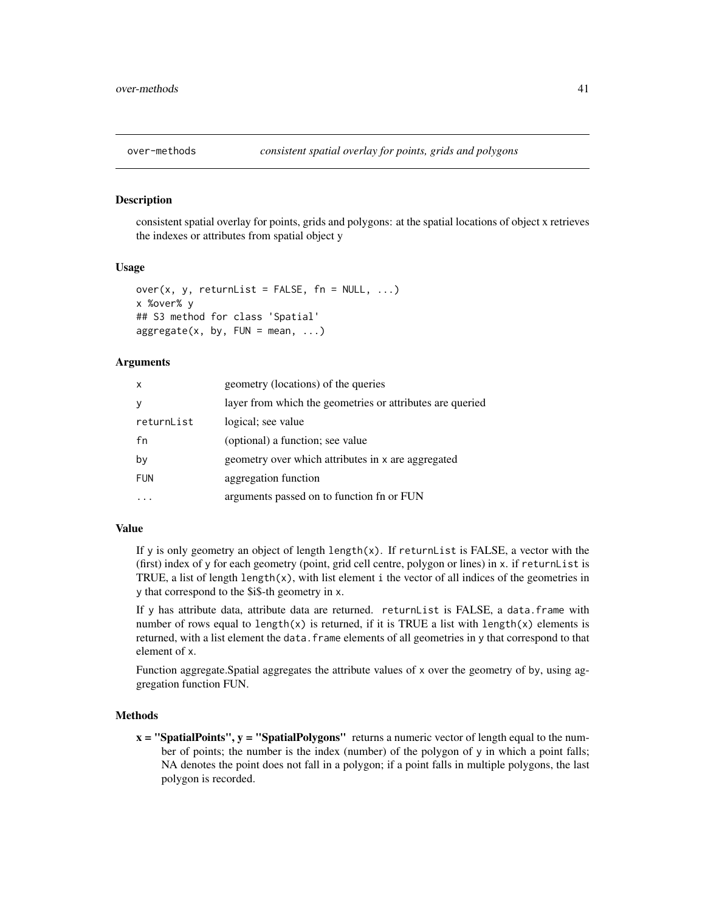# <span id="page-40-0"></span>Description

consistent spatial overlay for points, grids and polygons: at the spatial locations of object x retrieves the indexes or attributes from spatial object y

## Usage

```
over(x, y, returnList = FALSE, fn = NULL, ...)x %over% y
## S3 method for class 'Spatial'
aggregate(x, by, FUN = mean, ...)
```
## **Arguments**

| $\mathsf{x}$ | geometry (locations) of the queries                       |  |
|--------------|-----------------------------------------------------------|--|
| y            | layer from which the geometries or attributes are queried |  |
| returnList   | logical; see value                                        |  |
| fn           | (optional) a function; see value                          |  |
| by           | geometry over which attributes in x are aggregated        |  |
| <b>FUN</b>   | aggregation function                                      |  |
|              | arguments passed on to function fn or FUN                 |  |

## Value

If y is only geometry an object of length  $\text{length}(x)$ . If return List is FALSE, a vector with the (first) index of y for each geometry (point, grid cell centre, polygon or lines) in x. if returnList is TRUE, a list of length  $l$ ength $(x)$ , with list element i the vector of all indices of the geometries in y that correspond to the \$i\$-th geometry in x.

If y has attribute data, attribute data are returned. returnList is FALSE, a data.frame with number of rows equal to length(x) is returned, if it is TRUE a list with length(x) elements is returned, with a list element the data. frame elements of all geometries in y that correspond to that element of x.

Function aggregate.Spatial aggregates the attribute values of x over the geometry of by, using aggregation function FUN.

## Methods

 $x =$  "SpatialPoints",  $y =$  "SpatialPolygons" returns a numeric vector of length equal to the number of points; the number is the index (number) of the polygon of y in which a point falls; NA denotes the point does not fall in a polygon; if a point falls in multiple polygons, the last polygon is recorded.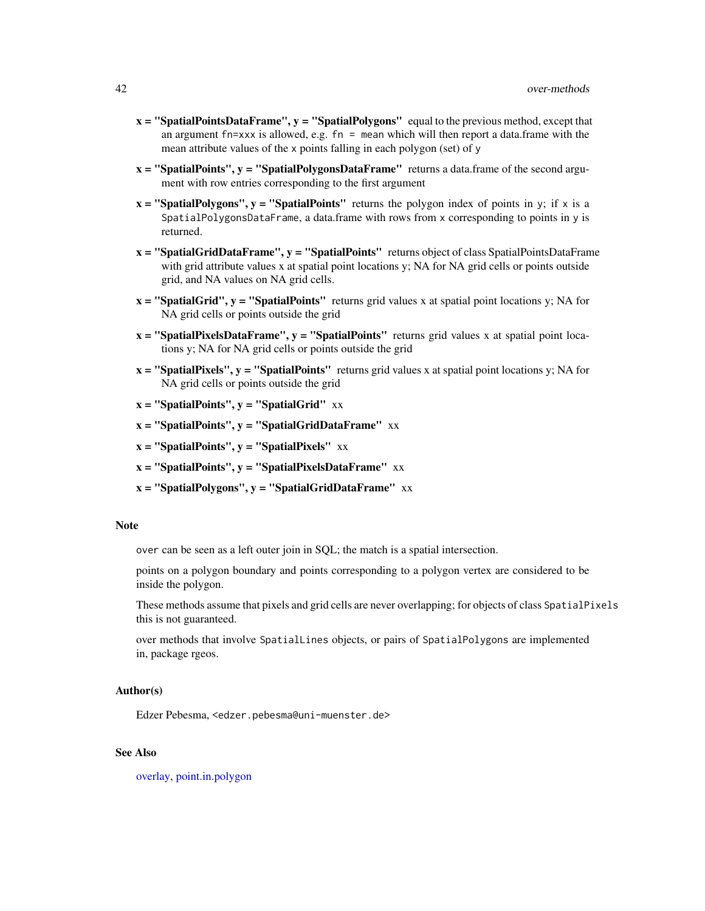- $x =$  "SpatialPointsDataFrame",  $y =$  "SpatialPolygons" equal to the previous method, except that an argument fn=xxx is allowed, e.g.  $fn =$  mean which will then report a data.frame with the mean attribute values of the x points falling in each polygon (set) of y
- $x =$  "SpatialPoints",  $y =$  "SpatialPolygonsDataFrame" returns a data.frame of the second argument with row entries corresponding to the first argument
- $x =$  "SpatialPolygons",  $y =$  "SpatialPoints" returns the polygon index of points in y; if x is a SpatialPolygonsDataFrame, a data.frame with rows from x corresponding to points in y is returned.
- $x =$  "SpatialGridDataFrame",  $y =$  "SpatialPoints" returns object of class SpatialPointsDataFrame with grid attribute values x at spatial point locations y; NA for NA grid cells or points outside grid, and NA values on NA grid cells.
- $x =$  "SpatialGrid",  $y =$  "SpatialPoints" returns grid values x at spatial point locations y; NA for NA grid cells or points outside the grid
- $x =$  "SpatialPixelsDataFrame",  $y =$  "SpatialPoints" returns grid values x at spatial point locations y; NA for NA grid cells or points outside the grid
- $x =$  "SpatialPixels",  $y =$  "SpatialPoints" returns grid values x at spatial point locations y; NA for NA grid cells or points outside the grid
- $x =$  "SpatialPoints",  $y =$  "SpatialGrid" xx
- $x =$  "SpatialPoints",  $y =$  "SpatialGridDataFrame" xx
- $x =$  "SpatialPoints",  $y =$  "SpatialPixels"  $xx$
- $x =$  "SpatialPoints",  $y =$  "SpatialPixelsDataFrame" xx
- $x =$  "SpatialPolygons",  $y =$  "SpatialGridDataFrame" xx

# **Note**

over can be seen as a left outer join in SQL; the match is a spatial intersection.

points on a polygon boundary and points corresponding to a polygon vertex are considered to be inside the polygon.

These methods assume that pixels and grid cells are never overlapping; for objects of class SpatialPixels this is not guaranteed.

over methods that involve SpatialLines objects, or pairs of SpatialPolygons are implemented in, package rgeos.

## Author(s)

Edzer Pebesma, <edzer.pebesma@uni-muenster.de>

# See Also

[overlay,](#page-54-0) [point.in.polygon](#page-44-0)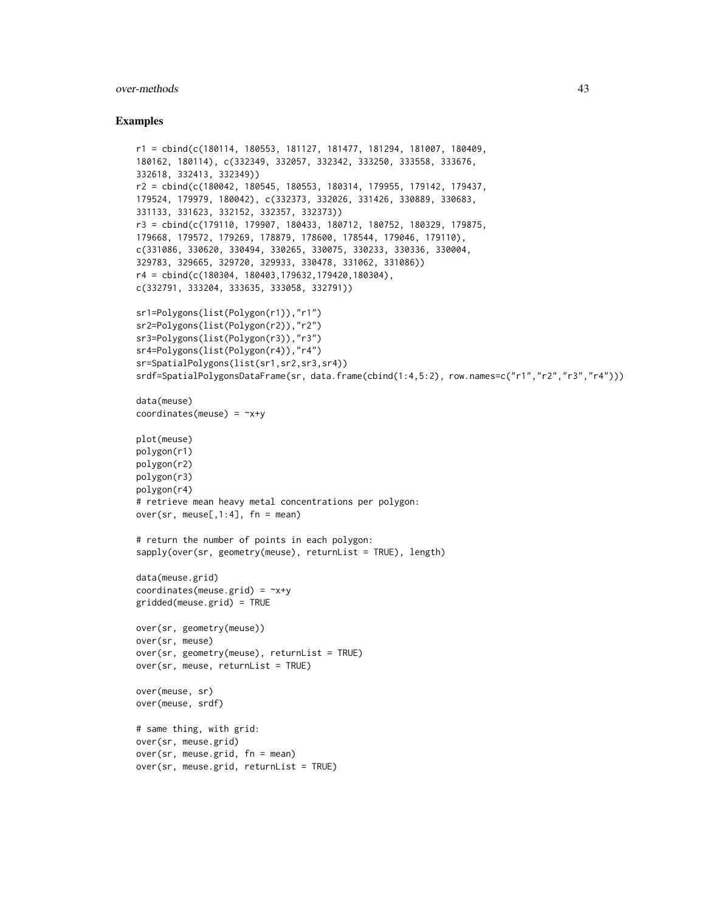#### over-methods 43

### Examples

```
r1 = cbind(c(180114, 180553, 181127, 181477, 181294, 181007, 180409,
180162, 180114), c(332349, 332057, 332342, 333250, 333558, 333676,
332618, 332413, 332349))
r2 = cbind(c(180042, 180545, 180553, 180314, 179955, 179142, 179437,
179524, 179979, 180042), c(332373, 332026, 331426, 330889, 330683,
331133, 331623, 332152, 332357, 332373))
r3 = cbind(c(179110, 179907, 180433, 180712, 180752, 180329, 179875,
179668, 179572, 179269, 178879, 178600, 178544, 179046, 179110),
c(331086, 330620, 330494, 330265, 330075, 330233, 330336, 330004,
329783, 329665, 329720, 329933, 330478, 331062, 331086))
r4 = cbind(c(180304, 180403,179632,179420,180304),
c(332791, 333204, 333635, 333058, 332791))
sr1=Polygons(list(Polygon(r1)),"r1")
sr2=Polygons(list(Polygon(r2)),"r2")
sr3=Polygons(list(Polygon(r3)),"r3")
sr4=Polygons(list(Polygon(r4)),"r4")
sr=SpatialPolygons(list(sr1,sr2,sr3,sr4))
srdf=SpatialPolygonsDataFrame(sr, data.frame(cbind(1:4,5:2), row.names=c("r1","r2","r3","r4")))
data(meuse)
coordinates(meuse) = -x+yplot(meuse)
polygon(r1)
polygon(r2)
polygon(r3)
polygon(r4)
# retrieve mean heavy metal concentrations per polygon:
over(sr, meuse[,1:4], fn = mean)
# return the number of points in each polygon:
sapply(over(sr, geometry(meuse), returnList = TRUE), length)
data(meuse.grid)
coordinates(meuse.grid) = -x+ygridded(meuse.grid) = TRUE
over(sr, geometry(meuse))
over(sr, meuse)
over(sr, geometry(meuse), returnList = TRUE)
over(sr, meuse, returnList = TRUE)
over(meuse, sr)
over(meuse, srdf)
# same thing, with grid:
over(sr, meuse.grid)
over(sr, meuse.grid, fn = mean)
over(sr, meuse.grid, returnList = TRUE)
```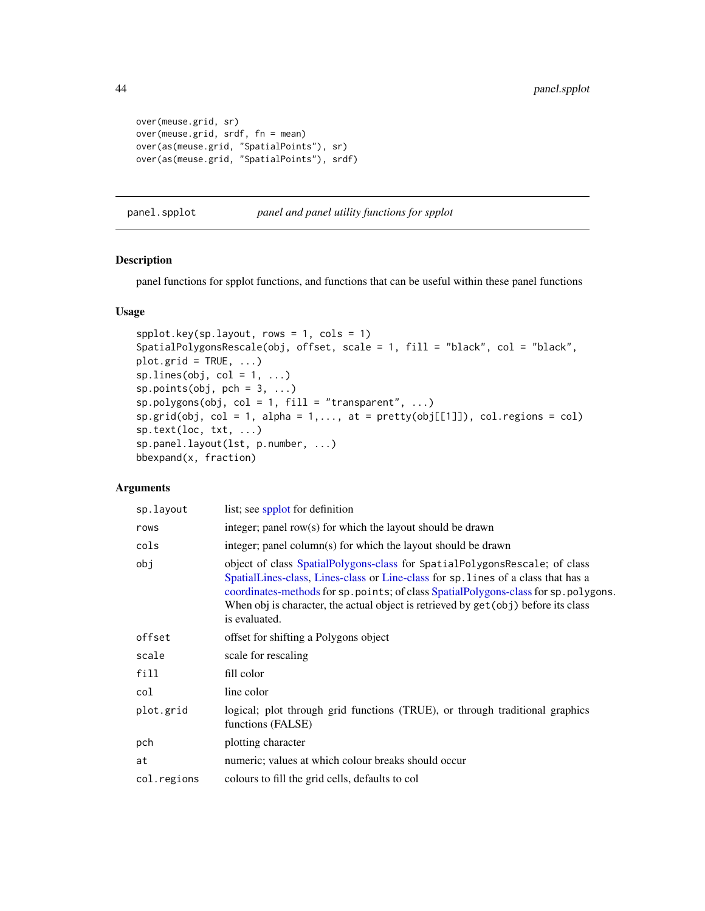```
over(meuse.grid, sr)
over(meuse.grid, srdf, fn = mean)
over(as(meuse.grid, "SpatialPoints"), sr)
over(as(meuse.grid, "SpatialPoints"), srdf)
```
panel.spplot *panel and panel utility functions for spplot*

# Description

panel functions for spplot functions, and functions that can be useful within these panel functions

#### Usage

```
spplot.key(sp.layout, rows = 1, cols = 1)
SpatialPolygonsRescale(obj, offset, scale = 1, fill = "black", col = "black",
plot.grid = TRUE, ...spuines(obj, col = 1, ...)
sp.points(obj, pch = 3, ...)sp.polygons(obj, col = 1, fill = "transparent", ...)sp.grid(obj, col = 1, alpha = 1, ..., at = pretty(obj[[1]]), col-regions = col)sp.text(loc, txt, ...)
sp.panel.layout(lst, p.number, ...)
bbexpand(x, fraction)
```
## Arguments

| sp.layout   | list; see spplot for definition                                                                                                                                                                                                                                                                                                                                 |
|-------------|-----------------------------------------------------------------------------------------------------------------------------------------------------------------------------------------------------------------------------------------------------------------------------------------------------------------------------------------------------------------|
| rows        | integer; panel row(s) for which the layout should be drawn                                                                                                                                                                                                                                                                                                      |
| cols        | integer; panel column(s) for which the layout should be drawn                                                                                                                                                                                                                                                                                                   |
| obj         | object of class SpatialPolygons-class for SpatialPolygonsRescale; of class<br>SpatialLines-class, Lines-class or Line-class for sp. lines of a class that has a<br>coordinates-methods for sp. points; of class SpatialPolygons-class for sp. polygons.<br>When obj is character, the actual object is retrieved by get (obj) before its class<br>is evaluated. |
| offset      | offset for shifting a Polygons object                                                                                                                                                                                                                                                                                                                           |
| scale       | scale for rescaling                                                                                                                                                                                                                                                                                                                                             |
| fill        | fill color                                                                                                                                                                                                                                                                                                                                                      |
| col         | line color                                                                                                                                                                                                                                                                                                                                                      |
| plot.grid   | logical; plot through grid functions (TRUE), or through traditional graphics<br>functions (FALSE)                                                                                                                                                                                                                                                               |
| pch         | plotting character                                                                                                                                                                                                                                                                                                                                              |
| at          | numeric; values at which colour breaks should occur                                                                                                                                                                                                                                                                                                             |
| col.regions | colours to fill the grid cells, defaults to col                                                                                                                                                                                                                                                                                                                 |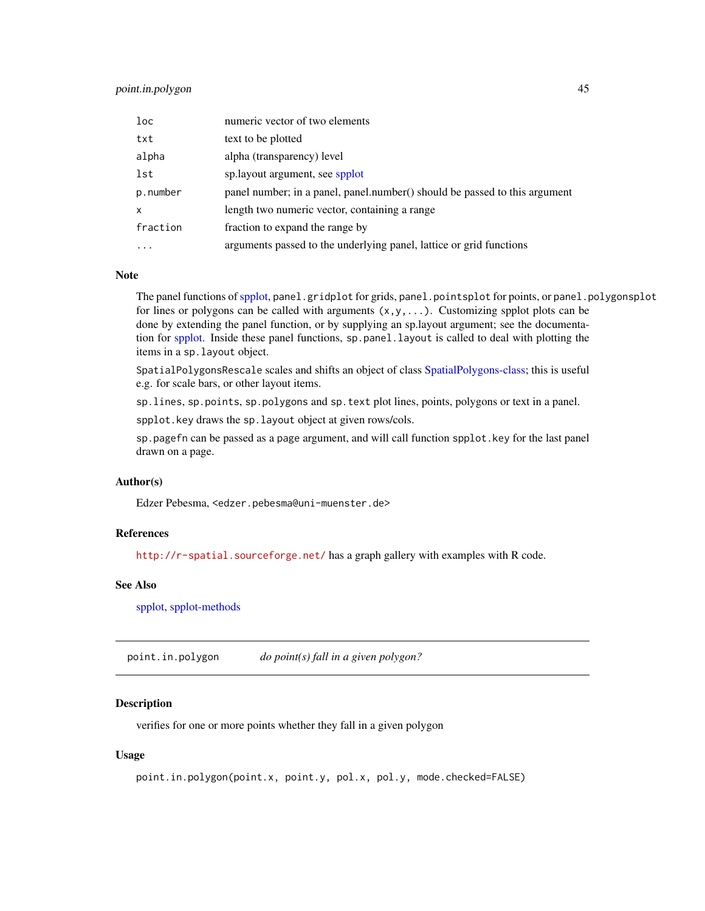# point.in.polygon 45

| $1$ oc       | numeric vector of two elements                                             |
|--------------|----------------------------------------------------------------------------|
| txt          | text to be plotted                                                         |
| alpha        | alpha (transparency) level                                                 |
| lst          | sp.layout argument, see spplot                                             |
| p.number     | panel number; in a panel, panel number() should be passed to this argument |
| $\mathsf{x}$ | length two numeric vector, containing a range                              |
| fraction     | fraction to expand the range by                                            |
|              | arguments passed to the underlying panel, lattice or grid functions        |

#### Note

The panel functions of [spplot,](#page-81-0) panel.gridplot for grids, panel.pointsplot for points, or panel.polygonsplot for lines or polygons can be called with arguments  $(x, y, \ldots)$ . Customizing spplot plots can be done by extending the panel function, or by supplying an sp.layout argument; see the documentation for [spplot.](#page-81-0) Inside these panel functions, sp.panel.layout is called to deal with plotting the items in a sp.layout object.

SpatialPolygonsRescale scales and shifts an object of class [SpatialPolygons-class;](#page-74-0) this is useful e.g. for scale bars, or other layout items.

sp.lines, sp.points, sp.polygons and sp.text plot lines, points, polygons or text in a panel.

spplot.key draws the sp.layout object at given rows/cols.

sp.pagefn can be passed as a page argument, and will call function spplot.key for the last panel drawn on a page.

# Author(s)

Edzer Pebesma, <edzer.pebesma@uni-muenster.de>

#### References

<http://r-spatial.sourceforge.net/> has a graph gallery with examples with R code.

# See Also

[spplot,](#page-81-0) [spplot-methods](#page-81-1)

<span id="page-44-0"></span>point.in.polygon *do point(s) fall in a given polygon?*

# **Description**

verifies for one or more points whether they fall in a given polygon

## Usage

```
point.in.polygon(point.x, point.y, pol.x, pol.y, mode.checked=FALSE)
```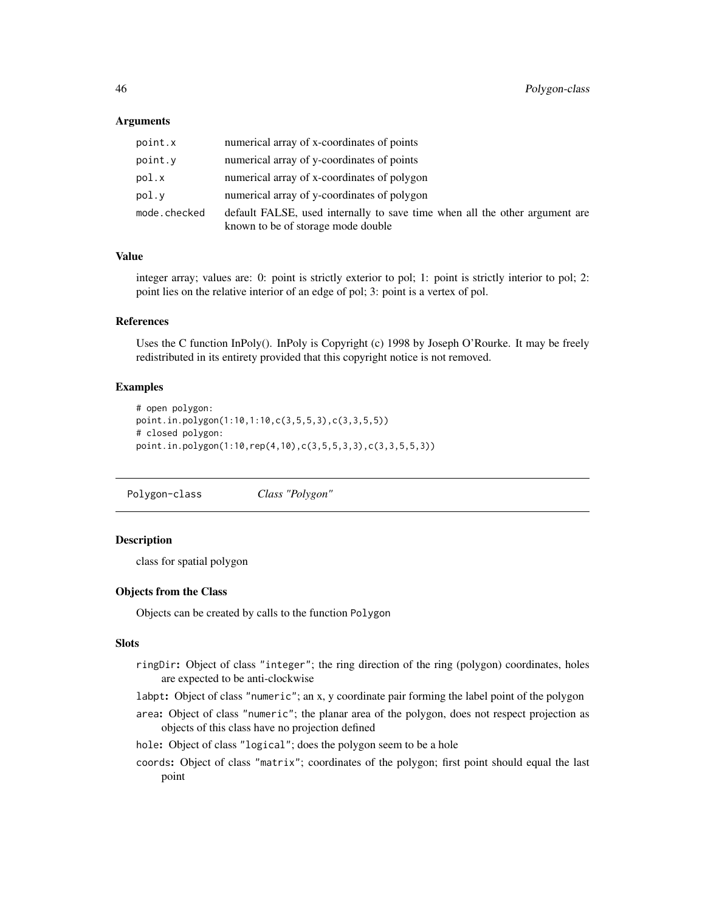## Arguments

| point.x      | numerical array of x-coordinates of points                                                                        |
|--------------|-------------------------------------------------------------------------------------------------------------------|
| point.y      | numerical array of y-coordinates of points                                                                        |
| pol.x        | numerical array of x-coordinates of polygon                                                                       |
| pol.v        | numerical array of y-coordinates of polygon                                                                       |
| mode.checked | default FALSE, used internally to save time when all the other argument are<br>known to be of storage mode double |

# Value

integer array; values are: 0: point is strictly exterior to pol; 1: point is strictly interior to pol; 2: point lies on the relative interior of an edge of pol; 3: point is a vertex of pol.

### References

Uses the C function InPoly(). InPoly is Copyright (c) 1998 by Joseph O'Rourke. It may be freely redistributed in its entirety provided that this copyright notice is not removed.

## Examples

```
# open polygon:
point.in.polygon(1:10,1:10,c(3,5,5,3),c(3,3,5,5))
# closed polygon:
point.in.polygon(1:10,rep(4,10),c(3,5,5,3,3),c(3,3,5,5,3))
```
<span id="page-45-0"></span>Polygon-class *Class "Polygon"*

### **Description**

class for spatial polygon

## Objects from the Class

Objects can be created by calls to the function Polygon

## Slots

- ringDir: Object of class "integer"; the ring direction of the ring (polygon) coordinates, holes are expected to be anti-clockwise
- labpt: Object of class "numeric"; an x, y coordinate pair forming the label point of the polygon
- area: Object of class "numeric"; the planar area of the polygon, does not respect projection as objects of this class have no projection defined
- hole: Object of class "logical"; does the polygon seem to be a hole
- coords: Object of class "matrix"; coordinates of the polygon; first point should equal the last point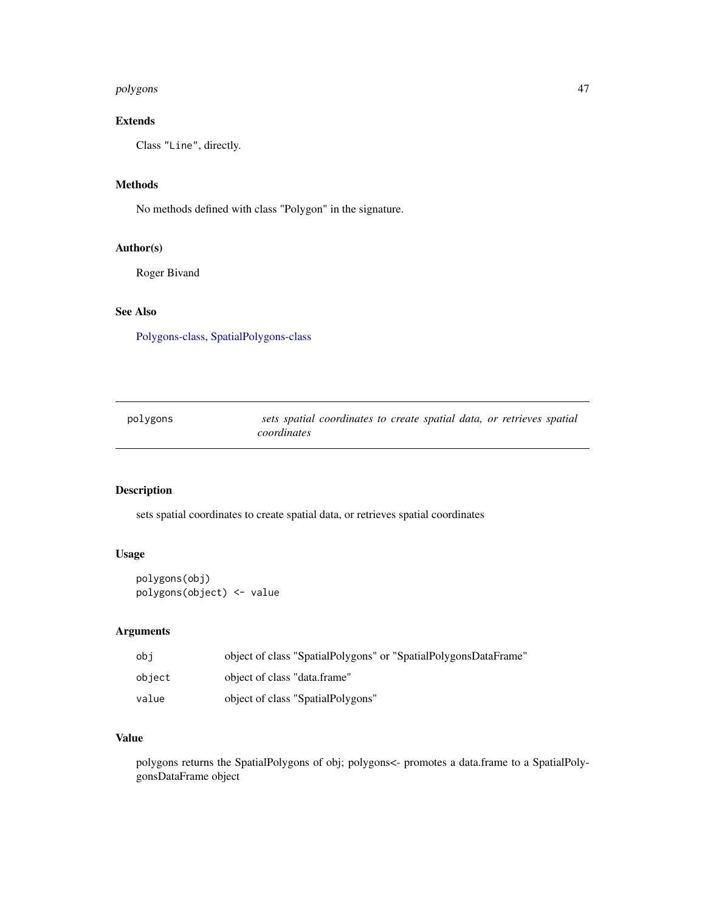#### polygons 47

# Extends

Class "Line", directly.

# Methods

No methods defined with class "Polygon" in the signature.

# Author(s)

Roger Bivand

# See Also

[Polygons-class,](#page-47-0) [SpatialPolygons-class](#page-74-0)

| polygons | sets spatial coordinates to create spatial data, or retrieves spatial |  |
|----------|-----------------------------------------------------------------------|--|
|          | coordinates                                                           |  |

# Description

sets spatial coordinates to create spatial data, or retrieves spatial coordinates

# Usage

polygons(obj) polygons(object) <- value

# Arguments

| obi    | object of class "SpatialPolygons" or "SpatialPolygonsDataFrame" |
|--------|-----------------------------------------------------------------|
| obiect | object of class "data.frame"                                    |
| value  | object of class "SpatialPolygons"                               |

# Value

polygons returns the SpatialPolygons of obj; polygons<- promotes a data.frame to a SpatialPolygonsDataFrame object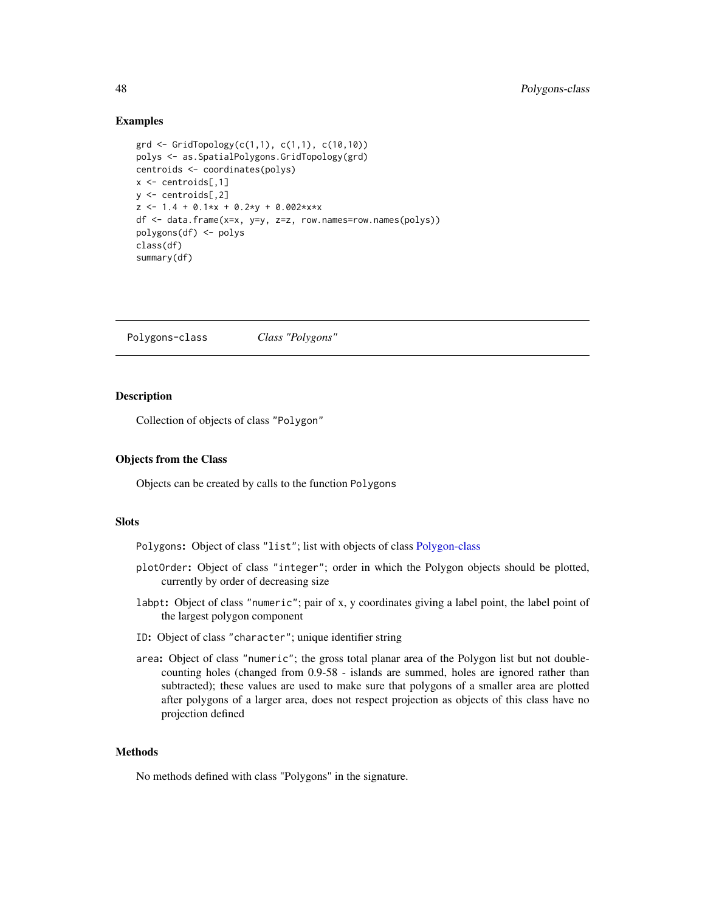## Examples

```
grd <- GridTopology(c(1,1), c(1,1), c(10,10))
polys <- as.SpatialPolygons.GridTopology(grd)
centroids <- coordinates(polys)
x \le - centroids[,1]
y <- centroids[,2]
z \le -1.4 + 0.1*x + 0.2*y + 0.002*x*xdf <- data.frame(x=x, y=y, z=z, row.names=row.names(polys))
polygons(df) <- polys
class(df)
summary(df)
```
<span id="page-47-0"></span>Polygons-class *Class "Polygons"*

# Description

Collection of objects of class "Polygon"

## Objects from the Class

Objects can be created by calls to the function Polygons

## **Slots**

Polygons: Object of class "list"; list with objects of class [Polygon-class](#page-45-0)

- plotOrder: Object of class "integer"; order in which the Polygon objects should be plotted, currently by order of decreasing size
- labpt: Object of class "numeric"; pair of x, y coordinates giving a label point, the label point of the largest polygon component
- ID: Object of class "character"; unique identifier string
- area: Object of class "numeric"; the gross total planar area of the Polygon list but not doublecounting holes (changed from 0.9-58 - islands are summed, holes are ignored rather than subtracted); these values are used to make sure that polygons of a smaller area are plotted after polygons of a larger area, does not respect projection as objects of this class have no projection defined

# Methods

No methods defined with class "Polygons" in the signature.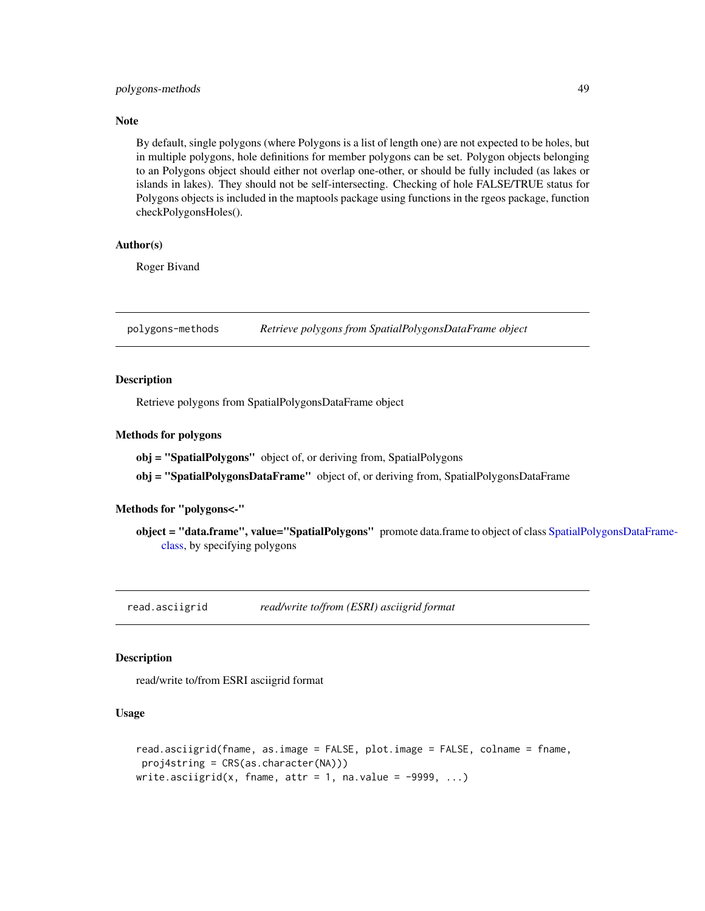# polygons-methods 49

## Note

By default, single polygons (where Polygons is a list of length one) are not expected to be holes, but in multiple polygons, hole definitions for member polygons can be set. Polygon objects belonging to an Polygons object should either not overlap one-other, or should be fully included (as lakes or islands in lakes). They should not be self-intersecting. Checking of hole FALSE/TRUE status for Polygons objects is included in the maptools package using functions in the rgeos package, function checkPolygonsHoles().

## Author(s)

Roger Bivand

polygons-methods *Retrieve polygons from SpatialPolygonsDataFrame object*

# Description

Retrieve polygons from SpatialPolygonsDataFrame object

# Methods for polygons

obj = "SpatialPolygons" object of, or deriving from, SpatialPolygons

obj = "SpatialPolygonsDataFrame" object of, or deriving from, SpatialPolygonsDataFrame

# Methods for "polygons<-"

object = "data.frame", value="SpatialPolygons" promote data.frame to object of class [SpatialPo](#page-77-0)lygonsDataFrame[class,](#page-77-0) by specifying polygons

read.asciigrid *read/write to/from (ESRI) asciigrid format*

## Description

read/write to/from ESRI asciigrid format

## Usage

```
read.asciigrid(fname, as.image = FALSE, plot.image = FALSE, colname = fname,
proj4string = CRS(as.character(NA)))
write.asciigrid(x, fname, attr = 1, na.value = -9999, ...)
```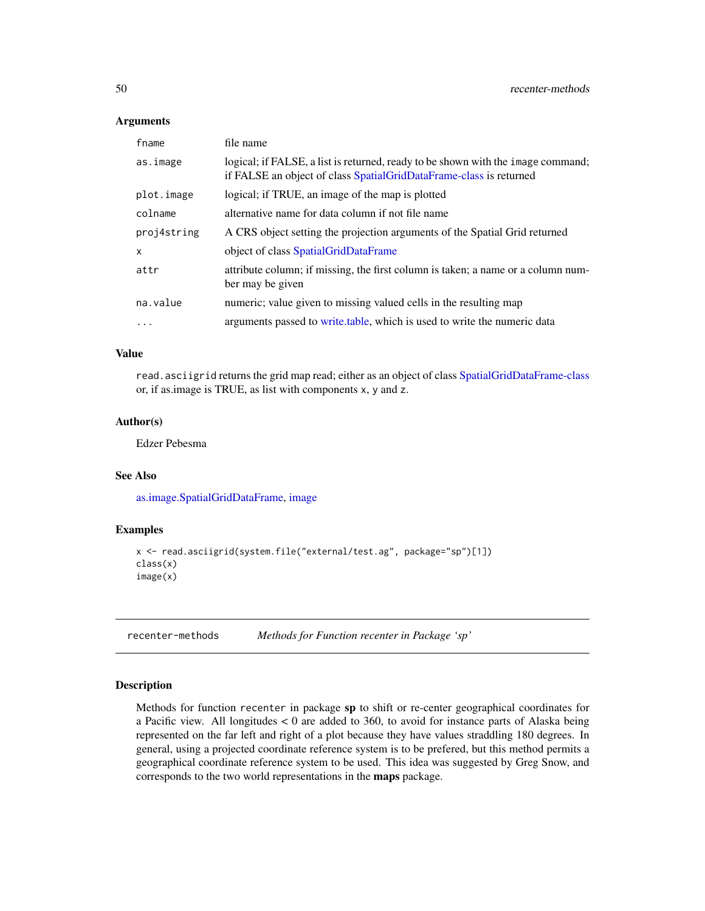#### Arguments

| fname       | file name                                                                                                                                              |
|-------------|--------------------------------------------------------------------------------------------------------------------------------------------------------|
| as.image    | logical; if FALSE, a list is returned, ready to be shown with the image command;<br>if FALSE an object of class SpatialGridDataFrame-class is returned |
| plot.image  | logical; if TRUE, an image of the map is plotted                                                                                                       |
| colname     | alternative name for data column if not file name                                                                                                      |
| proj4string | A CRS object setting the projection arguments of the Spatial Grid returned                                                                             |
| x           | object of class SpatialGridDataFrame                                                                                                                   |
| attr        | attribute column; if missing, the first column is taken; a name or a column num-<br>ber may be given                                                   |
| na.value    | numeric; value given to missing valued cells in the resulting map                                                                                      |
| $\ddotsc$   | arguments passed to write table, which is used to write the numeric data                                                                               |

# Value

read.asciigrid returns the grid map read; either as an object of class [SpatialGridDataFrame-class](#page-57-0) or, if as.image is TRUE, as list with components x, y and z.

## Author(s)

Edzer Pebesma

#### See Also

[as.image.SpatialGridDataFrame,](#page-26-0) [image](#page-0-0)

# Examples

```
x <- read.asciigrid(system.file("external/test.ag", package="sp")[1])
class(x)
image(x)
```
recenter-methods *Methods for Function recenter in Package 'sp'*

# **Description**

Methods for function recenter in package sp to shift or re-center geographical coordinates for a Pacific view. All longitudes < 0 are added to 360, to avoid for instance parts of Alaska being represented on the far left and right of a plot because they have values straddling 180 degrees. In general, using a projected coordinate reference system is to be prefered, but this method permits a geographical coordinate reference system to be used. This idea was suggested by Greg Snow, and corresponds to the two world representations in the maps package.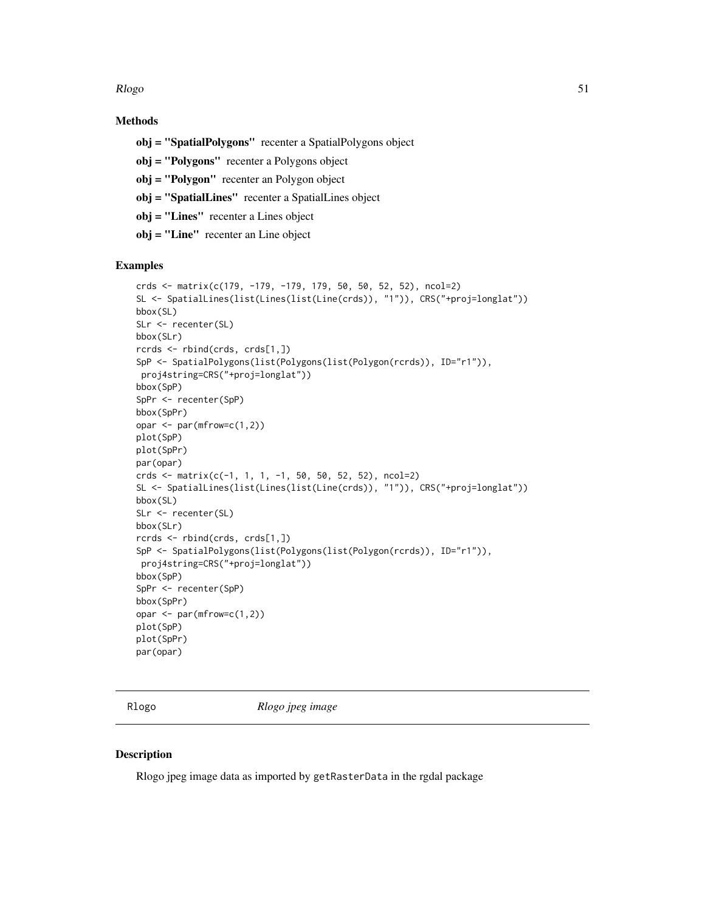Rlogo 51 and 51 and 52 and 52 and 52 and 52 and 52 and 52 and 52 and 52 and 52 and 52 and 52 and 52 and 52 and 52 and 52 and 52 and 52 and 52 and 52 and 52 and 52 and 52 and 52 and 52 and 52 and 52 and 52 and 52 and 52 and

# Methods

- obj = "SpatialPolygons" recenter a SpatialPolygons object
- obj = "Polygons" recenter a Polygons object
- obj = "Polygon" recenter an Polygon object
- obj = "SpatialLines" recenter a SpatialLines object
- obj = "Lines" recenter a Lines object
- obj = "Line" recenter an Line object

# Examples

```
crds <- matrix(c(179, -179, -179, 179, 50, 50, 52, 52), ncol=2)
SL <- SpatialLines(list(Lines(list(Line(crds)), "1")), CRS("+proj=longlat"))
bbox(SL)
SLr <- recenter(SL)
bbox(SLr)
rcrds <- rbind(crds, crds[1,])
SpP <- SpatialPolygons(list(Polygons(list(Polygon(rcrds)), ID="r1")),
proj4string=CRS("+proj=longlat"))
bbox(SpP)
SpPr <- recenter(SpP)
bbox(SpPr)
opar <- par(mfrow=c(1,2))
plot(SpP)
plot(SpPr)
par(opar)
crds <- matrix(c(-1, 1, 1, -1, 50, 50, 52, 52), ncol=2)
SL <- SpatialLines(list(Lines(list(Line(crds)), "1")), CRS("+proj=longlat"))
bbox(SL)
SLr <- recenter(SL)
bbox(SLr)
rcrds <- rbind(crds, crds[1,])
SpP <- SpatialPolygons(list(Polygons(list(Polygon(rcrds)), ID="r1")),
proj4string=CRS("+proj=longlat"))
bbox(SpP)
SpPr <- recenter(SpP)
bbox(SpPr)
opar <- par(mfrow=c(1,2))
plot(SpP)
plot(SpPr)
par(opar)
```
Rlogo *Rlogo jpeg image*

# Description

Rlogo jpeg image data as imported by getRasterData in the rgdal package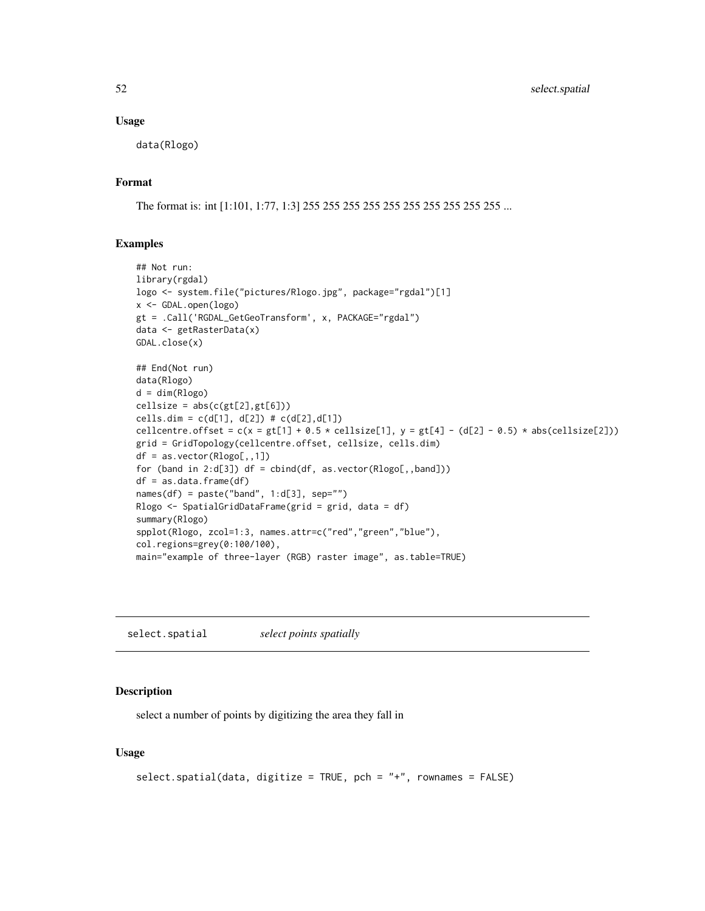### Usage

data(Rlogo)

# Format

The format is: int [1:101, 1:77, 1:3] 255 255 255 255 255 255 255 255 255 255 ...

## Examples

```
## Not run:
library(rgdal)
logo <- system.file("pictures/Rlogo.jpg", package="rgdal")[1]
x <- GDAL.open(logo)
gt = .Call('RGDAL_GetGeoTransform', x, PACKAGE="rgdal")
data <- getRasterData(x)
GDAL.close(x)
## End(Not run)
data(Rlogo)
d = dim(Rlogo)cellsize = abs(c(gt[2], gt[6]))cells.dim = c(d[1], d[2]) # c(d[2], d[1])cellcentre.offset = c(x = gt[1] + 0.5 * cellsize[1], y = gt[4] - (d[2] - 0.5) * abs(cellsize[2]))grid = GridTopology(cellcentre.offset, cellsize, cells.dim)
df = as.vector(Rlogo[,,1])
for (band in 2:d[3]) df = cbind(df, as.vector(Rlogo[,,band]))
df = as.data.frame(df)
names(df) = paste("band", 1:d[3], sep="")
Rlogo <- SpatialGridDataFrame(grid = grid, data = df)
summary(Rlogo)
spplot(Rlogo, zcol=1:3, names.attr=c("red","green","blue"),
col.regions=grey(0:100/100),
main="example of three-layer (RGB) raster image", as.table=TRUE)
```
select.spatial *select points spatially*

### Description

select a number of points by digitizing the area they fall in

### Usage

```
select.spatial(data, digitize = TRUE, pch = "+", rownames = FALSE)
```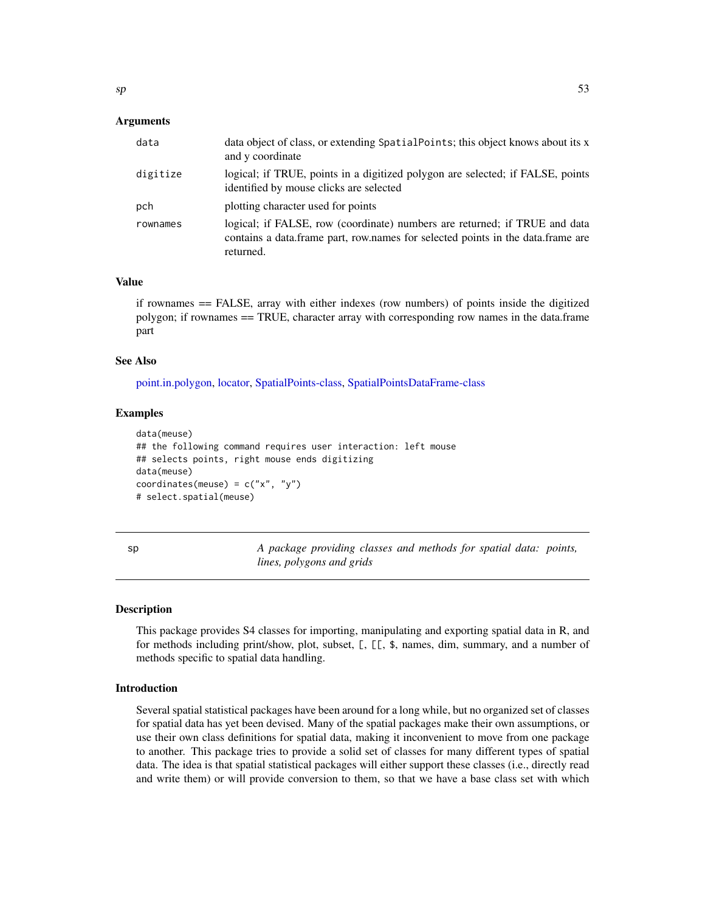# Arguments

| data     | data object of class, or extending SpatialPoints; this object knows about its x<br>and y coordinate                                                                        |
|----------|----------------------------------------------------------------------------------------------------------------------------------------------------------------------------|
| digitize | logical; if TRUE, points in a digitized polygon are selected; if FALSE, points<br>identified by mouse clicks are selected                                                  |
| pch      | plotting character used for points                                                                                                                                         |
| rownames | logical; if FALSE, row (coordinate) numbers are returned; if TRUE and data<br>contains a data frame part, row names for selected points in the data frame are<br>returned. |

#### Value

if rownames == FALSE, array with either indexes (row numbers) of points inside the digitized polygon; if rownames == TRUE, character array with corresponding row names in the data.frame part

# See Also

[point.in.polygon,](#page-44-0) [locator,](#page-0-0) [SpatialPoints-class,](#page-69-0) [SpatialPointsDataFrame-class](#page-71-0)

#### Examples

```
data(meuse)
## the following command requires user interaction: left mouse
## selects points, right mouse ends digitizing
data(meuse)
coordinates(meuse) = c("x", "y")# select.spatial(meuse)
```
sp *A package providing classes and methods for spatial data: points, lines, polygons and grids*

#### Description

This package provides S4 classes for importing, manipulating and exporting spatial data in R, and for methods including print/show, plot, subset, [, [[, \$, names, dim, summary, and a number of methods specific to spatial data handling.

## Introduction

Several spatial statistical packages have been around for a long while, but no organized set of classes for spatial data has yet been devised. Many of the spatial packages make their own assumptions, or use their own class definitions for spatial data, making it inconvenient to move from one package to another. This package tries to provide a solid set of classes for many different types of spatial data. The idea is that spatial statistical packages will either support these classes (i.e., directly read and write them) or will provide conversion to them, so that we have a base class set with which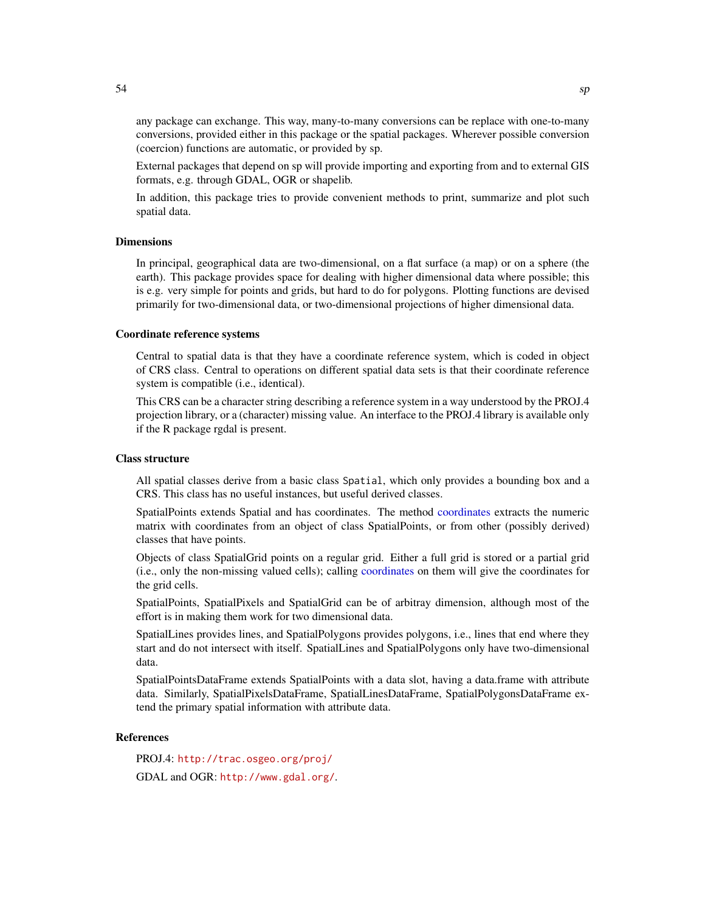any package can exchange. This way, many-to-many conversions can be replace with one-to-many conversions, provided either in this package or the spatial packages. Wherever possible conversion (coercion) functions are automatic, or provided by sp.

External packages that depend on sp will provide importing and exporting from and to external GIS formats, e.g. through GDAL, OGR or shapelib.

In addition, this package tries to provide convenient methods to print, summarize and plot such spatial data.

#### Dimensions

In principal, geographical data are two-dimensional, on a flat surface (a map) or on a sphere (the earth). This package provides space for dealing with higher dimensional data where possible; this is e.g. very simple for points and grids, but hard to do for polygons. Plotting functions are devised primarily for two-dimensional data, or two-dimensional projections of higher dimensional data.

# Coordinate reference systems

Central to spatial data is that they have a coordinate reference system, which is coded in object of CRS class. Central to operations on different spatial data sets is that their coordinate reference system is compatible (i.e., identical).

This CRS can be a character string describing a reference system in a way understood by the PROJ.4 projection library, or a (character) missing value. An interface to the PROJ.4 library is available only if the R package rgdal is present.

## Class structure

All spatial classes derive from a basic class Spatial, which only provides a bounding box and a CRS. This class has no useful instances, but useful derived classes.

SpatialPoints extends Spatial and has coordinates. The method [coordinates](#page-12-0) extracts the numeric matrix with coordinates from an object of class SpatialPoints, or from other (possibly derived) classes that have points.

Objects of class SpatialGrid points on a regular grid. Either a full grid is stored or a partial grid (i.e., only the non-missing valued cells); calling [coordinates](#page-12-0) on them will give the coordinates for the grid cells.

SpatialPoints, SpatialPixels and SpatialGrid can be of arbitray dimension, although most of the effort is in making them work for two dimensional data.

SpatialLines provides lines, and SpatialPolygons provides polygons, i.e., lines that end where they start and do not intersect with itself. SpatialLines and SpatialPolygons only have two-dimensional data.

SpatialPointsDataFrame extends SpatialPoints with a data slot, having a data.frame with attribute data. Similarly, SpatialPixelsDataFrame, SpatialLinesDataFrame, SpatialPolygonsDataFrame extend the primary spatial information with attribute data.

#### References

PROJ.4: <http://trac.osgeo.org/proj/> GDAL and OGR: <http://www.gdal.org/>.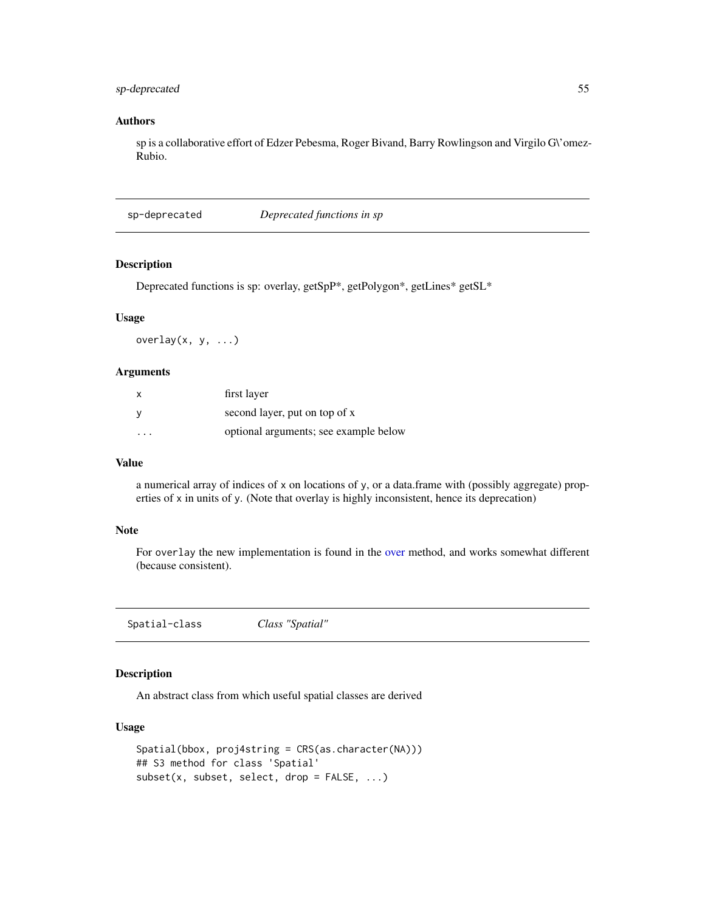# sp-deprecated 55

## Authors

sp is a collaborative effort of Edzer Pebesma, Roger Bivand, Barry Rowlingson and Virgilo G\'omez-Rubio.

sp-deprecated *Deprecated functions in sp*

# <span id="page-54-0"></span>Description

Deprecated functions is sp: overlay, getSpP\*, getPolygon\*, getLines\* getSL\*

## Usage

overlay $(x, y, \ldots)$ 

## Arguments

| $\mathsf{x}$ | first layer                           |
|--------------|---------------------------------------|
| <b>V</b>     | second layer, put on top of x         |
| .            | optional arguments; see example below |

# Value

a numerical array of indices of x on locations of y, or a data.frame with (possibly aggregate) properties of x in units of y. (Note that overlay is highly inconsistent, hence its deprecation)

## Note

For overlay the new implementation is found in the [over](#page-40-0) method, and works somewhat different (because consistent).

<span id="page-54-1"></span>Spatial-class *Class "Spatial"*

## Description

An abstract class from which useful spatial classes are derived

# Usage

```
Spatial(bbox, proj4string = CRS(as.character(NA)))
## S3 method for class 'Spatial'
subset(x, subset, select, drop = FALSE, ...)
```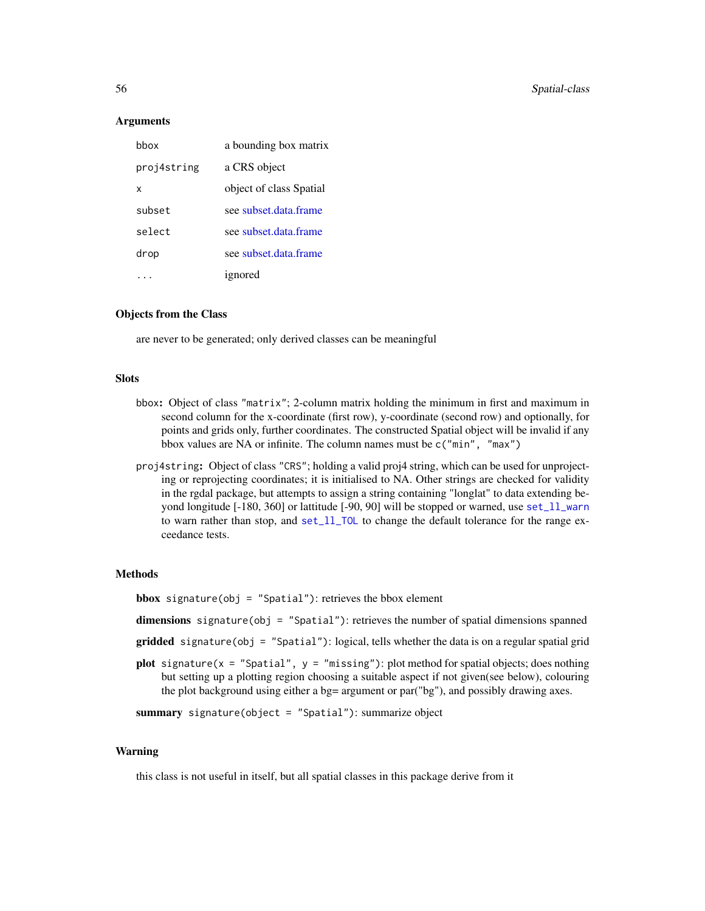### Arguments

| hhox        | a bounding box matrix   |
|-------------|-------------------------|
| proj4string | a CRS object            |
| x           | object of class Spatial |
| subset      | see subset.data.frame   |
| select      | see subset.data.frame   |
| drop        | see subset data frame   |
|             | ignored                 |

## Objects from the Class

are never to be generated; only derived classes can be meaningful

# Slots

- bbox: Object of class "matrix"; 2-column matrix holding the minimum in first and maximum in second column for the x-coordinate (first row), y-coordinate (second row) and optionally, for points and grids only, further coordinates. The constructed Spatial object will be invalid if any bbox values are NA or infinite. The column names must be c("min", "max")
- proj4string: Object of class "CRS"; holding a valid proj4 string, which can be used for unprojecting or reprojecting coordinates; it is initialised to NA. Other strings are checked for validity in the rgdal package, but attempts to assign a string containing "longlat" to data extending beyond longitude [-180, 360] or lattitude [-90, 90] will be stopped or warned, use [set\\_ll\\_warn](#page-29-0) to warn rather than stop, and [set\\_ll\\_TOL](#page-29-0) to change the default tolerance for the range exceedance tests.

#### Methods

**bbox** signature(obj = "Spatial"): retrieves the bbox element

dimensions signature(obj = "Spatial"): retrieves the number of spatial dimensions spanned

- gridded signature(obj = "Spatial"): logical, tells whether the data is on a regular spatial grid
- plot signature( $x =$  "Spatial",  $y =$  "missing"): plot method for spatial objects; does nothing but setting up a plotting region choosing a suitable aspect if not given(see below), colouring the plot background using either a bg= argument or par("bg"), and possibly drawing axes.

summary signature(object = "Spatial"): summarize object

### Warning

this class is not useful in itself, but all spatial classes in this package derive from it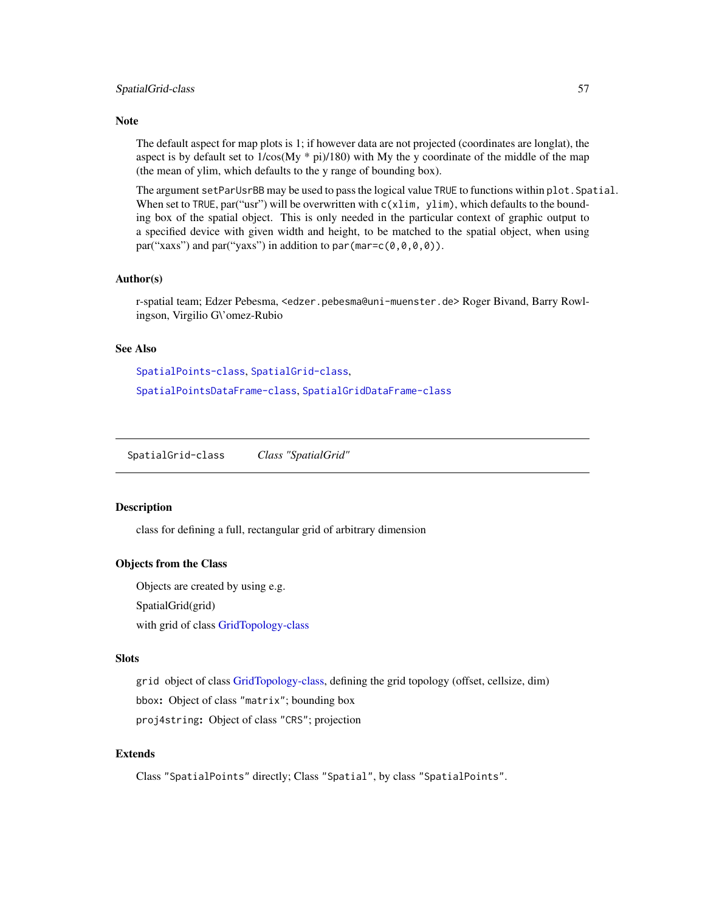## **Note**

The default aspect for map plots is 1; if however data are not projected (coordinates are longlat), the aspect is by default set to  $1/\cos(My * pi)/180$ ) with My the y coordinate of the middle of the map (the mean of ylim, which defaults to the y range of bounding box).

The argument setParUsrBB may be used to pass the logical value TRUE to functions within plot.Spatial. When set to TRUE, par("usr") will be overwritten with  $c(xlim, ylim)$ , which defaults to the bounding box of the spatial object. This is only needed in the particular context of graphic output to a specified device with given width and height, to be matched to the spatial object, when using par("xaxs") and par("yaxs") in addition to par(mar= $c(0,0,0,0)$ ).

## Author(s)

r-spatial team; Edzer Pebesma, <edzer.pebesma@uni-muenster.de> Roger Bivand, Barry Rowlingson, Virgilio G\'omez-Rubio

# See Also

[SpatialPoints-class](#page-69-0), [SpatialGrid-class](#page-56-0), [SpatialPointsDataFrame-class](#page-71-0), [SpatialGridDataFrame-class](#page-57-0)

<span id="page-56-0"></span>SpatialGrid-class *Class "SpatialGrid"*

## Description

class for defining a full, rectangular grid of arbitrary dimension

## Objects from the Class

Objects are created by using e.g. SpatialGrid(grid)

with grid of class [GridTopology-class](#page-25-0)

#### Slots

grid object of class [GridTopology-class,](#page-25-0) defining the grid topology (offset, cellsize, dim) bbox: Object of class "matrix"; bounding box proj4string: Object of class "CRS"; projection

# Extends

Class "SpatialPoints" directly; Class "Spatial", by class "SpatialPoints".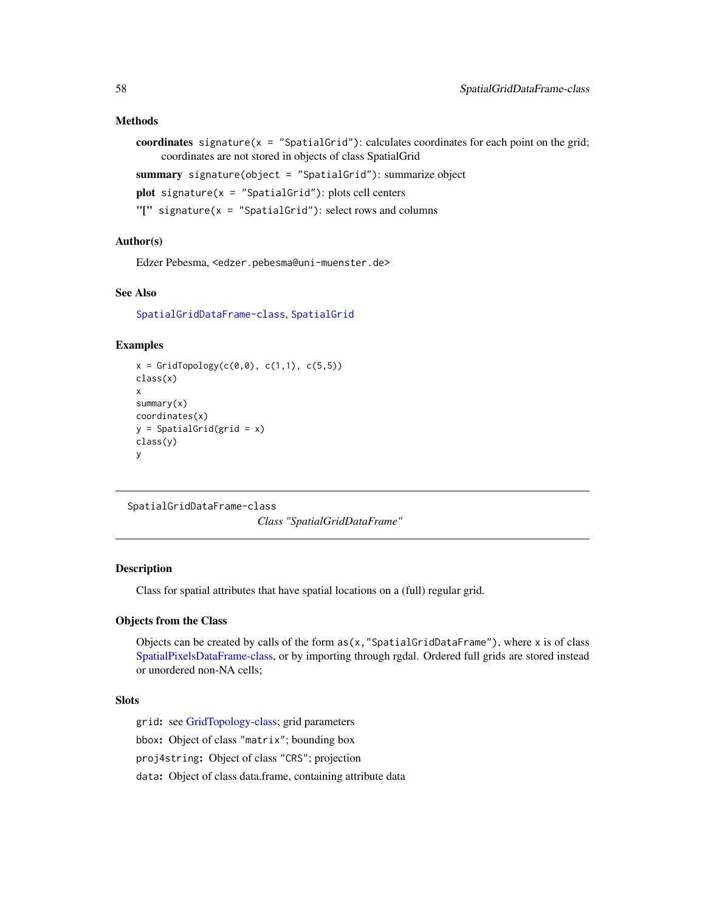### Methods

```
coordinates signature(x = "SpatialGrid"): calculates coordinates for each point on the grid;
     coordinates are not stored in objects of class SpatialGrid
```
summary signature(object = "SpatialGrid"): summarize object

```
plot signature(x = "SpatialGrid"): plots cell centers
```
"[" signature( $x =$  "SpatialGrid"): select rows and columns

# Author(s)

Edzer Pebesma, <edzer.pebesma@uni-muenster.de>

## See Also

[SpatialGridDataFrame-class](#page-57-0), [SpatialGrid](#page-62-0)

## Examples

```
x = \text{GridTopology}(c(0, 0), c(1, 1), c(5, 5))class(x)
x
summary(x)
coordinates(x)
y = SpatialGrid(grid = x)
class(y)
y
```

```
SpatialGridDataFrame-class
```
*Class "SpatialGridDataFrame"*

# **Description**

Class for spatial attributes that have spatial locations on a (full) regular grid.

# Objects from the Class

Objects can be created by calls of the form  $as(x, "SpatialGridDataFrame"),$  where x is of class [SpatialPixelsDataFrame-class,](#page-67-0) or by importing through rgdal. Ordered full grids are stored instead or unordered non-NA cells;

# **Slots**

grid: see [GridTopology-class;](#page-25-0) grid parameters bbox: Object of class "matrix"; bounding box proj4string: Object of class "CRS"; projection data: Object of class data.frame, containing attribute data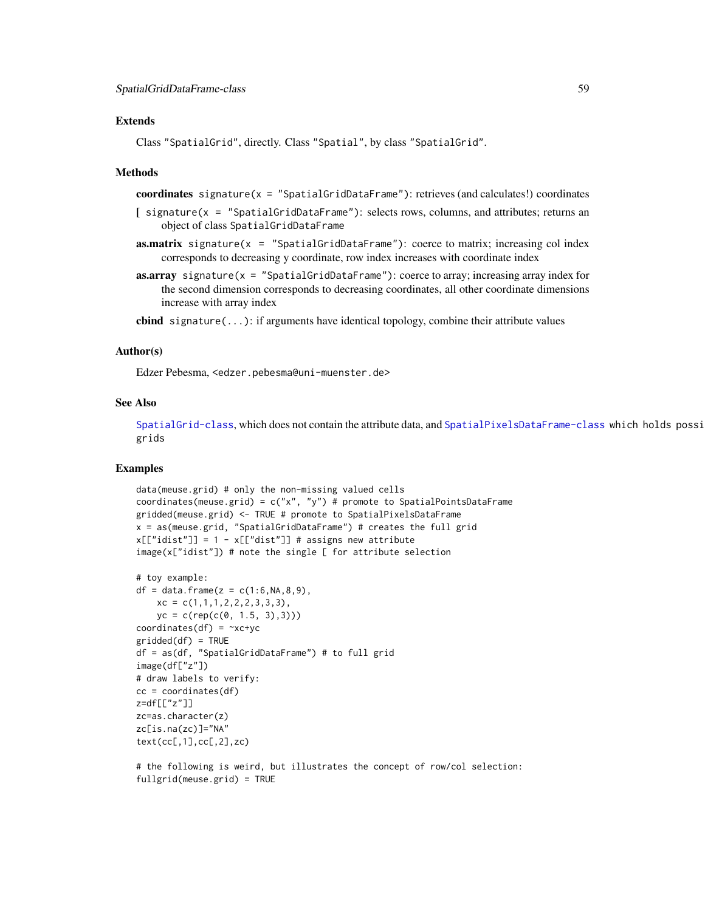### **Extends**

Class "SpatialGrid", directly. Class "Spatial", by class "SpatialGrid".

### **Methods**

coordinates signature( $x =$  "SpatialGridDataFrame"): retrieves (and calculates!) coordinates

- [ signature(x = "SpatialGridDataFrame"): selects rows, columns, and attributes; returns an object of class SpatialGridDataFrame
- **as.matrix** signature( $x =$  "SpatialGridDataFrame"): coerce to matrix; increasing col index corresponds to decreasing y coordinate, row index increases with coordinate index
- **as.array** signature( $x =$  "SpatialGridDataFrame"): coerce to array; increasing array index for the second dimension corresponds to decreasing coordinates, all other coordinate dimensions increase with array index

cbind signature( $\dots$ ): if arguments have identical topology, combine their attribute values

## Author(s)

Edzer Pebesma, <edzer.pebesma@uni-muenster.de>

## See Also

[SpatialGrid-class](#page-56-0), which does not contain the attribute data, and [SpatialPixelsDataFrame-class](#page-67-0) which holds possi grids

### Examples

```
data(meuse.grid) # only the non-missing valued cells
coordinates(meuse.grid) = c("x", "y") # promote to SpatialPointsDataFrame
gridded(meuse.grid) <- TRUE # promote to SpatialPixelsDataFrame
x = as(meuse.grid, "SpatialGridDataFrame") # creates the full grid
x[["idist"] = 1 - x[["dist"]] # assigns new attributeimage(x["idist"]) # note the single [ for attribute selection
```

```
# toy example:
df = data.frame(z = c(1:6, NA, 8, 9),
   xc = c(1,1,1,2,2,2,3,3,3),yc = c(rep(c(0, 1.5, 3),3)))coordinates(df) = xc+ycgridded(df) = TRUEdf = as(df, "SpatialGridDataFrame") # to full grid
image(df["z"])
# draw labels to verify:
cc = coordinates(df)z=df[["z"]]
zc=as.character(z)
zc[is.na(zc)]="NA"
text(cc[,1],cc[,2],zc)
```
# the following is weird, but illustrates the concept of row/col selection: fullgrid(meuse.grid) = TRUE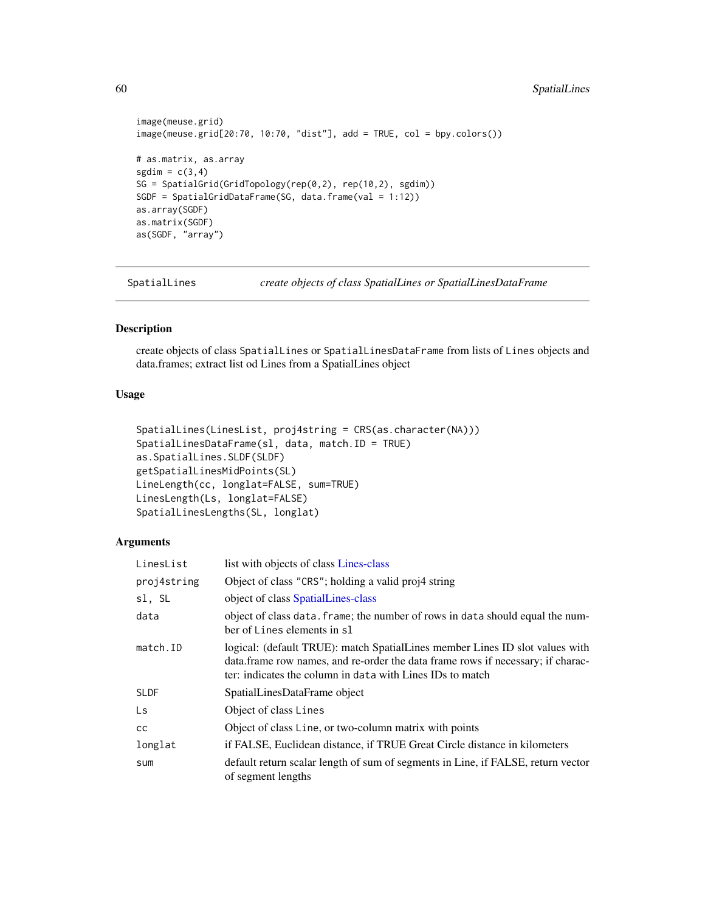```
image(meuse.grid)
image(meuse.grid[20:70, 10:70, "dist"], add = TRUE, col = bpy.colors())
# as.matrix, as.array
sgdim = c(3,4)SG = SpatialGrid(GridTopology(rep(0,2), rep(10,2), sgdim))
SGDF = SpatialGridDataFrame(SG, data.frame(val = 1:12))
as.array(SGDF)
as.matrix(SGDF)
as(SGDF, "array")
```
<span id="page-59-0"></span>SpatialLines *create objects of class SpatialLines or SpatialLinesDataFrame*

# <span id="page-59-1"></span>Description

create objects of class SpatialLines or SpatialLinesDataFrame from lists of Lines objects and data.frames; extract list od Lines from a SpatialLines object

# Usage

```
SpatialLines(LinesList, proj4string = CRS(as.character(NA)))
SpatialLinesDataFrame(sl, data, match.ID = TRUE)
as.SpatialLines.SLDF(SLDF)
getSpatialLinesMidPoints(SL)
LineLength(cc, longlat=FALSE, sum=TRUE)
LinesLength(Ls, longlat=FALSE)
SpatialLinesLengths(SL, longlat)
```
## Arguments

| list with objects of class Lines-class                                                                                                                                                                                        |
|-------------------------------------------------------------------------------------------------------------------------------------------------------------------------------------------------------------------------------|
| Object of class "CRS"; holding a valid proj4 string                                                                                                                                                                           |
| object of class SpatialLines-class                                                                                                                                                                                            |
| object of class data. frame; the number of rows in data should equal the num-<br>ber of Lines elements in sl                                                                                                                  |
| logical: (default TRUE): match SpatialLines member Lines ID slot values with<br>data. frame row names, and re-order the data frame rows if necessary; if charac-<br>ter: indicates the column in data with Lines IDs to match |
| SpatialLinesDataFrame object                                                                                                                                                                                                  |
| Object of class Lines                                                                                                                                                                                                         |
| Object of class Line, or two-column matrix with points                                                                                                                                                                        |
| if FALSE, Euclidean distance, if TRUE Great Circle distance in kilometers                                                                                                                                                     |
| default return scalar length of sum of segments in Line, if FALSE, return vector<br>of segment lengths                                                                                                                        |
|                                                                                                                                                                                                                               |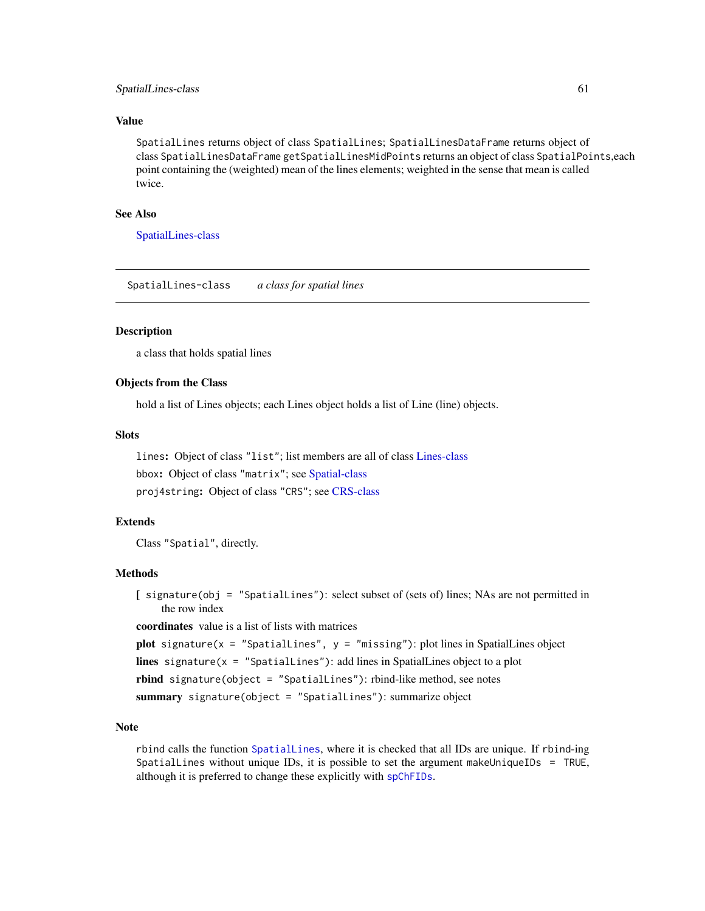### SpatialLines-class 61

# Value

SpatialLines returns object of class SpatialLines; SpatialLinesDataFrame returns object of class SpatialLinesDataFrame getSpatialLinesMidPoints returns an object of class SpatialPoints,each point containing the (weighted) mean of the lines elements; weighted in the sense that mean is called twice.

# See Also

[SpatialLines-class](#page-60-0)

<span id="page-60-0"></span>SpatialLines-class *a class for spatial lines*

# **Description**

a class that holds spatial lines

# Objects from the Class

hold a list of Lines objects; each Lines object holds a list of Line (line) objects.

## **Slots**

lines: Object of class "list"; list members are all of class [Lines-class](#page-31-0) bbox: Object of class "matrix"; see [Spatial-class](#page-54-1) proj4string: Object of class "CRS"; see [CRS-class](#page-14-0)

## Extends

Class "Spatial", directly.

#### Methods

[ signature(obj = "SpatialLines"): select subset of (sets of) lines; NAs are not permitted in the row index

coordinates value is a list of lists with matrices

plot signature( $x =$  "SpatialLines",  $y =$  "missing"): plot lines in SpatialLines object lines signature( $x =$  "SpatialLines"): add lines in SpatialLines object to a plot rbind signature(object = "SpatialLines"): rbind-like method, see notes

summary signature(object = "SpatialLines"): summarize object

# Note

rbind calls the function [SpatialLines](#page-59-0), where it is checked that all IDs are unique. If rbind-ing SpatialLines without unique IDs, it is possible to set the argument makeUniqueIDs = TRUE, although it is preferred to change these explicitly with [spChFIDs](#page-78-0).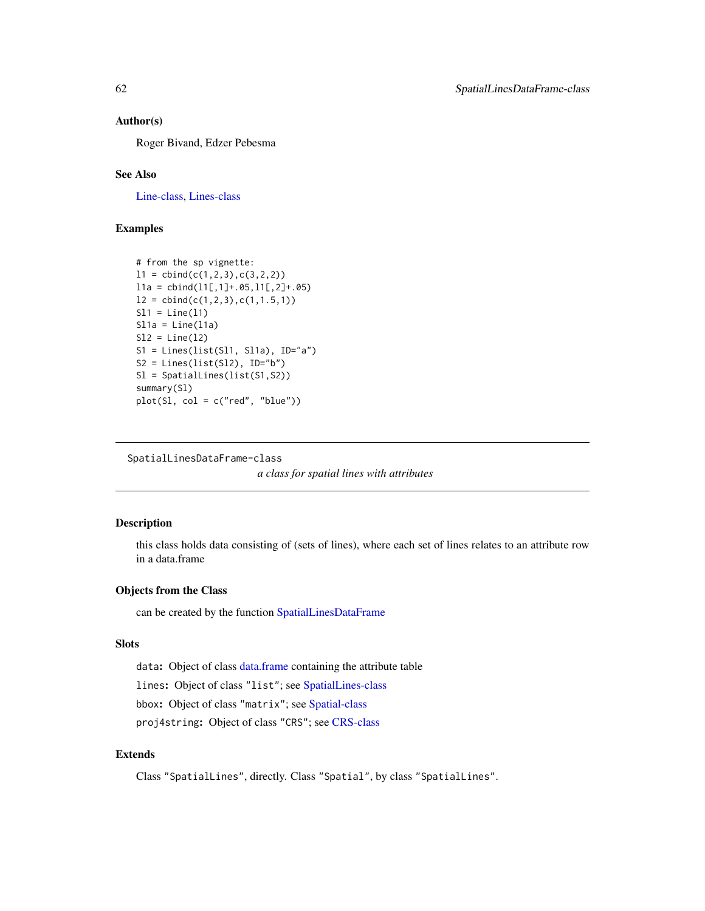### Author(s)

Roger Bivand, Edzer Pebesma

# See Also

[Line-class,](#page-31-1) [Lines-class](#page-31-0)

# Examples

```
# from the sp vignette:
11 = \text{cbind}(c(1, 2, 3), c(3, 2, 2))11a = \text{cbind}(11[, 1]+.05, 11[, 2]+.05)12 = \text{cbind}(c(1, 2, 3), c(1, 1.5, 1))S11 = Line(11)S11a = Line(11a)S12 = Line(12)S1 = Lines(list(Sl1, Sl1a), ID="a")
S2 = Lines(list(S12), ID="b")Sl = SpatialLines(list(S1,S2))
summary(Sl)
plot(S1, col = c("red", "blue"))
```

```
SpatialLinesDataFrame-class
```
*a class for spatial lines with attributes*

# Description

this class holds data consisting of (sets of lines), where each set of lines relates to an attribute row in a data.frame

# Objects from the Class

can be created by the function [SpatialLinesDataFrame](#page-59-1)

# Slots

data: Object of class [data.frame](#page-0-0) containing the attribute table

lines: Object of class "list"; see [SpatialLines-class](#page-60-0)

bbox: Object of class "matrix"; see [Spatial-class](#page-54-1)

proj4string: Object of class "CRS"; see [CRS-class](#page-14-0)

# Extends

Class "SpatialLines", directly. Class "Spatial", by class "SpatialLines".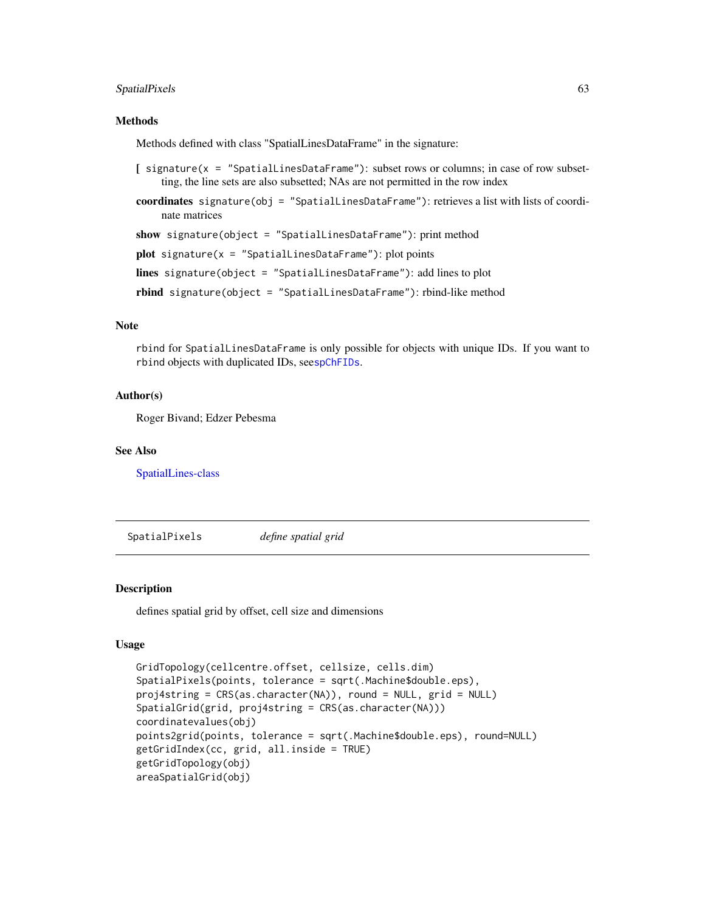# SpatialPixels 63

#### Methods

Methods defined with class "SpatialLinesDataFrame" in the signature:

- $\int$  signature(x = "SpatialLinesDataFrame"): subset rows or columns; in case of row subsetting, the line sets are also subsetted; NAs are not permitted in the row index
- coordinates signature(obj = "SpatialLinesDataFrame"): retrieves a list with lists of coordinate matrices

show signature(object = "SpatialLinesDataFrame"): print method

 $plot$  signature(x = "SpatialLinesDataFrame"): plot points

lines signature(object = "SpatialLinesDataFrame"): add lines to plot

rbind signature(object = "SpatialLinesDataFrame"): rbind-like method

# Note

rbind for SpatialLinesDataFrame is only possible for objects with unique IDs. If you want to rbind objects with duplicated IDs, see[spChFIDs](#page-78-0).

# Author(s)

Roger Bivand; Edzer Pebesma

# See Also

[SpatialLines-class](#page-60-0)

SpatialPixels *define spatial grid*

## <span id="page-62-0"></span>Description

defines spatial grid by offset, cell size and dimensions

# Usage

```
GridTopology(cellcentre.offset, cellsize, cells.dim)
SpatialPixels(points, tolerance = sqrt(.Machine$double.eps),
proj4string = CRS(as.character(NA)), round = NULL, grid = NULL)
SpatialGrid(grid, proj4string = CRS(as.character(NA)))
coordinatevalues(obj)
points2grid(points, tolerance = sqrt(.Machine$double.eps), round=NULL)
getGridIndex(cc, grid, all.inside = TRUE)
getGridTopology(obj)
areaSpatialGrid(obj)
```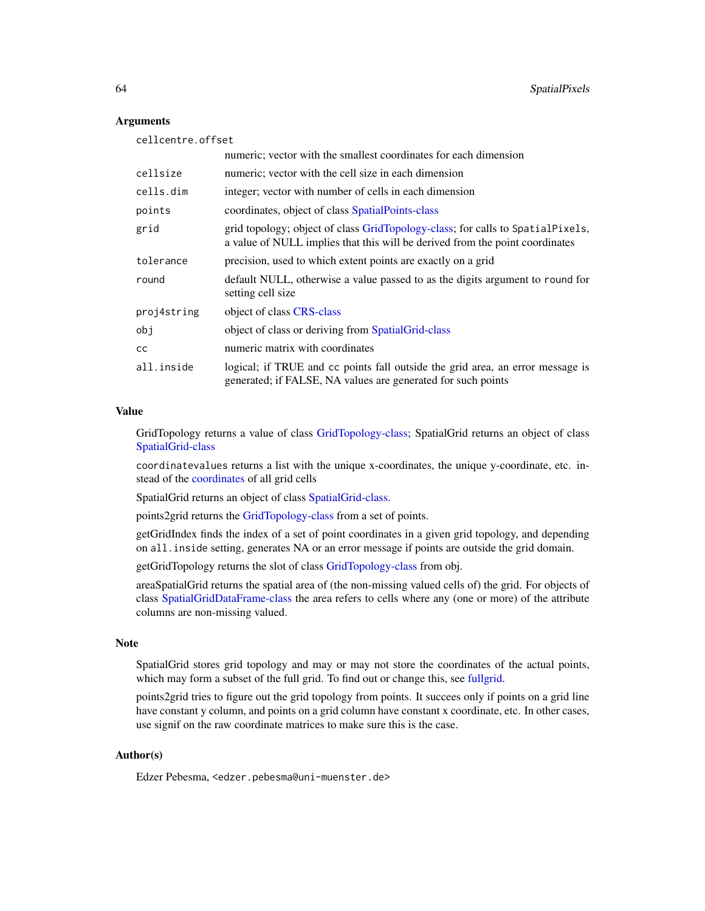## Arguments

cellcentre.offset numeric; vector with the smallest coordinates for each dimension cellsize numeric; vector with the cell size in each dimension cells.dim integer; vector with number of cells in each dimension points coordinates, object of class [SpatialPoints-class](#page-69-0) grid grid topology; object of class [GridTopology-class;](#page-25-0) for calls to SpatialPixels, a value of NULL implies that this will be derived from the point coordinates tolerance precision, used to which extent points are exactly on a grid round default NULL, otherwise a value passed to as the digits argument to round for setting cell size proj4string object of class [CRS-class](#page-14-0) obj object of class or deriving from [SpatialGrid-class](#page-56-0) cc numeric matrix with coordinates all.inside logical; if TRUE and cc points fall outside the grid area, an error message is generated; if FALSE, NA values are generated for such points

# Value

GridTopology returns a value of class [GridTopology-class;](#page-25-0) SpatialGrid returns an object of class [SpatialGrid-class](#page-56-0)

coordinatevalues returns a list with the unique x-coordinates, the unique y-coordinate, etc. instead of the [coordinates](#page-12-0) of all grid cells

SpatialGrid returns an object of class [SpatialGrid-class.](#page-56-0)

points2grid returns the [GridTopology-class](#page-25-0) from a set of points.

getGridIndex finds the index of a set of point coordinates in a given grid topology, and depending on all.inside setting, generates NA or an error message if points are outside the grid domain.

getGridTopology returns the slot of class [GridTopology-class](#page-25-0) from obj.

areaSpatialGrid returns the spatial area of (the non-missing valued cells of) the grid. For objects of class [SpatialGridDataFrame-class](#page-57-0) the area refers to cells where any (one or more) of the attribute columns are non-missing valued.

## **Note**

SpatialGrid stores grid topology and may or may not store the coordinates of the actual points, which may form a subset of the full grid. To find out or change this, see [fullgrid.](#page-21-0)

points2grid tries to figure out the grid topology from points. It succees only if points on a grid line have constant y column, and points on a grid column have constant x coordinate, etc. In other cases, use signif on the raw coordinate matrices to make sure this is the case.

#### Author(s)

Edzer Pebesma, <edzer.pebesma@uni-muenster.de>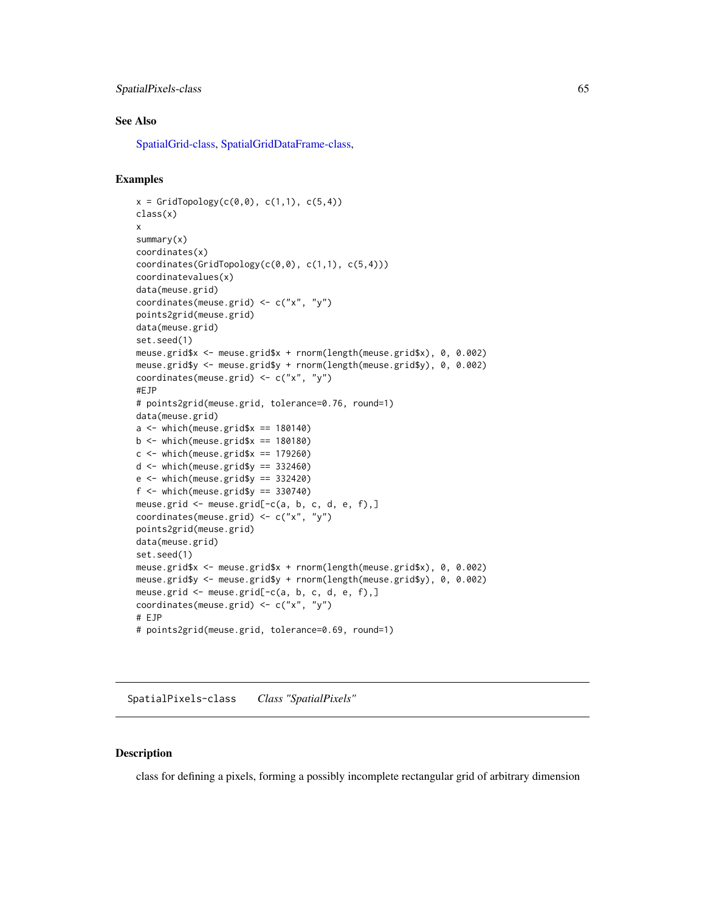# SpatialPixels-class 65

## See Also

[SpatialGrid-class,](#page-56-0) [SpatialGridDataFrame-class,](#page-57-0)

## Examples

```
x = \text{GridTopology}(c(0, 0), c(1, 1), c(5, 4))class(x)
x
summary(x)
coordinates(x)
coordinates(GridTopology(c(0,0), c(1,1), c(5,4)))
coordinatevalues(x)
data(meuse.grid)
coordinates(meuse.grid) <- c("x", "y")
points2grid(meuse.grid)
data(meuse.grid)
set.seed(1)
meuse.grid$x <- meuse.grid$x + rnorm(length(meuse.grid$x), 0, 0.002)
meuse.grid$y <- meuse.grid$y + rnorm(length(meuse.grid$y), 0, 0.002)
coordinates(meuse.grid) <- c("x", "y")
#EJP
# points2grid(meuse.grid, tolerance=0.76, round=1)
data(meuse.grid)
a \leq - which(meuse.grid$x == 180140)
b \le which(meuse.grid$x == 180180)
c \le which(meuse.grid$x == 179260)
d \leq which(meuse.grid$y == 332460)
e \leftarrow \text{which}(\text{meuse.grid$y == } 332420)f \leftarrow \text{which}(\text{mense.grid$y == } 330740)meuse.grid \leq meuse.grid[-c(a, b, c, d, e, f),]
coordinates(meuse.grid) <- c("x", "y")
points2grid(meuse.grid)
data(meuse.grid)
set.seed(1)
meuse.grid$x <- meuse.grid$x + rnorm(length(meuse.grid$x), 0, 0.002)
meuse.grid$y <- meuse.grid$y + rnorm(length(meuse.grid$y), 0, 0.002)
meuse.grid \leq meuse.grid[-c(a, b, c, d, e, f),]
coordinates(meuse.grid) <- c("x", "y")
# EJP
# points2grid(meuse.grid, tolerance=0.69, round=1)
```
<span id="page-64-0"></span>SpatialPixels-class *Class "SpatialPixels"*

### Description

class for defining a pixels, forming a possibly incomplete rectangular grid of arbitrary dimension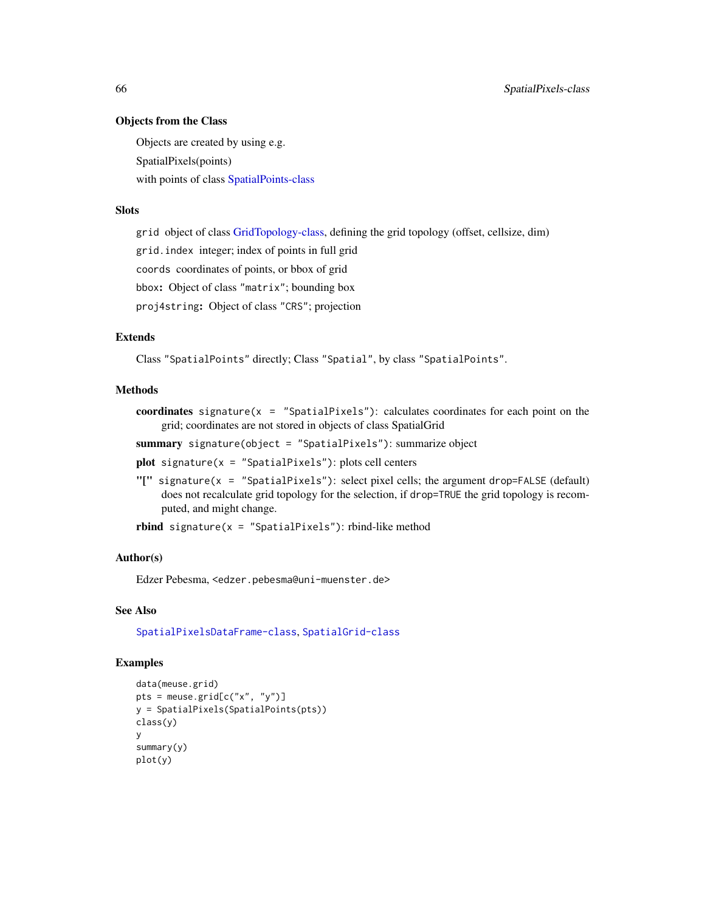# Objects from the Class

Objects are created by using e.g. SpatialPixels(points) with points of class [SpatialPoints-class](#page-69-0)

# **Slots**

grid object of class [GridTopology-class,](#page-25-0) defining the grid topology (offset, cellsize, dim)

grid.index integer; index of points in full grid

coords coordinates of points, or bbox of grid

bbox: Object of class "matrix"; bounding box

proj4string: Object of class "CRS"; projection

# Extends

Class "SpatialPoints" directly; Class "Spatial", by class "SpatialPoints".

### Methods

coordinates signature( $x =$  "SpatialPixels"): calculates coordinates for each point on the grid; coordinates are not stored in objects of class SpatialGrid

summary signature(object = "SpatialPixels"): summarize object

plot signature( $x =$  "SpatialPixels"): plots cell centers

"[" signature(x = "SpatialPixels"): select pixel cells; the argument drop=FALSE (default) does not recalculate grid topology for the selection, if drop=TRUE the grid topology is recomputed, and might change.

rbind signature( $x =$  "SpatialPixels"): rbind-like method

# Author(s)

Edzer Pebesma, <edzer.pebesma@uni-muenster.de>

#### See Also

[SpatialPixelsDataFrame-class](#page-67-0), [SpatialGrid-class](#page-56-0)

# Examples

```
data(meuse.grid)
pts = meuse.grid[c("x", "y")]
y = SpatialPixels(SpatialPoints(pts))
class(y)
y
summary(y)
plot(y)
```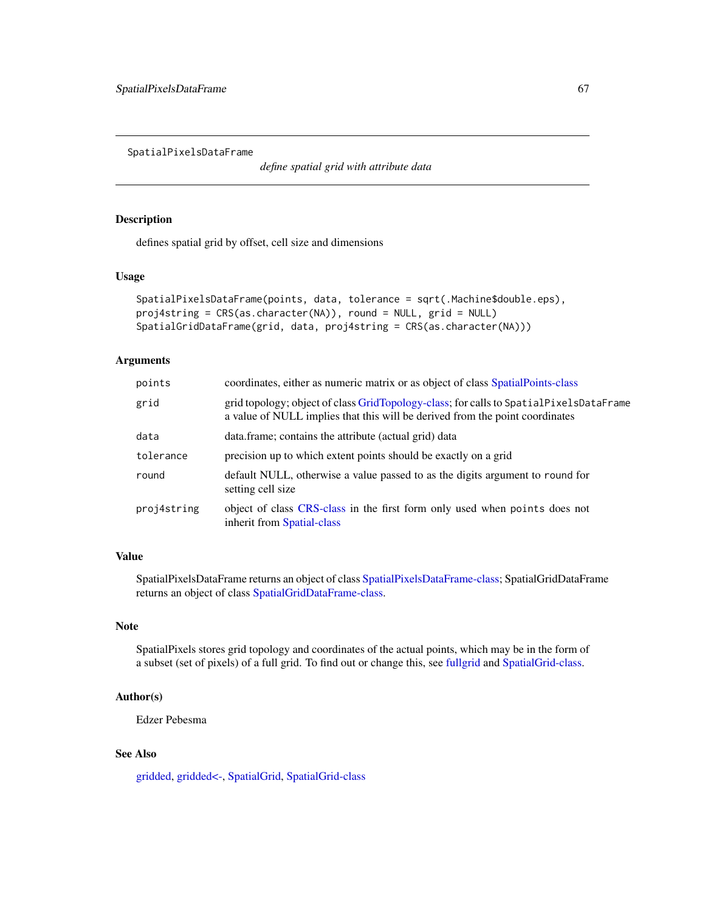SpatialPixelsDataFrame

*define spatial grid with attribute data*

# <span id="page-66-0"></span>Description

defines spatial grid by offset, cell size and dimensions

#### Usage

```
SpatialPixelsDataFrame(points, data, tolerance = sqrt(.Machine$double.eps),
proj4string = CRS(as.character(NA)), round = NULL, grid = NULL)
SpatialGridDataFrame(grid, data, proj4string = CRS(as.character(NA)))
```
# Arguments

| points      | coordinates, either as numeric matrix or as object of class SpatialPoints-class                                                                                        |  |
|-------------|------------------------------------------------------------------------------------------------------------------------------------------------------------------------|--|
| grid        | grid topology; object of class GridTopology-class; for calls to SpatialPixelsDataFrame<br>a value of NULL implies that this will be derived from the point coordinates |  |
| data        | data.frame; contains the attribute (actual grid) data                                                                                                                  |  |
| tolerance   | precision up to which extent points should be exactly on a grid                                                                                                        |  |
| round       | default NULL, otherwise a value passed to as the digits argument to round for<br>setting cell size                                                                     |  |
| proj4string | object of class CRS-class in the first form only used when points does not<br>inherit from Spatial-class                                                               |  |

# Value

SpatialPixelsDataFrame returns an object of class [SpatialPixelsDataFrame-class;](#page-67-0) SpatialGridDataFrame returns an object of class [SpatialGridDataFrame-class.](#page-57-0)

# Note

SpatialPixels stores grid topology and coordinates of the actual points, which may be in the form of a subset (set of pixels) of a full grid. To find out or change this, see [fullgrid](#page-21-0) and [SpatialGrid-class.](#page-56-0)

# Author(s)

Edzer Pebesma

# See Also

[gridded,](#page-21-0) [gridded<-,](#page-21-0) [SpatialGrid,](#page-62-0) [SpatialGrid-class](#page-56-0)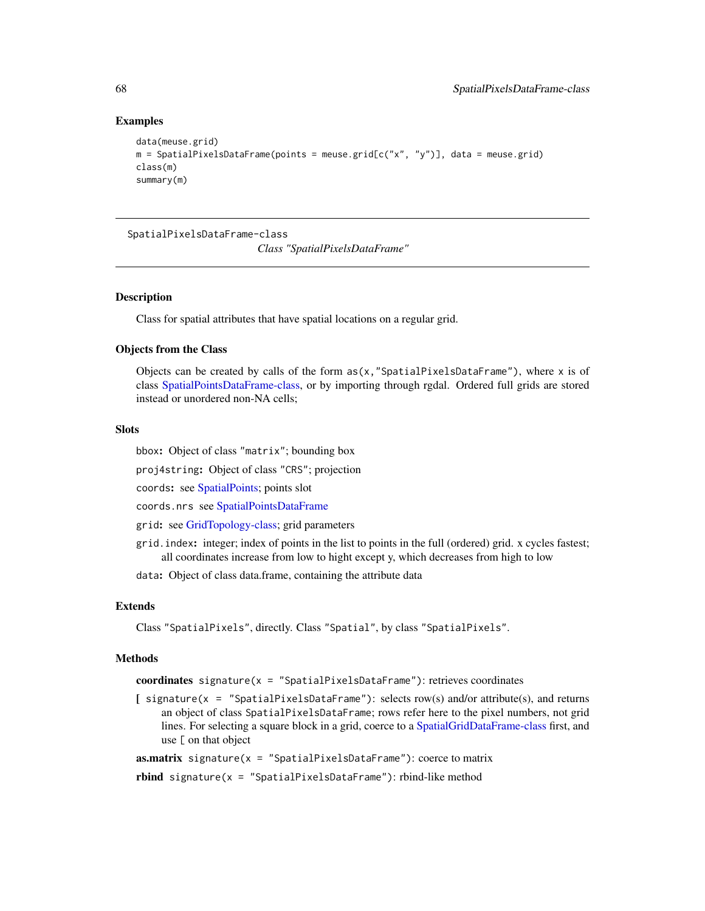## Examples

```
data(meuse.grid)
m = SpatialPixelsDataFrame(points = meuse.grid[c("x", "y")], data = meuse.grid)
class(m)
summary(m)
```
<span id="page-67-0"></span>SpatialPixelsDataFrame-class

*Class "SpatialPixelsDataFrame"*

#### **Description**

Class for spatial attributes that have spatial locations on a regular grid.

## Objects from the Class

Objects can be created by calls of the form  $as(x, "SpatialPixelsDataFrame"),$  where x is of class [SpatialPointsDataFrame-class,](#page-71-0) or by importing through rgdal. Ordered full grids are stored instead or unordered non-NA cells;

# **Slots**

bbox: Object of class "matrix"; bounding box

proj4string: Object of class "CRS"; projection

coords: see [SpatialPoints;](#page-68-0) points slot

coords.nrs see [SpatialPointsDataFrame](#page-68-1)

grid: see [GridTopology-class;](#page-25-0) grid parameters

grid.index: integer; index of points in the list to points in the full (ordered) grid. x cycles fastest; all coordinates increase from low to hight except y, which decreases from high to low

data: Object of class data.frame, containing the attribute data

## Extends

Class "SpatialPixels", directly. Class "Spatial", by class "SpatialPixels".

#### Methods

coordinates signature( $x =$  "SpatialPixelsDataFrame"): retrieves coordinates

[ signature(x = "SpatialPixelsDataFrame"): selects row(s) and/or attribute(s), and returns an object of class SpatialPixelsDataFrame; rows refer here to the pixel numbers, not grid lines. For selecting a square block in a grid, coerce to a [SpatialGridDataFrame-class](#page-57-0) first, and use [ on that object

**as.matrix** signature( $x =$  "SpatialPixelsDataFrame"): coerce to matrix

rbind signature( $x =$  "SpatialPixelsDataFrame"): rbind-like method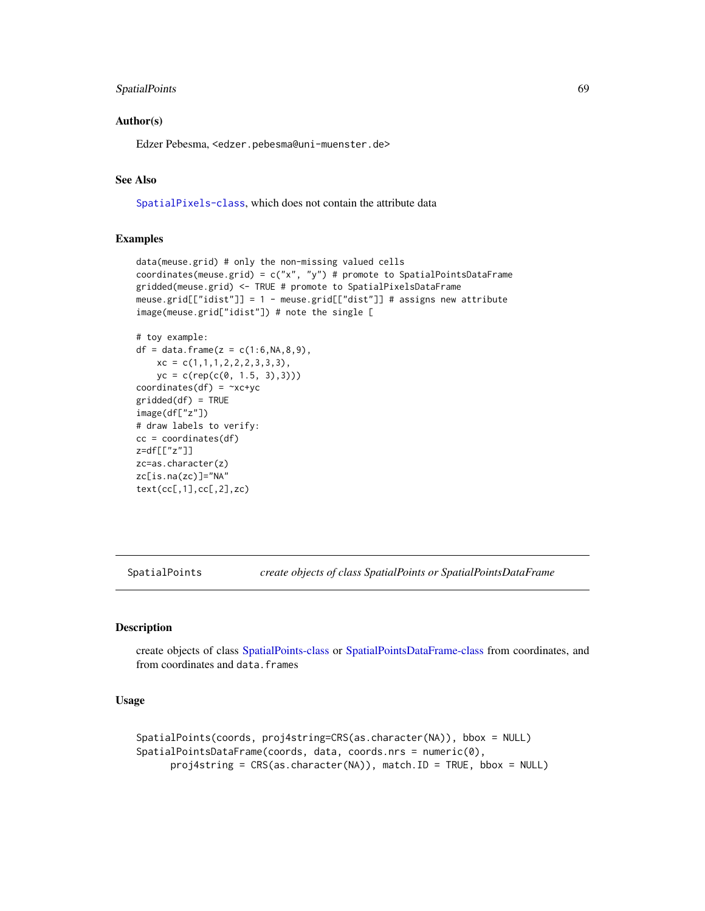# SpatialPoints 69

## Author(s)

Edzer Pebesma, <edzer.pebesma@uni-muenster.de>

# See Also

[SpatialPixels-class](#page-64-0), which does not contain the attribute data

# Examples

```
data(meuse.grid) # only the non-missing valued cells
coordinates(meuse.grid) = c("x", "y") # promote to SpatialPointsDataFrame
gridded(meuse.grid) <- TRUE # promote to SpatialPixelsDataFrame
meuse.grid[["idist"]] = 1 - meuse.grid[["dist"]] # assigns new attribute
image(meuse.grid["idist"]) # note the single [
```

```
# toy example:
df = data frame(z = c(1:6, NA, 8, 9),xc = c(1,1,1,2,2,2,3,3,3),yc = c(rep(c(0, 1.5, 3),3)))coordinates(df) = -xc+ycgridded(df) = TRUEimage(df["z"])
# draw labels to verify:
cc = coordinates(df)
z=df[["z"]]
zc=as.character(z)
zc[is.na(zc)]="NA"
text(cc[,1],cc[,2],zc)
```
<span id="page-68-0"></span>SpatialPoints *create objects of class SpatialPoints or SpatialPointsDataFrame*

## <span id="page-68-1"></span>Description

create objects of class [SpatialPoints-class](#page-69-0) or [SpatialPointsDataFrame-class](#page-71-0) from coordinates, and from coordinates and data.frames

## Usage

```
SpatialPoints(coords, proj4string=CRS(as.character(NA)), bbox = NULL)
SpatialPointsDataFrame(coords, data, coords.nrs = numeric(0),
     proj4string = CRS(as.character(NA)), match.ID = TRUE, bbox = NULL)
```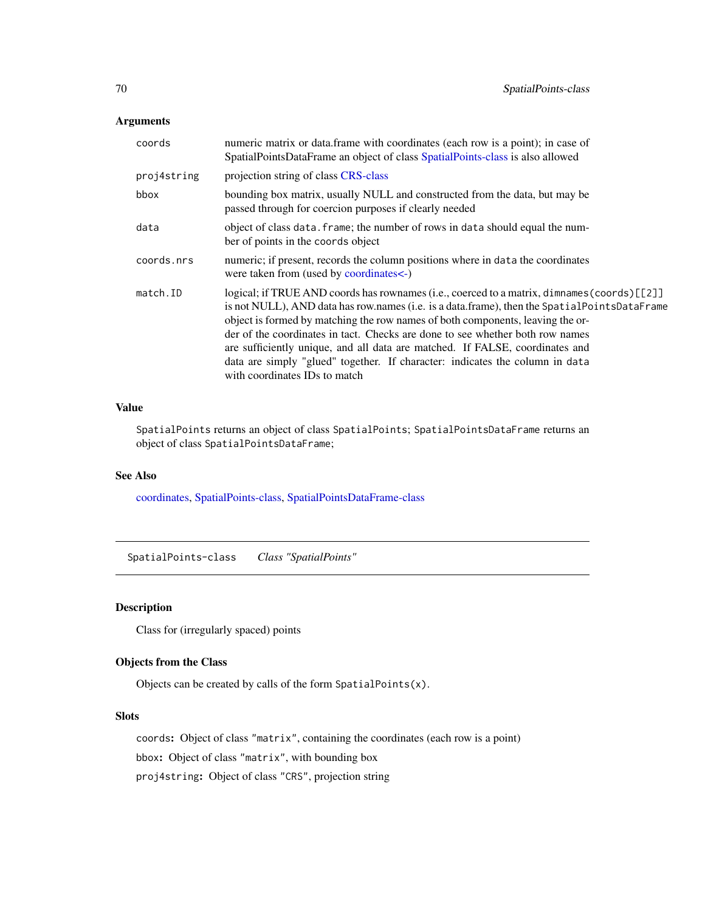# Arguments

| coords      | numeric matrix or data.frame with coordinates (each row is a point); in case of<br>SpatialPointsDataFrame an object of class SpatialPoints-class is also allowed                                                                                                                                                                                                                                                                                                                                                                                                 |  |
|-------------|------------------------------------------------------------------------------------------------------------------------------------------------------------------------------------------------------------------------------------------------------------------------------------------------------------------------------------------------------------------------------------------------------------------------------------------------------------------------------------------------------------------------------------------------------------------|--|
| proj4string | projection string of class CRS-class                                                                                                                                                                                                                                                                                                                                                                                                                                                                                                                             |  |
| bbox        | bounding box matrix, usually NULL and constructed from the data, but may be<br>passed through for coercion purposes if clearly needed                                                                                                                                                                                                                                                                                                                                                                                                                            |  |
| data        | object of class data. frame; the number of rows in data should equal the num-<br>ber of points in the coords object                                                                                                                                                                                                                                                                                                                                                                                                                                              |  |
| coords.nrs  | numeric; if present, records the column positions where in data the coordinates<br>were taken from (used by coordinates<-)                                                                                                                                                                                                                                                                                                                                                                                                                                       |  |
| match.ID    | logical; if TRUE AND coords has rownames (i.e., coerced to a matrix, dimnames (coords) [[2]]<br>is not NULL), AND data has row.names (i.e. is a data.frame), then the SpatialPointsDataFrame<br>object is formed by matching the row names of both components, leaving the or-<br>der of the coordinates in tact. Checks are done to see whether both row names<br>are sufficiently unique, and all data are matched. If FALSE, coordinates and<br>data are simply "glued" together. If character: indicates the column in data<br>with coordinates IDs to match |  |

# Value

SpatialPoints returns an object of class SpatialPoints; SpatialPointsDataFrame returns an object of class SpatialPointsDataFrame;

# See Also

[coordinates,](#page-12-0) [SpatialPoints-class,](#page-69-0) [SpatialPointsDataFrame-class](#page-71-0)

<span id="page-69-0"></span>SpatialPoints-class *Class "SpatialPoints"*

# Description

Class for (irregularly spaced) points

# Objects from the Class

Objects can be created by calls of the form SpatialPoints(x).

## Slots

coords: Object of class "matrix", containing the coordinates (each row is a point)

bbox: Object of class "matrix", with bounding box

proj4string: Object of class "CRS", projection string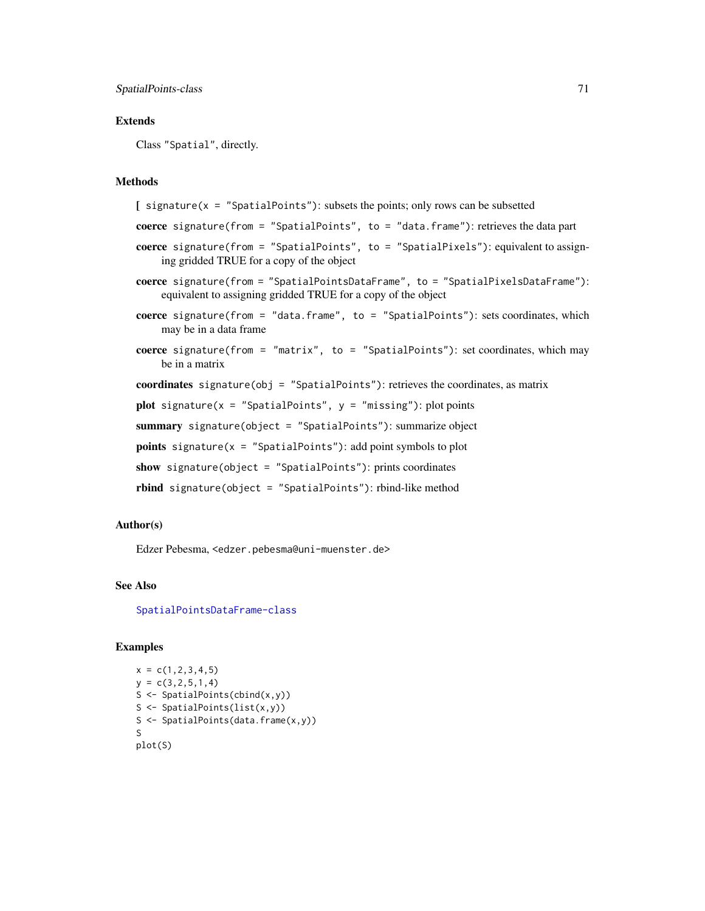# Extends

Class "Spatial", directly.

### Methods

```
\int signature(x = "SpatialPoints"): subsets the points; only rows can be subsetted
coerce signature(from = "SpatialPoints", to = "data.frame"): retrieves the data part
coerce signature(from = "SpatialPoints", to = "SpatialPixels"): equivalent to assign-
    ing gridded TRUE for a copy of the object
coerce signature(from = "SpatialPointsDataFrame", to = "SpatialPixelsDataFrame"):
    equivalent to assigning gridded TRUE for a copy of the object
coerce signature(from = "data.frame", to = "SpatialPoints"): sets coordinates, which
    may be in a data frame
coerce signature(from = "matrix", to = "SpatialPoints"): set coordinates, which may
    be in a matrix
coordinates signature(obj = "SpatialPoints"): retrieves the coordinates, as matrix
plot signature(x = "SpatialPoints", y = "missing"): plot points
summary signature(object = "SpatialPoints"): summarize object
points signature(x = "SpatialPoints"): add point symbols to plot
show signature(object = "SpatialPoints"): prints coordinates
rbind signature(object = "SpatialPoints"): rbind-like method
```
# Author(s)

Edzer Pebesma, <edzer.pebesma@uni-muenster.de>

# See Also

[SpatialPointsDataFrame-class](#page-71-0)

#### Examples

```
x = c(1, 2, 3, 4, 5)y = c(3, 2, 5, 1, 4)S <- SpatialPoints(cbind(x,y))
S <- SpatialPoints(list(x,y))
S <- SpatialPoints(data.frame(x,y))
S
plot(S)
```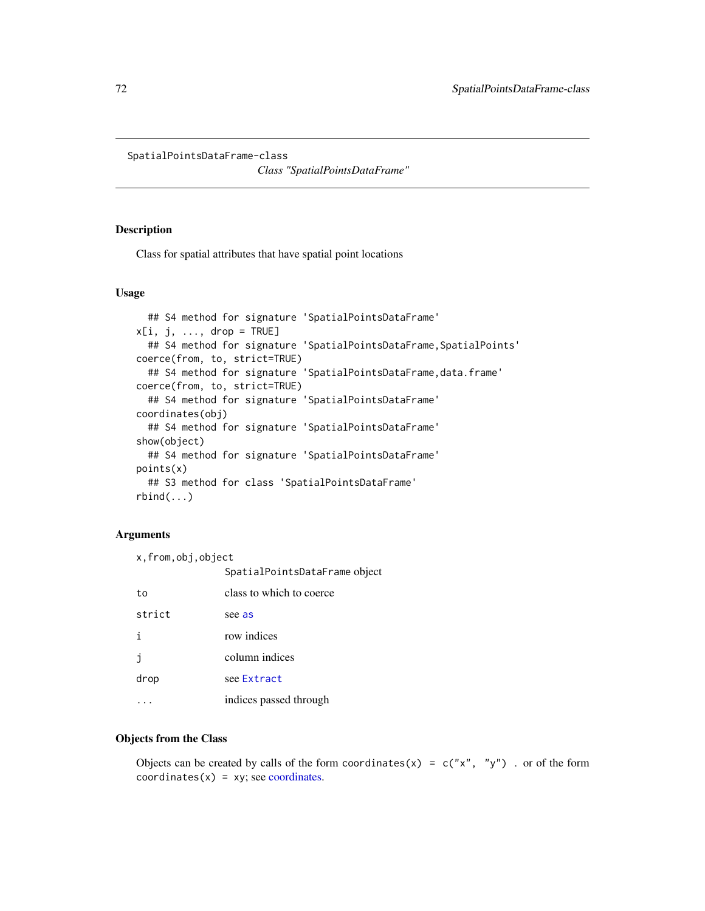<span id="page-71-0"></span>SpatialPointsDataFrame-class

*Class "SpatialPointsDataFrame"*

# Description

Class for spatial attributes that have spatial point locations

### Usage

```
## S4 method for signature 'SpatialPointsDataFrame'
x[i, j, \ldots, drop = TRUE]## S4 method for signature 'SpatialPointsDataFrame, SpatialPoints'
coerce(from, to, strict=TRUE)
  ## S4 method for signature 'SpatialPointsDataFrame, data.frame'
coerce(from, to, strict=TRUE)
  ## S4 method for signature 'SpatialPointsDataFrame'
coordinates(obj)
  ## S4 method for signature 'SpatialPointsDataFrame'
show(object)
  ## S4 method for signature 'SpatialPointsDataFrame'
points(x)
  ## S3 method for class 'SpatialPointsDataFrame'
rbind(...)
```
## Arguments

x,from,obj,object

|        | SpatialPointsDataFrame object |
|--------|-------------------------------|
| to     | class to which to coerce      |
| strict | see as                        |
| j.     | row indices                   |
| -i     | column indices                |
| drop   | see Extract                   |
|        | indices passed through        |

# Objects from the Class

Objects can be created by calls of the form coordinates(x) =  $c("x", "y")$  . or of the form coordinates $(x) = xy$ ; see [coordinates.](#page-12-0)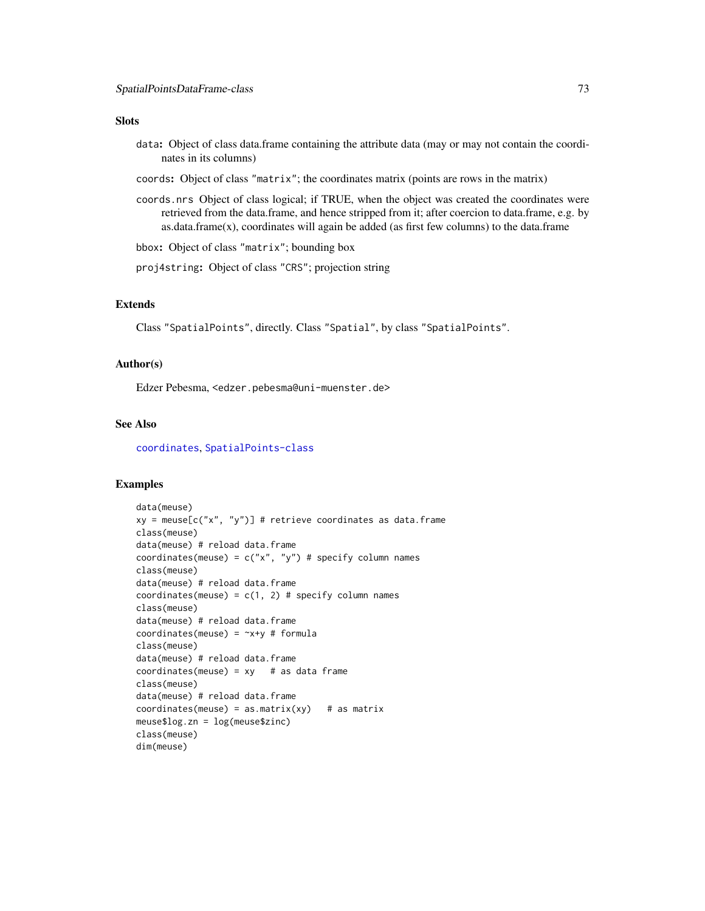### <span id="page-72-0"></span>**Slots**

- data: Object of class data.frame containing the attribute data (may or may not contain the coordinates in its columns)
- coords: Object of class "matrix"; the coordinates matrix (points are rows in the matrix)
- coords.nrs Object of class logical; if TRUE, when the object was created the coordinates were retrieved from the data.frame, and hence stripped from it; after coercion to data.frame, e.g. by  $a$ s.data.frame $(x)$ , coordinates will again be added (as first few columns) to the data.frame

bbox: Object of class "matrix"; bounding box

proj4string: Object of class "CRS"; projection string

# Extends

Class "SpatialPoints", directly. Class "Spatial", by class "SpatialPoints".

#### Author(s)

Edzer Pebesma, <edzer.pebesma@uni-muenster.de>

# See Also

[coordinates](#page-12-0), [SpatialPoints-class](#page-69-0)

#### Examples

```
data(meuse)
xy = \text{meuse}[c("x", "y")] # retrieve coordinates as data.frame
class(meuse)
data(meuse) # reload data.frame
coordinates(meuse) = c("x", "y") # specify column names
class(meuse)
data(meuse) # reload data.frame
coordinates(meuse) = c(1, 2) # specify column names
class(meuse)
data(meuse) # reload data.frame
coordinates(meuse) = -x+y # formula
class(meuse)
data(meuse) # reload data.frame
coordinates(mouse) = xy # as data frameclass(meuse)
data(meuse) # reload data.frame
coordinates(mouse) = as_matrix(xy) # as matrix
meuse$log.zn = log(meuse$zinc)
class(meuse)
dim(meuse)
```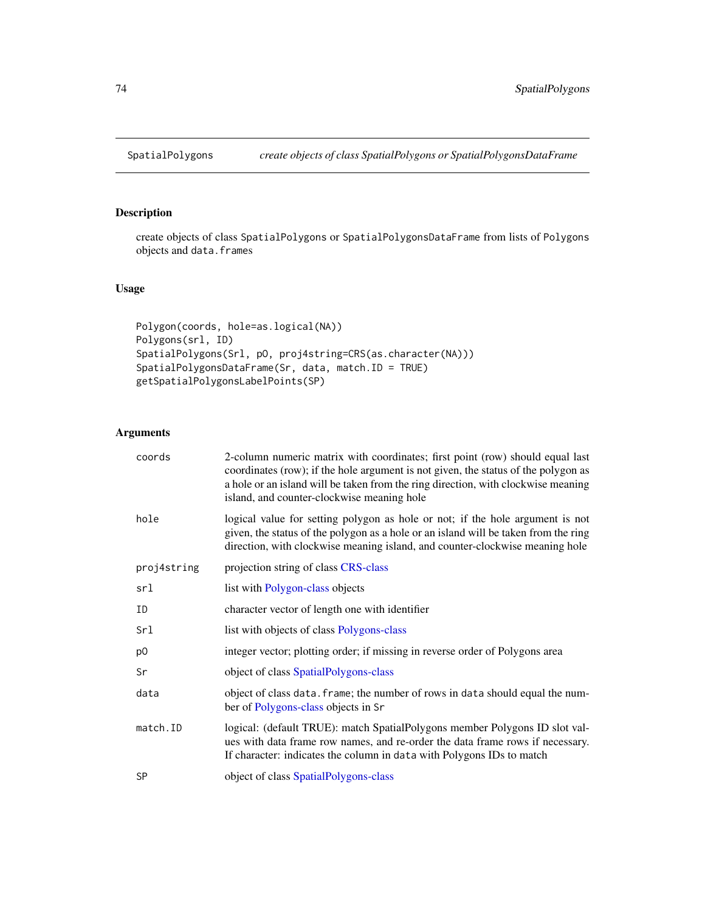<span id="page-73-2"></span><span id="page-73-0"></span>

# <span id="page-73-1"></span>Description

create objects of class SpatialPolygons or SpatialPolygonsDataFrame from lists of Polygons objects and data.frames

# Usage

```
Polygon(coords, hole=as.logical(NA))
Polygons(srl, ID)
SpatialPolygons(Srl, pO, proj4string=CRS(as.character(NA)))
SpatialPolygonsDataFrame(Sr, data, match.ID = TRUE)
getSpatialPolygonsLabelPoints(SP)
```
# Arguments

| coords      | 2-column numeric matrix with coordinates; first point (row) should equal last<br>coordinates (row); if the hole argument is not given, the status of the polygon as<br>a hole or an island will be taken from the ring direction, with clockwise meaning<br>island, and counter-clockwise meaning hole |
|-------------|--------------------------------------------------------------------------------------------------------------------------------------------------------------------------------------------------------------------------------------------------------------------------------------------------------|
| hole        | logical value for setting polygon as hole or not; if the hole argument is not<br>given, the status of the polygon as a hole or an island will be taken from the ring<br>direction, with clockwise meaning island, and counter-clockwise meaning hole                                                   |
| proj4string | projection string of class CRS-class                                                                                                                                                                                                                                                                   |
| srl         | list with Polygon-class objects                                                                                                                                                                                                                                                                        |
| ΙD          | character vector of length one with identifier                                                                                                                                                                                                                                                         |
| Srl         | list with objects of class Polygons-class                                                                                                                                                                                                                                                              |
| p0          | integer vector; plotting order; if missing in reverse order of Polygons area                                                                                                                                                                                                                           |
| Sr          | object of class SpatialPolygons-class                                                                                                                                                                                                                                                                  |
| data        | object of class data. frame; the number of rows in data should equal the num-<br>ber of Polygons-class objects in Sr                                                                                                                                                                                   |
| match.ID    | logical: (default TRUE): match SpatialPolygons member Polygons ID slot val-<br>ues with data frame row names, and re-order the data frame rows if necessary.<br>If character: indicates the column in data with Polygons IDs to match                                                                  |
| <b>SP</b>   | object of class SpatialPolygons-class                                                                                                                                                                                                                                                                  |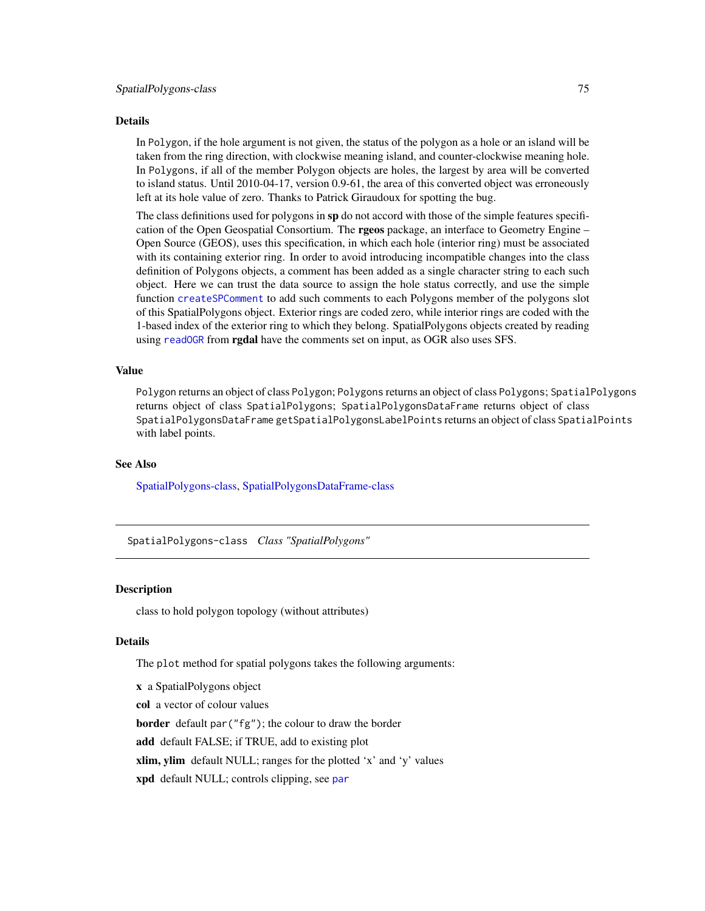#### <span id="page-74-1"></span>Details

In Polygon, if the hole argument is not given, the status of the polygon as a hole or an island will be taken from the ring direction, with clockwise meaning island, and counter-clockwise meaning hole. In Polygons, if all of the member Polygon objects are holes, the largest by area will be converted to island status. Until 2010-04-17, version 0.9-61, the area of this converted object was erroneously left at its hole value of zero. Thanks to Patrick Giraudoux for spotting the bug.

The class definitions used for polygons in sp do not accord with those of the simple features specification of the Open Geospatial Consortium. The **rgeos** package, an interface to Geometry Engine – Open Source (GEOS), uses this specification, in which each hole (interior ring) must be associated with its containing exterior ring. In order to avoid introducing incompatible changes into the class definition of Polygons objects, a comment has been added as a single character string to each such object. Here we can trust the data source to assign the hole status correctly, and use the simple function [createSPComment](#page-0-0) to add such comments to each Polygons member of the polygons slot of this SpatialPolygons object. Exterior rings are coded zero, while interior rings are coded with the 1-based index of the exterior ring to which they belong. SpatialPolygons objects created by reading using [readOGR](#page-0-0) from **rgdal** have the comments set on input, as OGR also uses SFS.

#### Value

Polygon returns an object of class Polygon; Polygons returns an object of class Polygons; SpatialPolygons returns object of class SpatialPolygons; SpatialPolygonsDataFrame returns object of class SpatialPolygonsDataFrame getSpatialPolygonsLabelPoints returns an object of class SpatialPoints with label points.

#### See Also

[SpatialPolygons-class,](#page-74-0) [SpatialPolygonsDataFrame-class](#page-77-0)

<span id="page-74-0"></span>SpatialPolygons-class *Class "SpatialPolygons"*

#### Description

class to hold polygon topology (without attributes)

### Details

The plot method for spatial polygons takes the following arguments:

x a SpatialPolygons object col a vector of colour values border default par("fg"); the colour to draw the border add default FALSE; if TRUE, add to existing plot xlim, ylim default NULL; ranges for the plotted 'x' and 'y' values xpd default NULL; controls clipping, see [par](#page-0-0)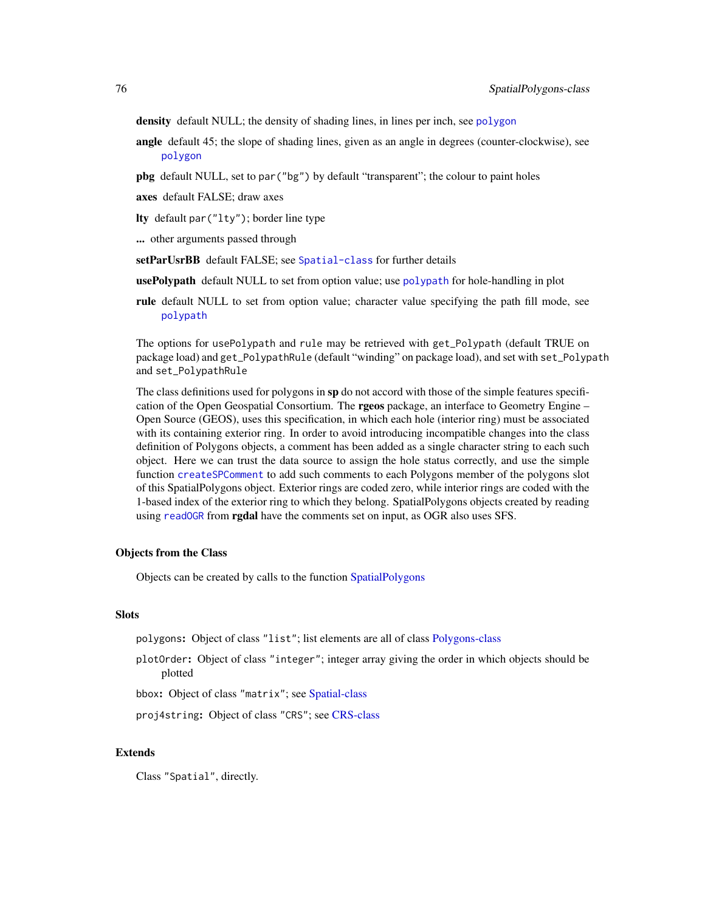<span id="page-75-0"></span>density default NULL; the density of shading lines, in lines per inch, see [polygon](#page-0-0)

- angle default 45; the slope of shading lines, given as an angle in degrees (counter-clockwise), see [polygon](#page-0-0)
- pbg default NULL, set to par("bg") by default "transparent"; the colour to paint holes
- axes default FALSE; draw axes
- lty default par("lty"); border line type
- ... other arguments passed through
- setParUsrBB default FALSE; see [Spatial-class](#page-54-0) for further details
- usePolypath default NULL to set from option value; use [polypath](#page-0-0) for hole-handling in plot
- rule default NULL to set from option value; character value specifying the path fill mode, see [polypath](#page-0-0)

The options for usePolypath and rule may be retrieved with get\_Polypath (default TRUE on package load) and get\_PolypathRule (default "winding" on package load), and set with set\_Polypath and set\_PolypathRule

The class definitions used for polygons in sp do not accord with those of the simple features specification of the Open Geospatial Consortium. The **rgeos** package, an interface to Geometry Engine – Open Source (GEOS), uses this specification, in which each hole (interior ring) must be associated with its containing exterior ring. In order to avoid introducing incompatible changes into the class definition of Polygons objects, a comment has been added as a single character string to each such object. Here we can trust the data source to assign the hole status correctly, and use the simple function [createSPComment](#page-0-0) to add such comments to each Polygons member of the polygons slot of this SpatialPolygons object. Exterior rings are coded zero, while interior rings are coded with the 1-based index of the exterior ring to which they belong. SpatialPolygons objects created by reading using [readOGR](#page-0-0) from **rgdal** have the comments set on input, as OGR also uses SFS.

#### Objects from the Class

Objects can be created by calls to the function [SpatialPolygons](#page-73-0)

# **Slots**

polygons: Object of class "list"; list elements are all of class [Polygons-class](#page-47-0)

plotOrder: Object of class "integer"; integer array giving the order in which objects should be plotted

bbox: Object of class "matrix"; see [Spatial-class](#page-54-0)

proj4string: Object of class "CRS"; see [CRS-class](#page-14-0)

#### Extends

Class "Spatial", directly.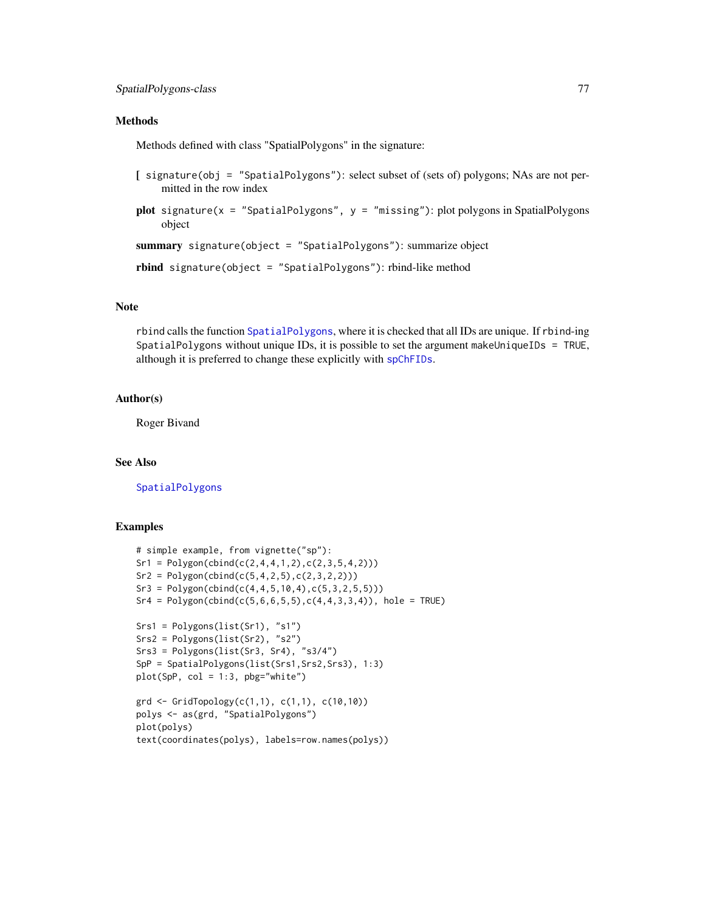# <span id="page-76-0"></span>**Methods**

Methods defined with class "SpatialPolygons" in the signature:

- [ signature(obj = "SpatialPolygons"): select subset of (sets of) polygons; NAs are not permitted in the row index
- plot signature( $x =$  "SpatialPolygons",  $y =$  "missing"): plot polygons in SpatialPolygons object

summary signature(object = "SpatialPolygons"): summarize object

rbind signature(object = "SpatialPolygons"): rbind-like method

# Note

rbind calls the function [SpatialPolygons](#page-73-0), where it is checked that all IDs are unique. If rbind-ing SpatialPolygons without unique IDs, it is possible to set the argument makeUniqueIDs = TRUE, although it is preferred to change these explicitly with [spChFIDs](#page-78-0).

# Author(s)

Roger Bivand

# See Also

[SpatialPolygons](#page-73-0)

#### Examples

```
# simple example, from vignette("sp"):
Sr1 = Polygon(cbind(c(2, 4, 4, 1, 2), c(2, 3, 5, 4, 2)))Sr2 = Polygon(cbind(c(5,4,2,5),c(2,3,2,2)))Sr3 = Polygon(cbind(c(4, 4, 5, 10, 4), c(5, 3, 2, 5, 5)))Sr4 = Polygon(cbind(c(5, 6, 6, 5, 5), c(4, 4, 3, 3, 4)), hole = TRUE)
Srs1 = Polygons(list(Sr1), "s1")
Srs2 = Polygons(list(Sr2), "s2")
Srs3 = Polygons(list(Sr3, Sr4), "s3/4")
SpP = SpatialPolygons(list(Srs1, Srs2, Srs3), 1:3)
plot(SpP, col = 1:3, pbg="white")\text{grd} \leq \text{GridTopology}(c(1,1), c(1,1), c(10,10))polys <- as(grd, "SpatialPolygons")
plot(polys)
```

```
text(coordinates(polys), labels=row.names(polys))
```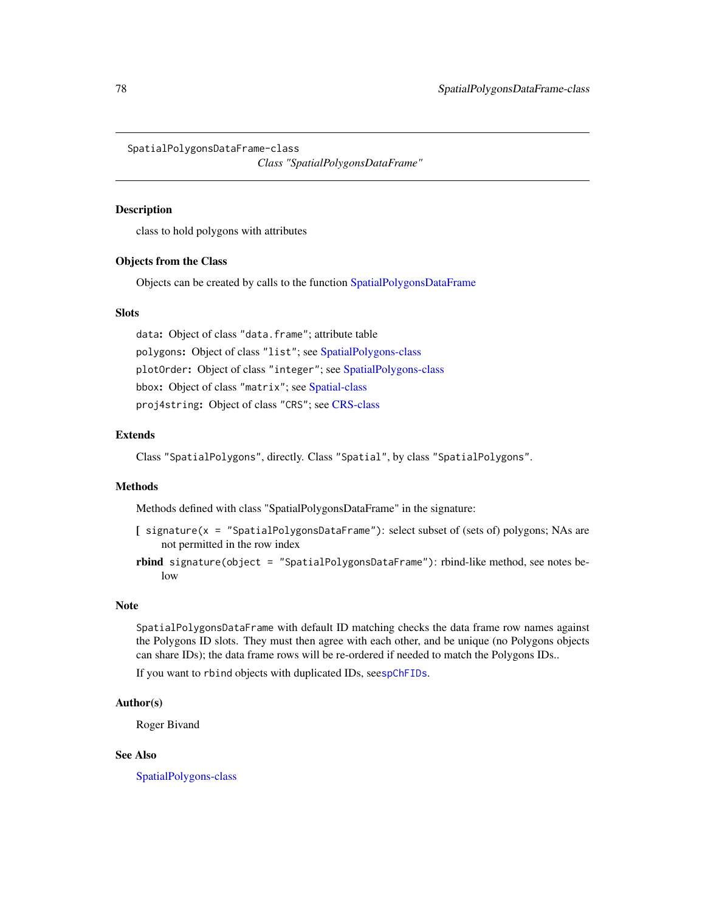<span id="page-77-1"></span><span id="page-77-0"></span>SpatialPolygonsDataFrame-class

*Class "SpatialPolygonsDataFrame"*

# Description

class to hold polygons with attributes

#### Objects from the Class

Objects can be created by calls to the function [SpatialPolygonsDataFrame](#page-73-1)

#### **Slots**

data: Object of class "data.frame"; attribute table polygons: Object of class "list"; see [SpatialPolygons-class](#page-74-0) plotOrder: Object of class "integer"; see [SpatialPolygons-class](#page-74-0) bbox: Object of class "matrix"; see [Spatial-class](#page-54-0) proj4string: Object of class "CRS"; see [CRS-class](#page-14-0)

# Extends

Class "SpatialPolygons", directly. Class "Spatial", by class "SpatialPolygons".

# Methods

Methods defined with class "SpatialPolygonsDataFrame" in the signature:

- $[$  signature(x = "SpatialPolygonsDataFrame"): select subset of (sets of) polygons; NAs are not permitted in the row index
- rbind signature(object = "SpatialPolygonsDataFrame"): rbind-like method, see notes below

# Note

SpatialPolygonsDataFrame with default ID matching checks the data frame row names against the Polygons ID slots. They must then agree with each other, and be unique (no Polygons objects can share IDs); the data frame rows will be re-ordered if needed to match the Polygons IDs..

If you want to rbind objects with duplicated IDs, see[spChFIDs](#page-78-0).

#### Author(s)

Roger Bivand

# See Also

[SpatialPolygons-class](#page-74-0)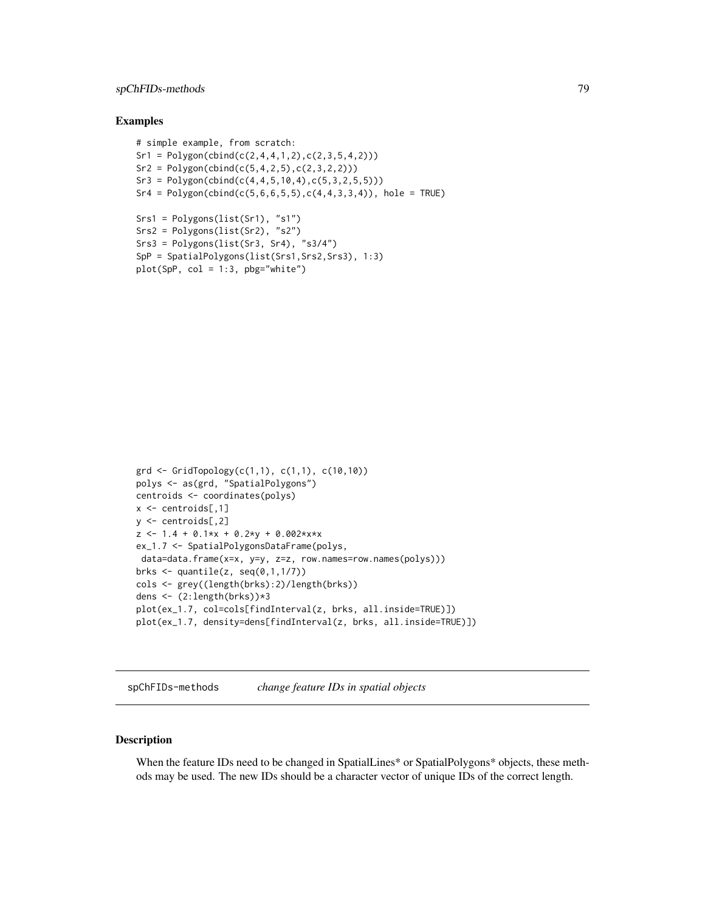# <span id="page-78-1"></span>spChFIDs-methods 79

#### Examples

```
# simple example, from scratch:
Sr1 = Polygon(cbind(c(2, 4, 4, 1, 2), c(2, 3, 5, 4, 2)))Sr2 = Polygon(cbind(c(5, 4, 2, 5), c(2, 3, 2, 2)))Sr3 = Polygon(cbind(c(4, 4, 5, 10, 4), c(5, 3, 2, 5, 5)))Sr4 = Polygon(cbind(c(5,6,6,5,5),c(4,4,3,3,4)), hole = TRUE)
Srs1 = Polygons(list(Sr1), "s1")
Srs2 = Polygons(list(Sr2), "s2")
Srs3 = Polygons(list(Sr3, Sr4), "s3/4")
SpP = SpatialPolygons(list(Srs1,Srs2,Srs3), 1:3)
plot(SpP, col = 1:3, pbg="white")
```

```
\text{grd} \leq \text{GridTopology}(c(1,1), c(1,1), c(10,10))polys <- as(grd, "SpatialPolygons")
centroids <- coordinates(polys)
x \leq centroids[,1]
y \le - centroids[,2]
z \le -1.4 + 0.1*x + 0.2*y + 0.002*x*xex_1.7 <- SpatialPolygonsDataFrame(polys,
data=data.frame(x=x, y=y, z=z, row.names=row.names(polys)))
brks \leq quantile(z, seq(0,1,1/7))
cols <- grey((length(brks):2)/length(brks))
dens <- (2:length(brks))*3
plot(ex_1.7, col=cols[findInterval(z, brks, all.inside=TRUE)])
plot(ex_1.7, density=dens[findInterval(z, brks, all.inside=TRUE)])
```
spChFIDs-methods *change feature IDs in spatial objects*

### <span id="page-78-0"></span>Description

When the feature IDs need to be changed in SpatialLines\* or SpatialPolygons\* objects, these methods may be used. The new IDs should be a character vector of unique IDs of the correct length.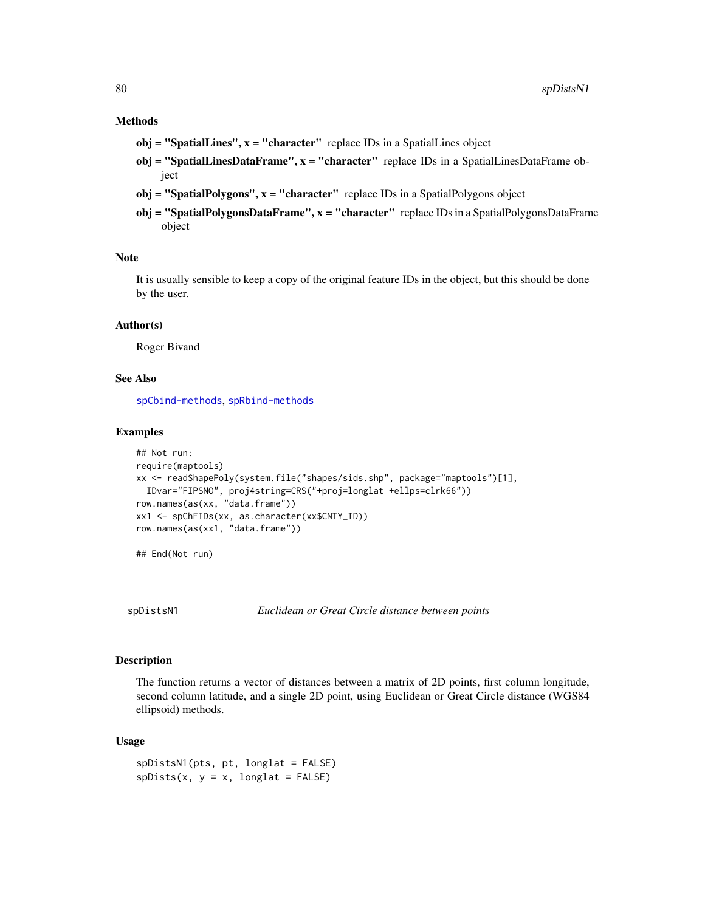# <span id="page-79-0"></span>Methods

- $obj = "SpatialLines", x = "character" replace IDs in a SpatialLines object$
- $obj = "SpatialLinesDataFrame", x = "character" replace IDs in a Spatial LinesDataFrame ob$ ject
- $obj = "SpatialPolygons", x = "character"$  replace IDs in a SpatialPolygons object
- obj = "SpatialPolygonsDataFrame", x = "character" replace IDs in a SpatialPolygonsDataFrame object

#### **Note**

It is usually sensible to keep a copy of the original feature IDs in the object, but this should be done by the user.

#### Author(s)

Roger Bivand

#### See Also

[spCbind-methods](#page-0-0), [spRbind-methods](#page-0-0)

#### Examples

```
## Not run:
require(maptools)
xx <- readShapePoly(system.file("shapes/sids.shp", package="maptools")[1],
 IDvar="FIPSNO", proj4string=CRS("+proj=longlat +ellps=clrk66"))
row.names(as(xx, "data.frame"))
xx1 <- spChFIDs(xx, as.character(xx$CNTY_ID))
row.names(as(xx1, "data.frame"))
```
## End(Not run)

spDistsN1 *Euclidean or Great Circle distance between points*

#### **Description**

The function returns a vector of distances between a matrix of 2D points, first column longitude, second column latitude, and a single 2D point, using Euclidean or Great Circle distance (WGS84 ellipsoid) methods.

#### Usage

spDistsN1(pts, pt, longlat = FALSE)  $splists(x, y = x, longlat = FALSE)$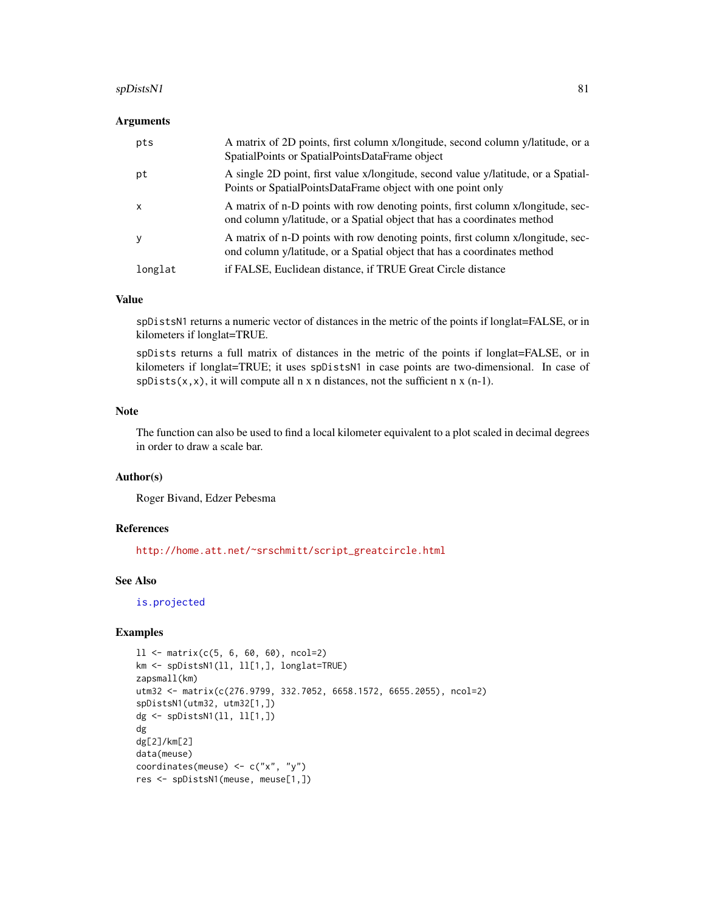#### <span id="page-80-0"></span>spDistsN1 81

#### Arguments

| pts          | A matrix of 2D points, first column x/longitude, second column y/latitude, or a<br>SpatialPoints or SpatialPointsDataFrame object                           |
|--------------|-------------------------------------------------------------------------------------------------------------------------------------------------------------|
| pt           | A single 2D point, first value x/longitude, second value y/latitude, or a Spatial-<br>Points or SpatialPointsDataFrame object with one point only           |
| $\mathsf{x}$ | A matrix of n-D points with row denoting points, first column x/longitude, sec-<br>ond column y/latitude, or a Spatial object that has a coordinates method |
| у            | A matrix of n-D points with row denoting points, first column x/longitude, sec-<br>ond column y/latitude, or a Spatial object that has a coordinates method |
| longlat      | if FALSE, Euclidean distance, if TRUE Great Circle distance                                                                                                 |

### Value

spDistsN1 returns a numeric vector of distances in the metric of the points if longlat=FALSE, or in kilometers if longlat=TRUE.

spDists returns a full matrix of distances in the metric of the points if longlat=FALSE, or in kilometers if longlat=TRUE; it uses spDistsN1 in case points are two-dimensional. In case of  $splists(x, x)$ , it will compute all n x n distances, not the sufficient n x (n-1).

# Note

The function can also be used to find a local kilometer equivalent to a plot scaled in decimal degrees in order to draw a scale bar.

#### Author(s)

Roger Bivand, Edzer Pebesma

#### References

[http://home.att.net/~srschmitt/script\\_greatcircle.html](http://home.att.net/~srschmitt/script_greatcircle.html)

#### See Also

[is.projected](#page-29-0)

# Examples

```
11 \leftarrow \text{matrix}(c(5, 6, 60, 60), \text{ncol=2})km <- spDistsN1(ll, ll[1,], longlat=TRUE)
zapsmall(km)
utm32 <- matrix(c(276.9799, 332.7052, 6658.1572, 6655.2055), ncol=2)
spDistsN1(utm32, utm32[1,])
dg <- spDistsN1(ll, ll[1,])
dg
dg[2]/km[2]
data(meuse)
coordinates(meuse) <- c("x", "y")
res <- spDistsN1(meuse, meuse[1,])
```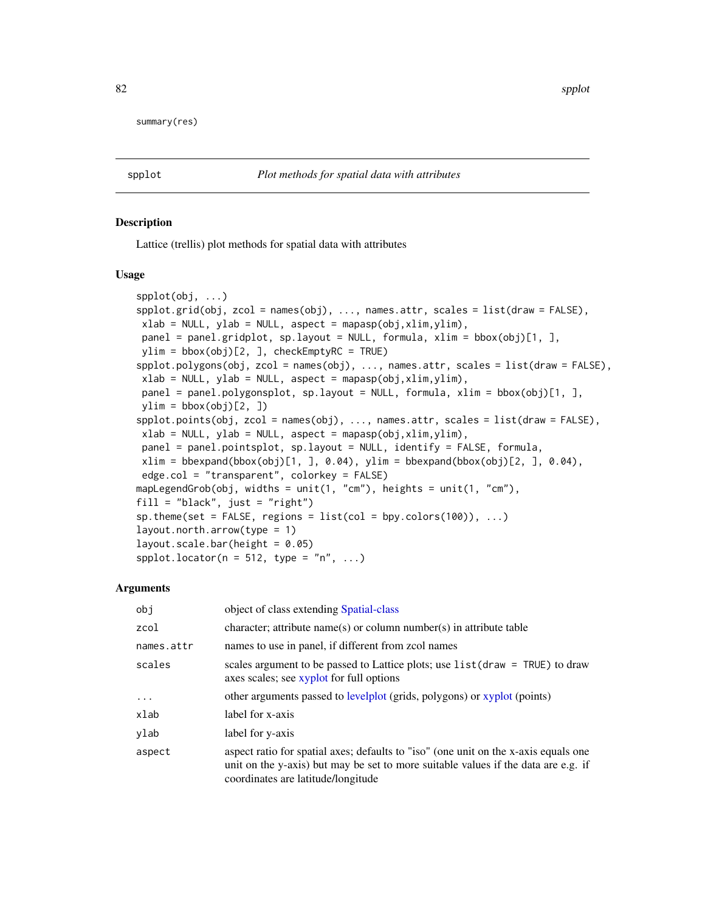<span id="page-81-2"></span>summary(res)

<span id="page-81-0"></span>

#### <span id="page-81-1"></span>Description

Lattice (trellis) plot methods for spatial data with attributes

#### Usage

```
spplot(obj, ...)
spplot.grid(obj, zcol = names(obj), ..., names.attr, scales = list(draw = FALSE),
xlab = NULL, ylab = NULL, aspect = mapasp(obj,xlim,ylim),
panel = panel.gridplot, sp.layout = NULL, formula, xlim = bbox(obj)[1, ],
ylim = bbox(obj)[2, ], checkEmptyRC = TRUE)
spplot.polygons(obj, zcol = names(obj), ..., names.attr, scales = list(draw = FALSE),
xlab = NULL, ylab = NULL, aspect = mapasp(obj,xlim, ylim),
panel = panel.polygonsplot, sp.layout = NULL, formula, xlim = bbox(obj)[1, ],
ylim = bbox(obj)[2, ])spplot.points(obj, zcol = names(obj), ..., names.attr, scales = list(draw = FALSE),
xlab = NULL, ylab = NULL, aspect = mapasp(obj,xlim,ylim),
panel = panel.pointsplot, sp.layout = NULL, identify = FALSE, formula,
xlim = bbegin(bbox(obj)[1,], 0.04), ylim = bbexpand(bbox(obj)[2,], 0.04),edge.col = "transparent", colorkey = FALSE)
mapLegendGrob(obj, widths = unit(1, "cm"), heights = unit(1, "cm"),
fill = "black", just = "right")
sp. theme(set = FALSE, regions = list(col = bpy.colors(100)), ...)
layout.north.arrow(type = 1)
layout.scale.bar(height = <math>0.05</math>)spplot.locator(n = 512, type = "n", ...)
```
# Arguments

| obi        | object of class extending Spatial-class                                                                                                                                                                         |
|------------|-----------------------------------------------------------------------------------------------------------------------------------------------------------------------------------------------------------------|
| zcol       | character; attribute name(s) or column number(s) in attribute table                                                                                                                                             |
| names.attr | names to use in panel, if different from zcol names                                                                                                                                                             |
| scales     | scales argument to be passed to Lattice plots; use $list(draw = TRUE)$ to draw<br>axes scales; see xyplot for full options                                                                                      |
| $\cdots$   | other arguments passed to levelplot (grids, polygons) or xyplot (points)                                                                                                                                        |
| xlab       | label for x-axis                                                                                                                                                                                                |
| ylab       | label for y-axis                                                                                                                                                                                                |
| aspect     | aspect ratio for spatial axes; defaults to "iso" (one unit on the x-axis equals one<br>unit on the y-axis) but may be set to more suitable values if the data are e.g. if<br>coordinates are latitude/longitude |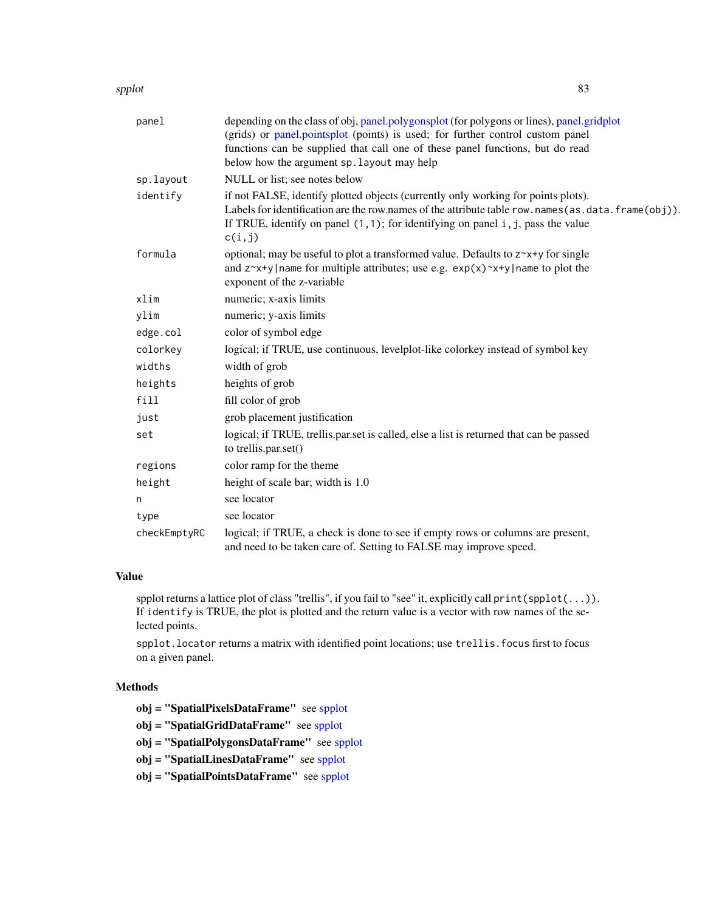#### <span id="page-82-0"></span>spplot and the special state of the state of the state of the state of the state of the state of the state of the state of the state of the state of the state of the state of the state of the state of the state of the stat

| panel        | depending on the class of obj, panel.polygonsplot (for polygons or lines), panel.gridplot<br>(grids) or panel.pointsplot (points) is used; for further control custom panel<br>functions can be supplied that call one of these panel functions, but do read<br>below how the argument sp. layout may help |
|--------------|------------------------------------------------------------------------------------------------------------------------------------------------------------------------------------------------------------------------------------------------------------------------------------------------------------|
| sp.layout    | NULL or list; see notes below                                                                                                                                                                                                                                                                              |
| identify     | if not FALSE, identify plotted objects (currently only working for points plots).<br>Labels for identification are the row.names of the attribute table row.names(as.data.frame(obj)).<br>If TRUE, identify on panel $(1,1)$ ; for identifying on panel $i$ , $j$ , pass the value<br>c(i,j)               |
| formula      | optional; may be useful to plot a transformed value. Defaults to $z^x + y$ for single<br>and $z^x + y$ name for multiple attributes; use e.g. $exp(x)^x + y$ name to plot the<br>exponent of the z-variable                                                                                                |
| xlim         | numeric; x-axis limits                                                                                                                                                                                                                                                                                     |
| ylim         | numeric; y-axis limits                                                                                                                                                                                                                                                                                     |
| edge.col     | color of symbol edge                                                                                                                                                                                                                                                                                       |
| colorkey     | logical; if TRUE, use continuous, levelplot-like colorkey instead of symbol key                                                                                                                                                                                                                            |
| widths       | width of grob                                                                                                                                                                                                                                                                                              |
| heights      | heights of grob                                                                                                                                                                                                                                                                                            |
| fill         | fill color of grob                                                                                                                                                                                                                                                                                         |
| just         | grob placement justification                                                                                                                                                                                                                                                                               |
| set          | logical; if TRUE, trellis.par.set is called, else a list is returned that can be passed<br>to trellis.par.set()                                                                                                                                                                                            |
| regions      | color ramp for the theme                                                                                                                                                                                                                                                                                   |
| height       | height of scale bar; width is 1.0                                                                                                                                                                                                                                                                          |
| n            | see locator                                                                                                                                                                                                                                                                                                |
| type         | see locator                                                                                                                                                                                                                                                                                                |
| checkEmptyRC | logical; if TRUE, a check is done to see if empty rows or columns are present,<br>and need to be taken care of. Setting to FALSE may improve speed.                                                                                                                                                        |

# Value

spplot returns a lattice plot of class "trellis", if you fail to "see" it, explicitly call print(spplot(...)). If identify is TRUE, the plot is plotted and the return value is a vector with row names of the selected points.

spplot.locator returns a matrix with identified point locations; use trellis.focus first to focus on a given panel.

# Methods

obj = "SpatialPixelsDataFrame" see [spplot](#page-81-0)

obj = "SpatialGridDataFrame" see [spplot](#page-81-0)

obj = "SpatialPolygonsDataFrame" see [spplot](#page-81-0)

obj = "SpatialLinesDataFrame" see [spplot](#page-81-0)

obj = "SpatialPointsDataFrame" see [spplot](#page-81-0)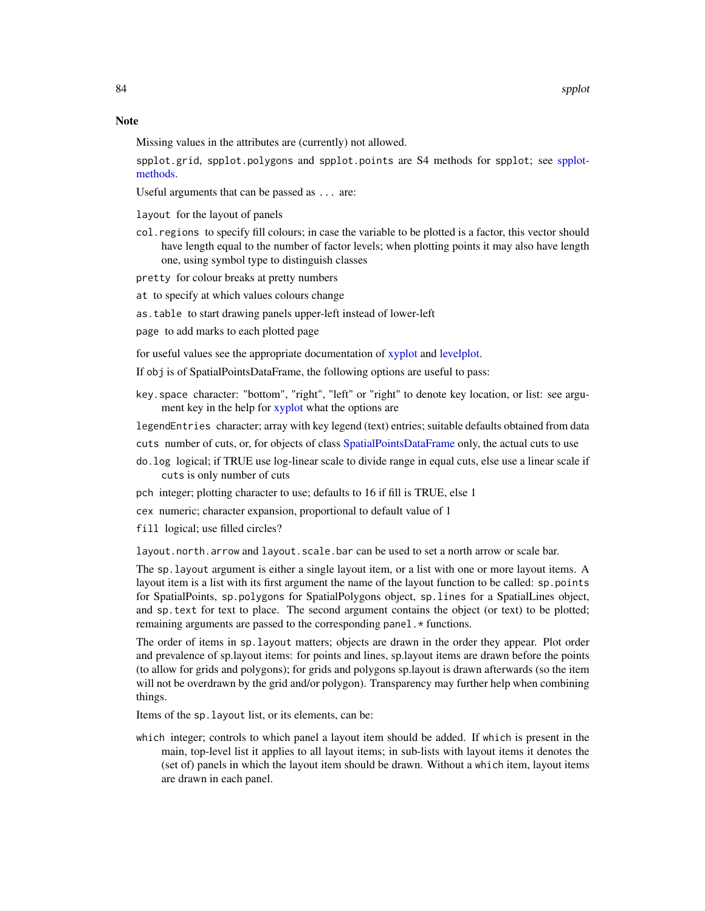Missing values in the attributes are (currently) not allowed.

spplot.grid, spplot.polygons and spplot.points are S4 methods for spplot; see [spplot](#page-81-1)[methods.](#page-81-1)

Useful arguments that can be passed as ... are:

layout for the layout of panels

- col.regions to specify fill colours; in case the variable to be plotted is a factor, this vector should have length equal to the number of factor levels; when plotting points it may also have length one, using symbol type to distinguish classes
- pretty for colour breaks at pretty numbers
- at to specify at which values colours change
- as.table to start drawing panels upper-left instead of lower-left
- page to add marks to each plotted page

for useful values see the appropriate documentation of [xyplot](#page-0-0) and [levelplot.](#page-0-0)

If obj is of SpatialPointsDataFrame, the following options are useful to pass:

key.space character: "bottom", "right", "left" or "right" to denote key location, or list: see argument key in the help for [xyplot](#page-0-0) what the options are

legendEntries character; array with key legend (text) entries; suitable defaults obtained from data

- cuts number of cuts, or, for objects of class [SpatialPointsDataFrame](#page-68-0) only, the actual cuts to use
- do.log logical; if TRUE use log-linear scale to divide range in equal cuts, else use a linear scale if cuts is only number of cuts
- pch integer; plotting character to use; defaults to 16 if fill is TRUE, else 1
- cex numeric; character expansion, proportional to default value of 1
- fill logical; use filled circles?

layout.north.arrow and layout.scale.bar can be used to set a north arrow or scale bar.

The sp.layout argument is either a single layout item, or a list with one or more layout items. A layout item is a list with its first argument the name of the layout function to be called: sp.points for SpatialPoints, sp.polygons for SpatialPolygons object, sp.lines for a SpatialLines object, and sp.text for text to place. The second argument contains the object (or text) to be plotted; remaining arguments are passed to the corresponding panel. \* functions.

The order of items in sp.layout matters; objects are drawn in the order they appear. Plot order and prevalence of sp.layout items: for points and lines, sp.layout items are drawn before the points (to allow for grids and polygons); for grids and polygons sp.layout is drawn afterwards (so the item will not be overdrawn by the grid and/or polygon). Transparency may further help when combining things.

Items of the sp.layout list, or its elements, can be:

which integer; controls to which panel a layout item should be added. If which is present in the main, top-level list it applies to all layout items; in sub-lists with layout items it denotes the (set of) panels in which the layout item should be drawn. Without a which item, layout items are drawn in each panel.

<span id="page-83-0"></span>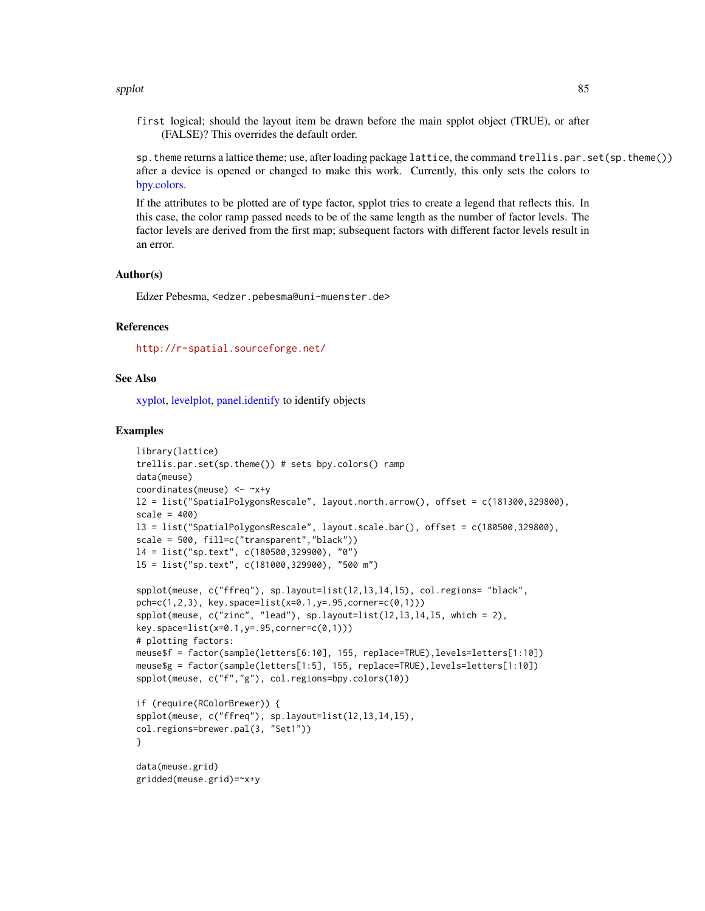#### <span id="page-84-0"></span>spplot and the special state of the state of the state of the state of the state of the state of the state of the state of the state of the state of the state of the state of the state of the state of the state of the stat

first logical; should the layout item be drawn before the main spplot object (TRUE), or after (FALSE)? This overrides the default order.

sp.theme returns a lattice theme; use, after loading package lattice, the command trellis.par.set(sp.theme()) after a device is opened or changed to make this work. Currently, this only sets the colors to [bpy.colors.](#page-7-0)

If the attributes to be plotted are of type factor, spplot tries to create a legend that reflects this. In this case, the color ramp passed needs to be of the same length as the number of factor levels. The factor levels are derived from the first map; subsequent factors with different factor levels result in an error.

#### Author(s)

Edzer Pebesma, <edzer.pebesma@uni-muenster.de>

#### References

<http://r-spatial.sourceforge.net/>

#### See Also

[xyplot,](#page-0-0) [levelplot,](#page-0-0) [panel.identify](#page-0-0) to identify objects

#### Examples

```
library(lattice)
trellis.par.set(sp.theme()) # sets bpy.colors() ramp
data(meuse)
coordinates(meuse) <- ~x+y
l2 = list("SpatialPolygonsRescale", layout.north.arrow(), offset = c(181300,329800),
scale = 400)
l3 = list("SpatialPolygonsRescale", layout.scale.bar(), offset = c(180500,329800),
scale = 500, fill=c("transparent","black"))
l4 = list("sp.text", c(180500,329900), "0")
l5 = list("sp.text", c(181000,329900), "500 m")
spplot(meuse, c("ffreq"), sp.layout=list(l2,l3,l4,l5), col.regions= "black",
pch=c(1,2,3), key.space=list(x=0.1,y=.95,corner=c(0,1)))
spplot(meuse, c("zinc", "lead"), sp.layout=list(12,13,14,15, which = 2),key.space=list(x=0.1,y=.95,corner=c(0,1)))
# plotting factors:
meuse$f = factor(sample(letters[6:10], 155, replace=TRUE),levels=letters[1:10])
```

```
meuse$g = factor(sample(letters[1:5], 155, replace=TRUE),levels=letters[1:10])
spplot(meuse, c("f","g"), col.regions=bpy.colors(10))
```

```
if (require(RColorBrewer)) {
spplot(meuse, c("ffreq"), sp.layout=list(l2,l3,l4,l5),
col.regions=brewer.pal(3, "Set1"))
}
```
data(meuse.grid) gridded(meuse.grid)=~x+y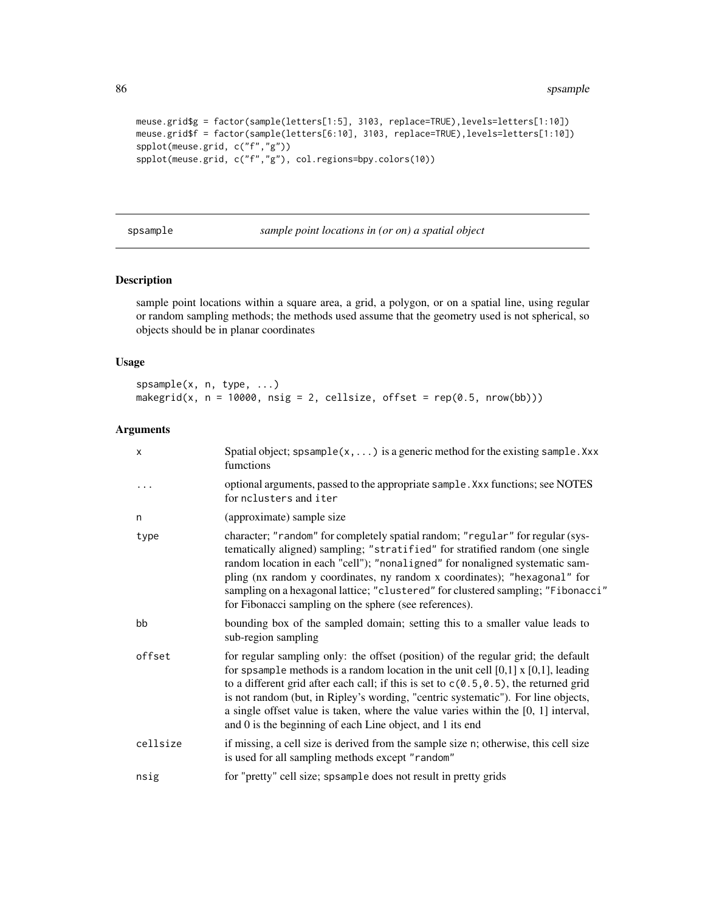```
meuse.grid$g = factor(sample(letters[1:5], 3103, replace=TRUE),levels=letters[1:10])
meuse.grid$f = factor(sample(letters[6:10], 3103, replace=TRUE),levels=letters[1:10])
spplot(meuse.grid, c("f","g"))
spplot(meuse.grid, c("f","g"), col.regions=bpy.colors(10))
```
spsample *sample point locations in (or on) a spatial object*

# <span id="page-85-0"></span>Description

sample point locations within a square area, a grid, a polygon, or on a spatial line, using regular or random sampling methods; the methods used assume that the geometry used is not spherical, so objects should be in planar coordinates

# Usage

```
spsample(x, n, type, ...)
makegrid(x, n = 10000, nsig = 2, cellsize, offset = rep(0.5, nrow(bb)))
```
# Arguments

| $\boldsymbol{\mathsf{x}}$ | Spatial object; spsample( $x$ , ) is a generic method for the existing sample. Xxx<br>fumctions                                                                                                                                                                                                                                                                                                                                                                                                                   |
|---------------------------|-------------------------------------------------------------------------------------------------------------------------------------------------------------------------------------------------------------------------------------------------------------------------------------------------------------------------------------------------------------------------------------------------------------------------------------------------------------------------------------------------------------------|
| .                         | optional arguments, passed to the appropriate sample. Xxx functions; see NOTES<br>for nclusters and iter                                                                                                                                                                                                                                                                                                                                                                                                          |
| n                         | (approximate) sample size                                                                                                                                                                                                                                                                                                                                                                                                                                                                                         |
| type                      | character; "random" for completely spatial random; "regular" for regular (sys-<br>tematically aligned) sampling; "stratified" for stratified random (one single<br>random location in each "cell"); "nonaligned" for nonaligned systematic sam-<br>pling (nx random y coordinates, ny random x coordinates); "hexagonal" for<br>sampling on a hexagonal lattice; "clustered" for clustered sampling; "Fibonacci"<br>for Fibonacci sampling on the sphere (see references).                                        |
| bb                        | bounding box of the sampled domain; setting this to a smaller value leads to<br>sub-region sampling                                                                                                                                                                                                                                                                                                                                                                                                               |
| offset                    | for regular sampling only: the offset (position) of the regular grid; the default<br>for spsample methods is a random location in the unit cell $[0,1]$ x $[0,1]$ , leading<br>to a different grid after each call; if this is set to $c(0.5, 0.5)$ , the returned grid<br>is not random (but, in Ripley's wording, "centric systematic"). For line objects,<br>a single offset value is taken, where the value varies within the $[0, 1]$ interval,<br>and 0 is the beginning of each Line object, and 1 its end |
| cellsize                  | if missing, a cell size is derived from the sample size n; otherwise, this cell size<br>is used for all sampling methods except "random"                                                                                                                                                                                                                                                                                                                                                                          |
| nsig                      | for "pretty" cell size; spsample does not result in pretty grids                                                                                                                                                                                                                                                                                                                                                                                                                                                  |

<span id="page-85-1"></span>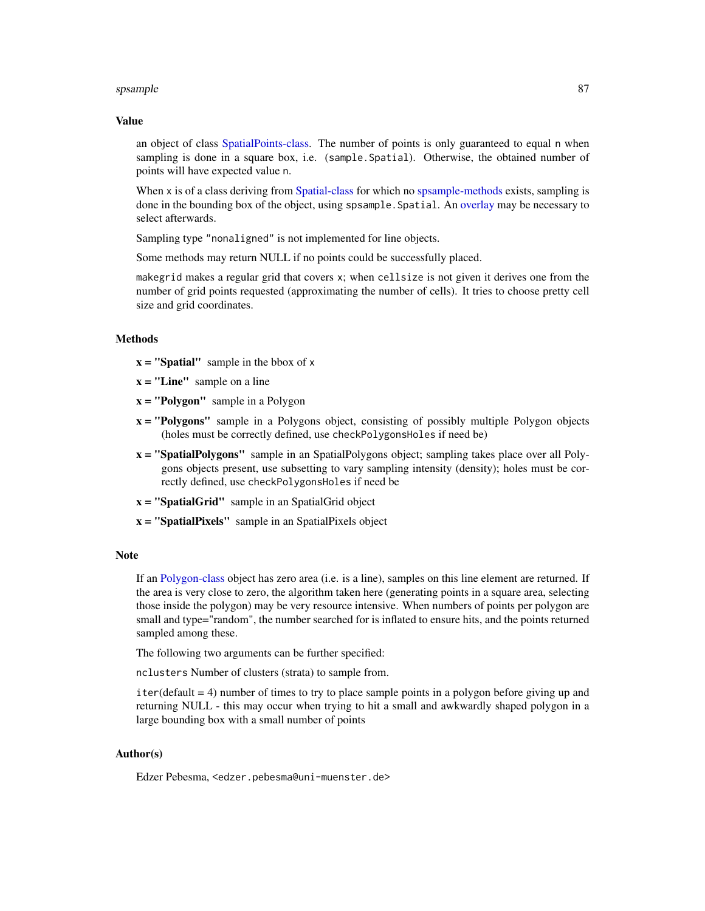#### <span id="page-86-0"></span>spsample 87

#### Value

an object of class [SpatialPoints-class.](#page-69-0) The number of points is only guaranteed to equal n when sampling is done in a square box, i.e. (sample. Spatial). Otherwise, the obtained number of points will have expected value n.

When x is of a class deriving from [Spatial-class](#page-54-0) for which no [spsample-methods](#page-85-0) exists, sampling is done in the bounding box of the object, using spsample.Spatial. An [overlay](#page-54-1) may be necessary to select afterwards.

Sampling type "nonaligned" is not implemented for line objects.

Some methods may return NULL if no points could be successfully placed.

makegrid makes a regular grid that covers x; when cellsize is not given it derives one from the number of grid points requested (approximating the number of cells). It tries to choose pretty cell size and grid coordinates.

#### Methods

- $x =$  "Spatial" sample in the bbox of x
- $x = "Line"$  sample on a line
- $x = "Polygon"$  sample in a Polygon
- x = "Polygons" sample in a Polygons object, consisting of possibly multiple Polygon objects (holes must be correctly defined, use checkPolygonsHoles if need be)
- **x** = "SpatialPolygons" sample in an SpatialPolygons object; sampling takes place over all Polygons objects present, use subsetting to vary sampling intensity (density); holes must be correctly defined, use checkPolygonsHoles if need be
- $x =$  "SpatialGrid" sample in an SpatialGrid object
- x = "SpatialPixels" sample in an SpatialPixels object

#### **Note**

If an [Polygon-class](#page-45-0) object has zero area (i.e. is a line), samples on this line element are returned. If the area is very close to zero, the algorithm taken here (generating points in a square area, selecting those inside the polygon) may be very resource intensive. When numbers of points per polygon are small and type="random", the number searched for is inflated to ensure hits, and the points returned sampled among these.

The following two arguments can be further specified:

nclusters Number of clusters (strata) to sample from.

iter(default = 4) number of times to try to place sample points in a polygon before giving up and returning NULL - this may occur when trying to hit a small and awkwardly shaped polygon in a large bounding box with a small number of points

### Author(s)

Edzer Pebesma, <edzer.pebesma@uni-muenster.de>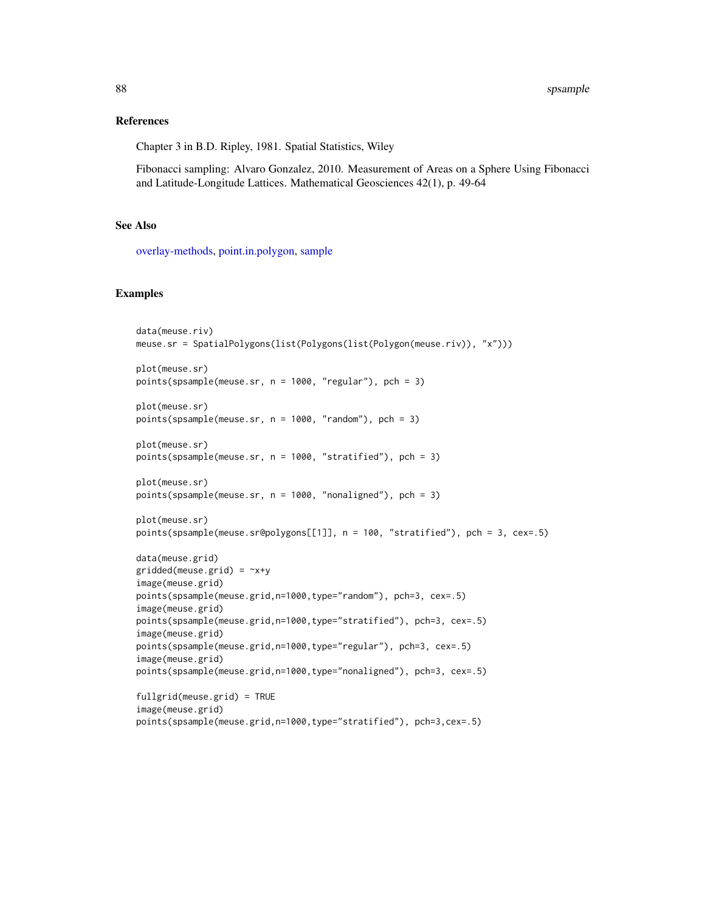#### <span id="page-87-0"></span>References

Chapter 3 in B.D. Ripley, 1981. Spatial Statistics, Wiley

Fibonacci sampling: Alvaro Gonzalez, 2010. Measurement of Areas on a Sphere Using Fibonacci and Latitude-Longitude Lattices. Mathematical Geosciences 42(1), p. 49-64

# See Also

[overlay-methods,](#page-54-1) [point.in.polygon,](#page-44-0) [sample](#page-0-0)

#### Examples

```
data(meuse.riv)
meuse.sr = SpatialPolygons(list(Polygons(list(Polygon(meuse.riv)), "x")))
plot(meuse.sr)
points(spsample(meuse.sr, n = 1000, "regular"), pch = 3)
plot(meuse.sr)
points(spsample(meuse.sr, n = 1000, "random"), pch = 3)
plot(meuse.sr)
points(spsample(meuse.sr, n = 1000, "stratified"), pch = 3)
plot(meuse.sr)
points(spsample(meuse.sr, n = 1000, "nonaligned"), pch = 3)
plot(meuse.sr)
points(spsample(meuse.sr@polygons[[1]], n = 100, "stratified"), pch = 3, cex=.5)
data(meuse.grid)
gridded(meuse.grid) = \gamma x + yimage(meuse.grid)
points(spsample(meuse.grid,n=1000,type="random"), pch=3, cex=.5)
image(meuse.grid)
points(spsample(meuse.grid,n=1000,type="stratified"), pch=3, cex=.5)
image(meuse.grid)
points(spsample(meuse.grid,n=1000,type="regular"), pch=3, cex=.5)
image(meuse.grid)
points(spsample(meuse.grid,n=1000,type="nonaligned"), pch=3, cex=.5)
fullgrid(meuse.grid) = TRUE
image(meuse.grid)
points(spsample(meuse.grid,n=1000,type="stratified"), pch=3,cex=.5)
```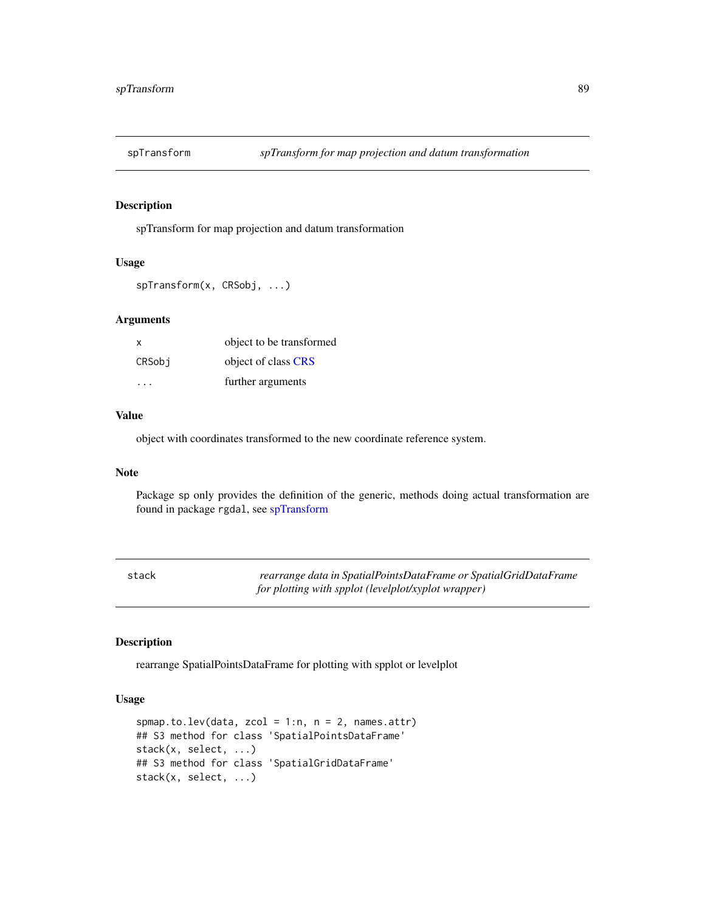<span id="page-88-2"></span><span id="page-88-0"></span>

#### Description

spTransform for map projection and datum transformation

### Usage

```
spTransform(x, CRSobj, ...)
```
# Arguments

| x      | object to be transformed |
|--------|--------------------------|
| CRSobi | object of class CRS      |
| .      | further arguments        |

#### Value

object with coordinates transformed to the new coordinate reference system.

# Note

Package sp only provides the definition of the generic, methods doing actual transformation are found in package rgdal, see [spTransform](#page-88-0)

<span id="page-88-1"></span>

| stack | rearrange data in SpatialPointsDataFrame or SpatialGridDataFrame |
|-------|------------------------------------------------------------------|
|       | for plotting with spplot (levelplot/xyplot wrapper)              |

# Description

rearrange SpatialPointsDataFrame for plotting with spplot or levelplot

# Usage

```
spmap.to.lev(data, zcol = 1:n, n = 2, names.attr)
## S3 method for class 'SpatialPointsDataFrame'
stack(x, select, ...)
## S3 method for class 'SpatialGridDataFrame'
stack(x, select, ...)
```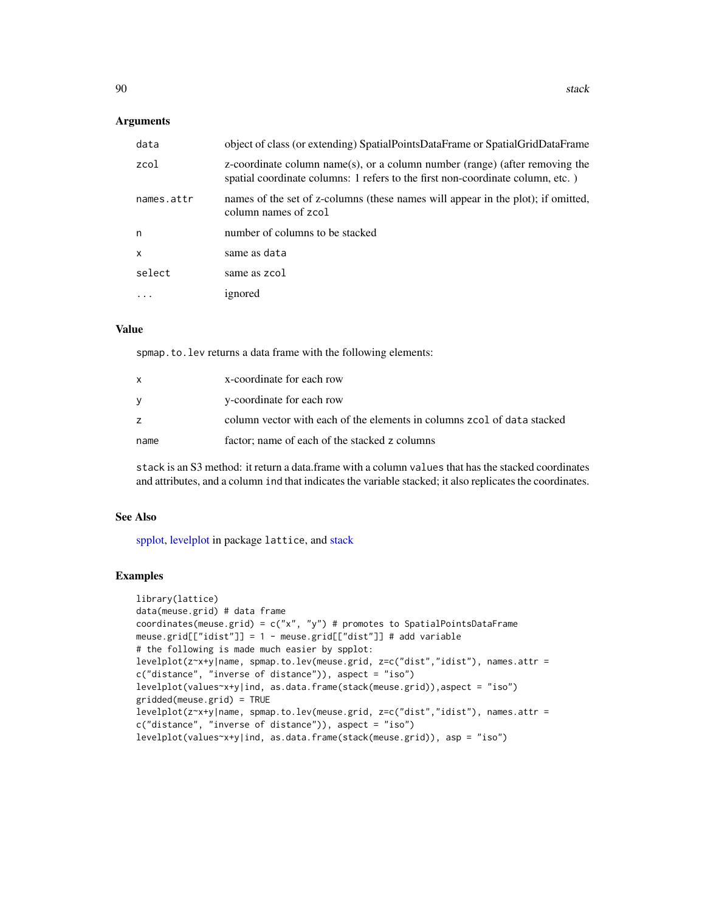#### <span id="page-89-0"></span>**Arguments**

| data         | object of class (or extending) SpatialPointsDataFrame or SpatialGridDataFrame                                                                                    |
|--------------|------------------------------------------------------------------------------------------------------------------------------------------------------------------|
| zcol         | $z$ -coordinate column name(s), or a column number (range) (after removing the<br>spatial coordinate columns: 1 refers to the first non-coordinate column, etc.) |
| names.attr   | names of the set of z-columns (these names will appear in the plot); if omitted,<br>column names of zcol                                                         |
| n            | number of columns to be stacked                                                                                                                                  |
| $\mathsf{x}$ | same as data                                                                                                                                                     |
| select       | same as zcol                                                                                                                                                     |
|              | ignored                                                                                                                                                          |

# Value

spmap.to.lev returns a data frame with the following elements:

|      | x-coordinate for each row                                               |
|------|-------------------------------------------------------------------------|
|      | y-coordinate for each row                                               |
|      | column vector with each of the elements in columns zcol of data stacked |
| name | factor; name of each of the stacked z columns                           |

stack is an S3 method: it return a data.frame with a column values that has the stacked coordinates and attributes, and a column ind that indicates the variable stacked; it also replicates the coordinates.

#### See Also

[spplot,](#page-81-0) [levelplot](#page-0-0) in package lattice, and [stack](#page-88-1)

# Examples

```
library(lattice)
data(meuse.grid) # data frame
coordinates(meuse.grid) = c("x", "y") # promotes to SpatialPointsDataFrame
meuse.grid[["idist"]] = 1 - meuse.grid[["dist"]] # add variable
# the following is made much easier by spplot:
levelplot(z~x+y|name, spmap.to.lev(meuse.grid, z=c("dist","idist"), names.attr =
c("distance", "inverse of distance")), aspect = "iso")
levelplot(values~x+y|ind, as.data.frame(stack(meuse.grid)),aspect = "iso")
gridded(meuse.grid) = TRUE
levelplot(z~x+y|name, spmap.to.lev(meuse.grid, z=c("dist","idist"), names.attr =
c("distance", "inverse of distance")), aspect = "iso")
levelplot(values~x+y|ind, as.data.frame(stack(meuse.grid)), asp = "iso")
```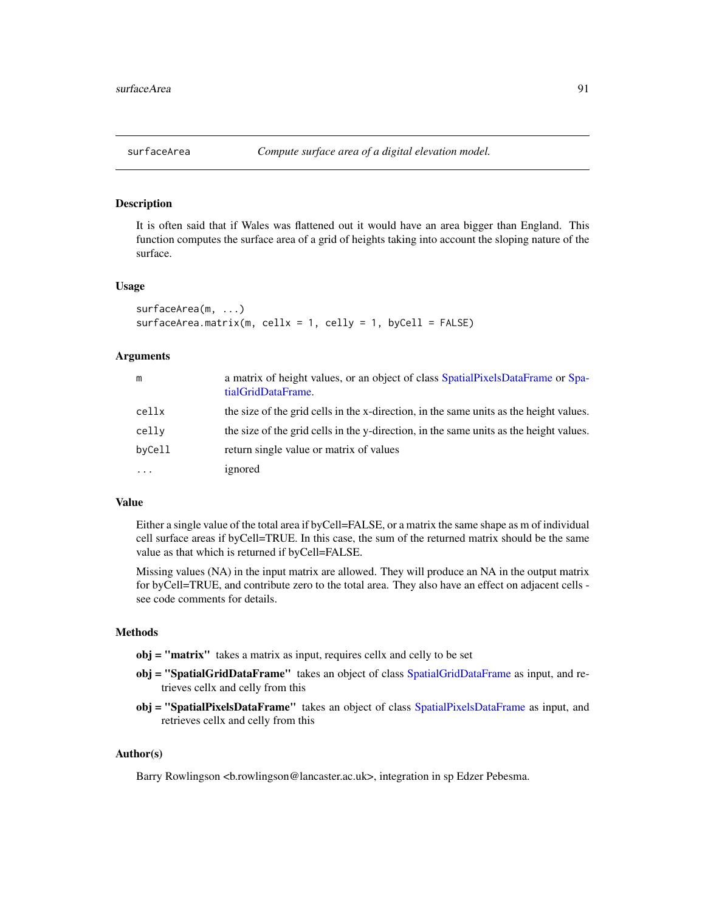<span id="page-90-0"></span>

# Description

It is often said that if Wales was flattened out it would have an area bigger than England. This function computes the surface area of a grid of heights taking into account the sloping nature of the surface.

#### Usage

```
surfaceArea(m, ...)
surfaceArea.matrix(m, cellx = 1, celly = 1, byCell = FALSE)
```
#### Arguments

| m         | a matrix of height values, or an object of class SpatialPixelsDataFrame or Spa-<br>tialGridDataFrame. |
|-----------|-------------------------------------------------------------------------------------------------------|
| cellx     | the size of the grid cells in the x-direction, in the same units as the height values.                |
| celly     | the size of the grid cells in the y-direction, in the same units as the height values.                |
| byCell    | return single value or matrix of values                                                               |
| $\ddotsc$ | ignored                                                                                               |

#### Value

Either a single value of the total area if byCell=FALSE, or a matrix the same shape as m of individual cell surface areas if byCell=TRUE. In this case, the sum of the returned matrix should be the same value as that which is returned if byCell=FALSE.

Missing values (NA) in the input matrix are allowed. They will produce an NA in the output matrix for byCell=TRUE, and contribute zero to the total area. They also have an effect on adjacent cells see code comments for details.

# Methods

- obj = "matrix" takes a matrix as input, requires cellx and celly to be set
- obj = "SpatialGridDataFrame" takes an object of class [SpatialGridDataFrame](#page-66-1) as input, and retrieves cellx and celly from this
- obj = "[SpatialPixelsDataFrame](#page-66-0)" takes an object of class SpatialPixelsDataFrame as input, and retrieves cellx and celly from this

# Author(s)

Barry Rowlingson <br/>the rowlingson@lancaster.ac.uk>, integration in sp Edzer Pebesma.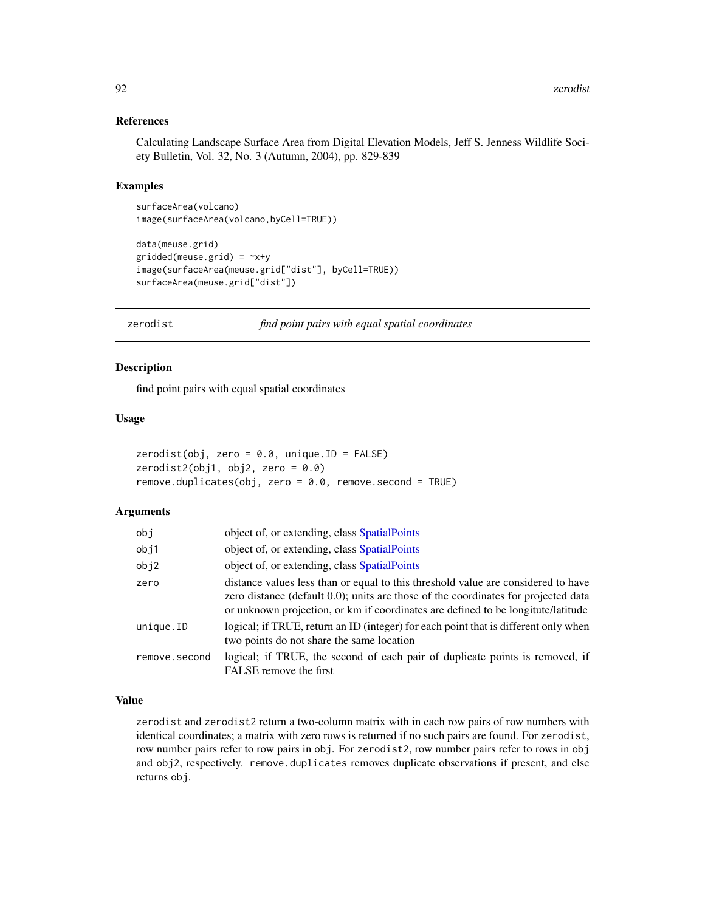#### References

Calculating Landscape Surface Area from Digital Elevation Models, Jeff S. Jenness Wildlife Society Bulletin, Vol. 32, No. 3 (Autumn, 2004), pp. 829-839

#### Examples

```
surfaceArea(volcano)
image(surfaceArea(volcano,byCell=TRUE))
```

```
data(meuse.grid)
gridded(mouse.grid) = \gamma x+yimage(surfaceArea(meuse.grid["dist"], byCell=TRUE))
surfaceArea(meuse.grid["dist"])
```
zerodist *find point pairs with equal spatial coordinates*

#### Description

find point pairs with equal spatial coordinates

#### Usage

```
zerodist(obj, zero = 0.0, unique.ID = FALSE)zerodist2(obj1, obj2, zero = 0.0)
remove.duplicates(obj, zero = 0.0, remove.second = TRUE)
```
# Arguments

| obj           | object of, or extending, class SpatialPoints                                                                                                                                                                                                                |
|---------------|-------------------------------------------------------------------------------------------------------------------------------------------------------------------------------------------------------------------------------------------------------------|
| obj1          | object of, or extending, class SpatialPoints                                                                                                                                                                                                                |
| obj2          | object of, or extending, class SpatialPoints                                                                                                                                                                                                                |
| zero          | distance values less than or equal to this threshold value are considered to have<br>zero distance (default 0.0); units are those of the coordinates for projected data<br>or unknown projection, or km if coordinates are defined to be longitute/latitude |
| unique.ID     | logical; if TRUE, return an ID (integer) for each point that is different only when<br>two points do not share the same location                                                                                                                            |
| remove.second | logical; if TRUE, the second of each pair of duplicate points is removed, if<br>FALSE remove the first                                                                                                                                                      |

#### Value

zerodist and zerodist2 return a two-column matrix with in each row pairs of row numbers with identical coordinates; a matrix with zero rows is returned if no such pairs are found. For zerodist, row number pairs refer to row pairs in obj. For zerodist2, row number pairs refer to rows in obj and obj2, respectively. remove.duplicates removes duplicate observations if present, and else returns obj.

<span id="page-91-0"></span>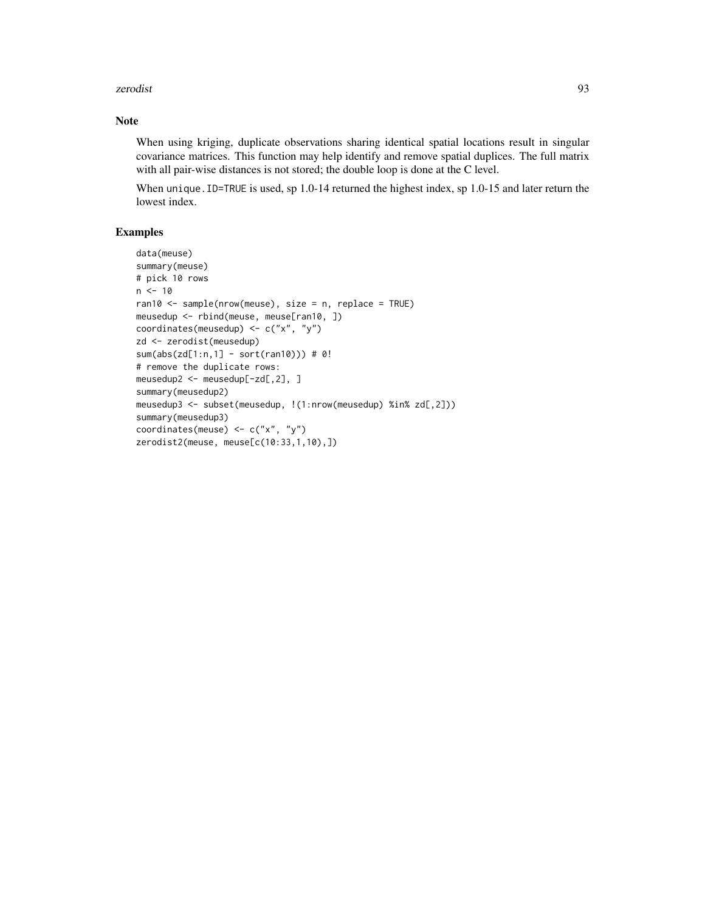#### zerodist 1933 besteckt at 1932 besteckt and the set of the set of the set of the set of the set of the set of the set of the set of the set of the set of the set of the set of the set of the set of the set of the set of th

# Note

When using kriging, duplicate observations sharing identical spatial locations result in singular covariance matrices. This function may help identify and remove spatial duplices. The full matrix with all pair-wise distances is not stored; the double loop is done at the C level.

When unique. ID=TRUE is used, sp 1.0-14 returned the highest index, sp 1.0-15 and later return the lowest index.

# Examples

```
data(meuse)
summary(meuse)
# pick 10 rows
n < -10ran10 <- sample(nrow(meuse), size = n, replace = TRUE)
meusedup <- rbind(meuse, meuse[ran10, ])
coordinates(meusedup) <- c("x", "y")
zd <- zerodist(meusedup)
sum(abs(zd[1:n,1] - sort(ran10))) # 0!
# remove the duplicate rows:
meusedup2 <- meusedup[-zd[,2], ]
summary(meusedup2)
meusedup3 <- subset(meusedup, !(1:nrow(meusedup) %in% zd[,2]))
summary(meusedup3)
coordinates(meuse) <- c("x", "y")
zerodist2(meuse, meuse[c(10:33,1,10),])
```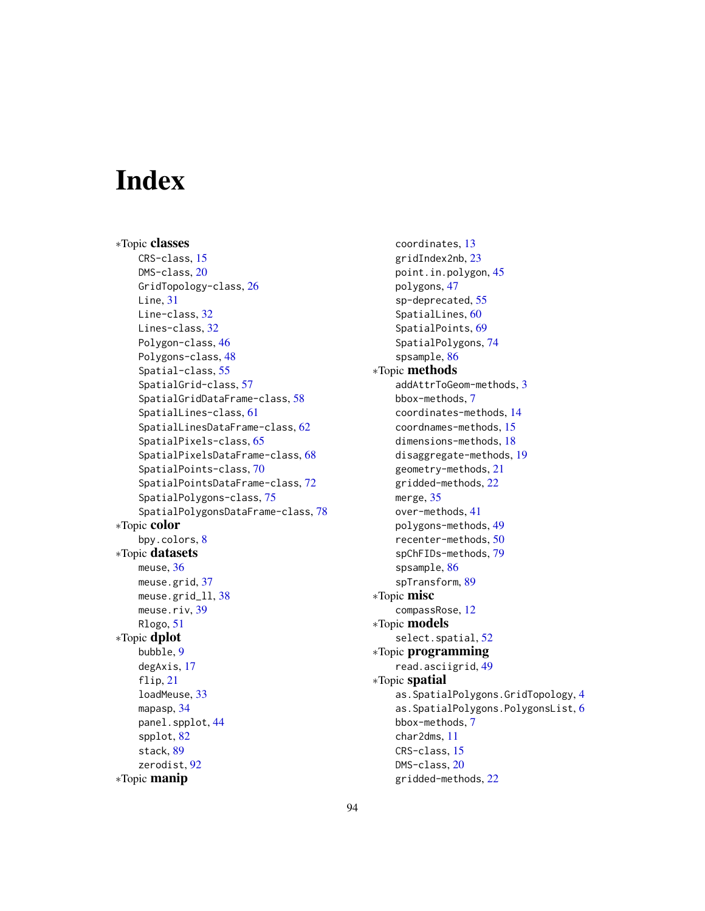# **Index**

∗Topic classes CRS-class, [15](#page-14-2) DMS-class, [20](#page-19-0) GridTopology-class, [26](#page-25-0) Line, [31](#page-30-0) Line-class, [32](#page-31-0) Lines-class, [32](#page-31-0) Polygon-class, [46](#page-45-1) Polygons-class, [48](#page-47-1) Spatial-class, [55](#page-54-2) SpatialGrid-class, [57](#page-56-0) SpatialGridDataFrame-class, [58](#page-57-0) SpatialLines-class, [61](#page-60-0) SpatialLinesDataFrame-class, [62](#page-61-0) SpatialPixels-class, [65](#page-64-0) SpatialPixelsDataFrame-class, [68](#page-67-0) SpatialPoints-class, [70](#page-69-1) SpatialPointsDataFrame-class, [72](#page-71-0) SpatialPolygons-class, [75](#page-74-1) SpatialPolygonsDataFrame-class, [78](#page-77-1) ∗Topic color bpy.colors, [8](#page-7-1) ∗Topic datasets meuse, [36](#page-35-0) meuse.grid, [37](#page-36-0) meuse.grid\_ll, [38](#page-37-0) meuse.riv, [39](#page-38-0) Rlogo, [51](#page-50-0) ∗Topic dplot bubble, [9](#page-8-0) degAxis, [17](#page-16-0) flip, [21](#page-20-0) loadMeuse, [33](#page-32-0) mapasp, [34](#page-33-0) panel.spplot, [44](#page-43-1) spplot, [82](#page-81-2) stack, [89](#page-88-2) zerodist, [92](#page-91-0) ∗Topic manip

coordinates, [13](#page-12-1) gridIndex2nb, [23](#page-22-0) point.in.polygon, [45](#page-44-1) polygons, [47](#page-46-0) sp-deprecated, [55](#page-54-2) SpatialLines, [60](#page-59-0) SpatialPoints, [69](#page-68-2) SpatialPolygons, [74](#page-73-2) spsample, [86](#page-85-1) ∗Topic methods addAttrToGeom-methods, [3](#page-2-0) bbox-methods, [7](#page-6-0) coordinates-methods, [14](#page-13-0) coordnames-methods, [15](#page-14-2) dimensions-methods, [18](#page-17-0) disaggregate-methods, [19](#page-18-0) geometry-methods, [21](#page-20-0) gridded-methods, [22](#page-21-0) merge, [35](#page-34-0) over-methods, [41](#page-40-0) polygons-methods, [49](#page-48-0) recenter-methods, [50](#page-49-0) spChFIDs-methods, [79](#page-78-1) spsample, [86](#page-85-1) spTransform, [89](#page-88-2) ∗Topic misc compassRose, [12](#page-11-0) ∗Topic models select.spatial, [52](#page-51-0) ∗Topic programming read.asciigrid, [49](#page-48-0) ∗Topic spatial as.SpatialPolygons.GridTopology, [4](#page-3-0) as.SpatialPolygons.PolygonsList, [6](#page-5-0) bbox-methods, [7](#page-6-0) char2dms, [11](#page-10-0) CRS-class, [15](#page-14-2) DMS-class, [20](#page-19-0) gridded-methods, [22](#page-21-0)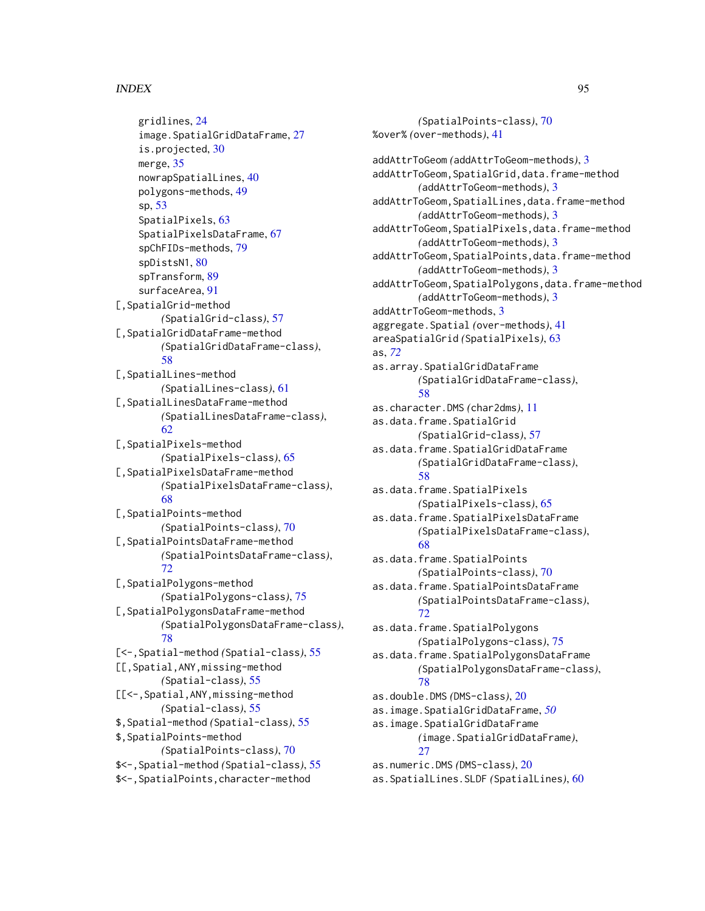#### INDEX 95

gridlines, [24](#page-23-0) image.SpatialGridDataFrame, [27](#page-26-0) is.projected, [30](#page-29-1) merge, [35](#page-34-0) nowrapSpatialLines, [40](#page-39-0) polygons-methods, [49](#page-48-0) sp, [53](#page-52-0) SpatialPixels, [63](#page-62-0) SpatialPixelsDataFrame, [67](#page-66-2) spChFIDs-methods, [79](#page-78-1) spDistsN1, [80](#page-79-0) spTransform, [89](#page-88-2) surfaceArea, [91](#page-90-0) [,SpatialGrid-method *(*SpatialGrid-class*)*, [57](#page-56-0) [,SpatialGridDataFrame-method *(*SpatialGridDataFrame-class*)*, [58](#page-57-0) [,SpatialLines-method *(*SpatialLines-class*)*, [61](#page-60-0) [,SpatialLinesDataFrame-method *(*SpatialLinesDataFrame-class*)*, [62](#page-61-0) [,SpatialPixels-method *(*SpatialPixels-class*)*, [65](#page-64-0) [,SpatialPixelsDataFrame-method *(*SpatialPixelsDataFrame-class*)*, [68](#page-67-0) [,SpatialPoints-method *(*SpatialPoints-class*)*, [70](#page-69-1) [,SpatialPointsDataFrame-method *(*SpatialPointsDataFrame-class*)*, [72](#page-71-0) [,SpatialPolygons-method *(*SpatialPolygons-class*)*, [75](#page-74-1) [,SpatialPolygonsDataFrame-method *(*SpatialPolygonsDataFrame-class*)*, [78](#page-77-1) [<-,Spatial-method *(*Spatial-class*)*, [55](#page-54-2) [[,Spatial,ANY,missing-method *(*Spatial-class*)*, [55](#page-54-2) [[<-,Spatial,ANY,missing-method *(*Spatial-class*)*, [55](#page-54-2) \$,Spatial-method *(*Spatial-class*)*, [55](#page-54-2) \$,SpatialPoints-method *(*SpatialPoints-class*)*, [70](#page-69-1) \$<-,Spatial-method *(*Spatial-class*)*, [55](#page-54-2) \$<-,SpatialPoints,character-method

*(*SpatialPoints-class*)*, [70](#page-69-1) %over% *(*over-methods*)*, [41](#page-40-0) addAttrToGeom *(*addAttrToGeom-methods*)*, [3](#page-2-0) addAttrToGeom,SpatialGrid,data.frame-method *(*addAttrToGeom-methods*)*, [3](#page-2-0) addAttrToGeom,SpatialLines,data.frame-method *(*addAttrToGeom-methods*)*, [3](#page-2-0) addAttrToGeom,SpatialPixels,data.frame-method *(*addAttrToGeom-methods*)*, [3](#page-2-0) addAttrToGeom,SpatialPoints,data.frame-method *(*addAttrToGeom-methods*)*, [3](#page-2-0) addAttrToGeom,SpatialPolygons,data.frame-method *(*addAttrToGeom-methods*)*, [3](#page-2-0) addAttrToGeom-methods, [3](#page-2-0) aggregate.Spatial *(*over-methods*)*, [41](#page-40-0) areaSpatialGrid *(*SpatialPixels*)*, [63](#page-62-0) as, *[72](#page-71-0)* as.array.SpatialGridDataFrame *(*SpatialGridDataFrame-class*)*, [58](#page-57-0) as.character.DMS *(*char2dms*)*, [11](#page-10-0) as.data.frame.SpatialGrid *(*SpatialGrid-class*)*, [57](#page-56-0) as.data.frame.SpatialGridDataFrame *(*SpatialGridDataFrame-class*)*, [58](#page-57-0) as.data.frame.SpatialPixels *(*SpatialPixels-class*)*, [65](#page-64-0) as.data.frame.SpatialPixelsDataFrame *(*SpatialPixelsDataFrame-class*)*, [68](#page-67-0) as.data.frame.SpatialPoints *(*SpatialPoints-class*)*, [70](#page-69-1) as.data.frame.SpatialPointsDataFrame *(*SpatialPointsDataFrame-class*)*, [72](#page-71-0) as.data.frame.SpatialPolygons *(*SpatialPolygons-class*)*, [75](#page-74-1) as.data.frame.SpatialPolygonsDataFrame *(*SpatialPolygonsDataFrame-class*)*, [78](#page-77-1) as.double.DMS *(*DMS-class*)*, [20](#page-19-0) as.image.SpatialGridDataFrame, *[50](#page-49-0)* as.image.SpatialGridDataFrame *(*image.SpatialGridDataFrame*)*,  $27$ as.numeric.DMS *(*DMS-class*)*, [20](#page-19-0) as.SpatialLines.SLDF *(*SpatialLines*)*, [60](#page-59-0)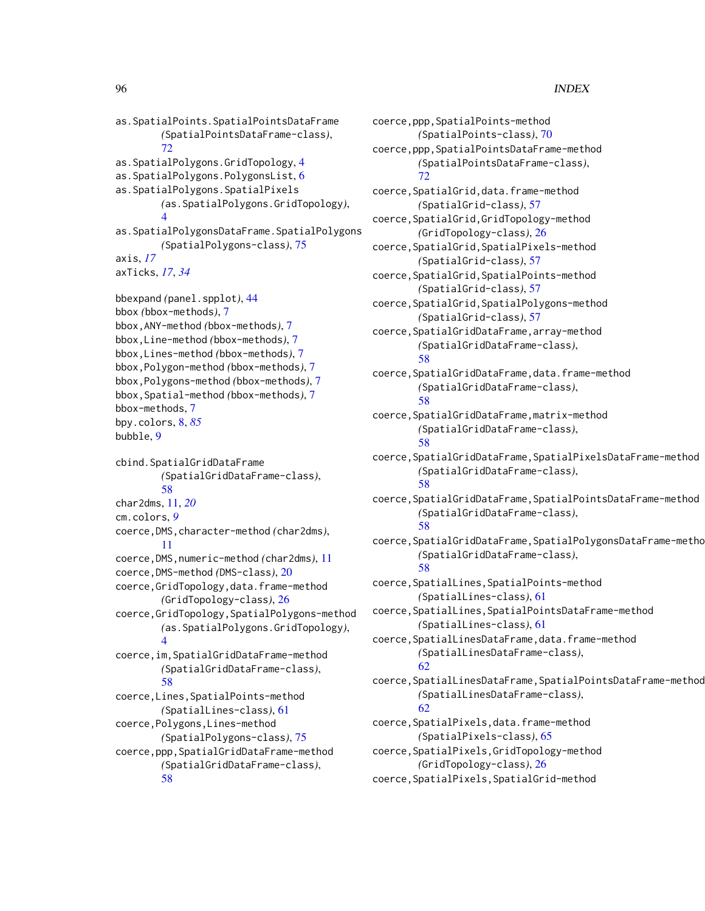as.SpatialPoints.SpatialPointsDataFrame *(*SpatialPointsDataFrame-class*)*, [72](#page-71-0) as.SpatialPolygons.GridTopology, [4](#page-3-0) as.SpatialPolygons.PolygonsList, [6](#page-5-0) as.SpatialPolygons.SpatialPixels *(*as.SpatialPolygons.GridTopology*)*, [4](#page-3-0) as.SpatialPolygonsDataFrame.SpatialPolygons *(*SpatialPolygons-class*)*, [75](#page-74-1) axis, *[17](#page-16-0)* axTicks, *[17](#page-16-0)*, *[34](#page-33-0)* bbexpand *(*panel.spplot*)*, [44](#page-43-1) bbox *(*bbox-methods*)*, [7](#page-6-0) bbox,ANY-method *(*bbox-methods*)*, [7](#page-6-0) bbox,Line-method *(*bbox-methods*)*, [7](#page-6-0) bbox,Lines-method *(*bbox-methods*)*, [7](#page-6-0) bbox,Polygon-method *(*bbox-methods*)*, [7](#page-6-0) bbox,Polygons-method *(*bbox-methods*)*, [7](#page-6-0) bbox,Spatial-method *(*bbox-methods*)*, [7](#page-6-0) bbox-methods, [7](#page-6-0) bpy.colors, [8,](#page-7-1) *[85](#page-84-0)* bubble, [9](#page-8-0) cbind.SpatialGridDataFrame *(*SpatialGridDataFrame-class*)*, [58](#page-57-0) char2dms, [11,](#page-10-0) *[20](#page-19-0)* cm.colors, *[9](#page-8-0)* coerce,DMS,character-method *(*char2dms*)*, [11](#page-10-0) coerce,DMS,numeric-method *(*char2dms*)*, [11](#page-10-0) coerce,DMS-method *(*DMS-class*)*, [20](#page-19-0) coerce,GridTopology,data.frame-method *(*GridTopology-class*)*, [26](#page-25-0) coerce,GridTopology,SpatialPolygons-method *(*as.SpatialPolygons.GridTopology*)*, [4](#page-3-0) coerce,im,SpatialGridDataFrame-method *(*SpatialGridDataFrame-class*)*, [58](#page-57-0) coerce,Lines,SpatialPoints-method *(*SpatialLines-class*)*, [61](#page-60-0) coerce,Polygons,Lines-method *(*SpatialPolygons-class*)*, [75](#page-74-1) coerce,ppp,SpatialGridDataFrame-method *(*SpatialGridDataFrame-class*)*, [58](#page-57-0)

coerce,ppp,SpatialPoints-method *(*SpatialPoints-class*)*, [70](#page-69-1) coerce,ppp,SpatialPointsDataFrame-method *(*SpatialPointsDataFrame-class*)*, [72](#page-71-0) coerce,SpatialGrid,data.frame-method *(*SpatialGrid-class*)*, [57](#page-56-0) coerce,SpatialGrid,GridTopology-method *(*GridTopology-class*)*, [26](#page-25-0) coerce,SpatialGrid,SpatialPixels-method *(*SpatialGrid-class*)*, [57](#page-56-0) coerce,SpatialGrid,SpatialPoints-method *(*SpatialGrid-class*)*, [57](#page-56-0) coerce,SpatialGrid,SpatialPolygons-method *(*SpatialGrid-class*)*, [57](#page-56-0) coerce,SpatialGridDataFrame,array-method *(*SpatialGridDataFrame-class*)*, [58](#page-57-0) coerce,SpatialGridDataFrame,data.frame-method *(*SpatialGridDataFrame-class*)*, [58](#page-57-0) coerce,SpatialGridDataFrame,matrix-method *(*SpatialGridDataFrame-class*)*, [58](#page-57-0) coerce,SpatialGridDataFrame,SpatialPixelsDataFrame-method *(*SpatialGridDataFrame-class*)*, [58](#page-57-0) coerce,SpatialGridDataFrame,SpatialPointsDataFrame-method *(*SpatialGridDataFrame-class*)*, [58](#page-57-0) coerce, SpatialGridDataFrame, SpatialPolygonsDataFrame-metho *(*SpatialGridDataFrame-class*)*, [58](#page-57-0) coerce,SpatialLines,SpatialPoints-method *(*SpatialLines-class*)*, [61](#page-60-0) coerce,SpatialLines,SpatialPointsDataFrame-method *(*SpatialLines-class*)*, [61](#page-60-0) coerce,SpatialLinesDataFrame,data.frame-method *(*SpatialLinesDataFrame-class*)*, [62](#page-61-0) coerce,SpatialLinesDataFrame,SpatialPointsDataFrame-method *(*SpatialLinesDataFrame-class*)*, [62](#page-61-0) coerce,SpatialPixels,data.frame-method *(*SpatialPixels-class*)*, [65](#page-64-0) coerce,SpatialPixels,GridTopology-method *(*GridTopology-class*)*, [26](#page-25-0) coerce,SpatialPixels,SpatialGrid-method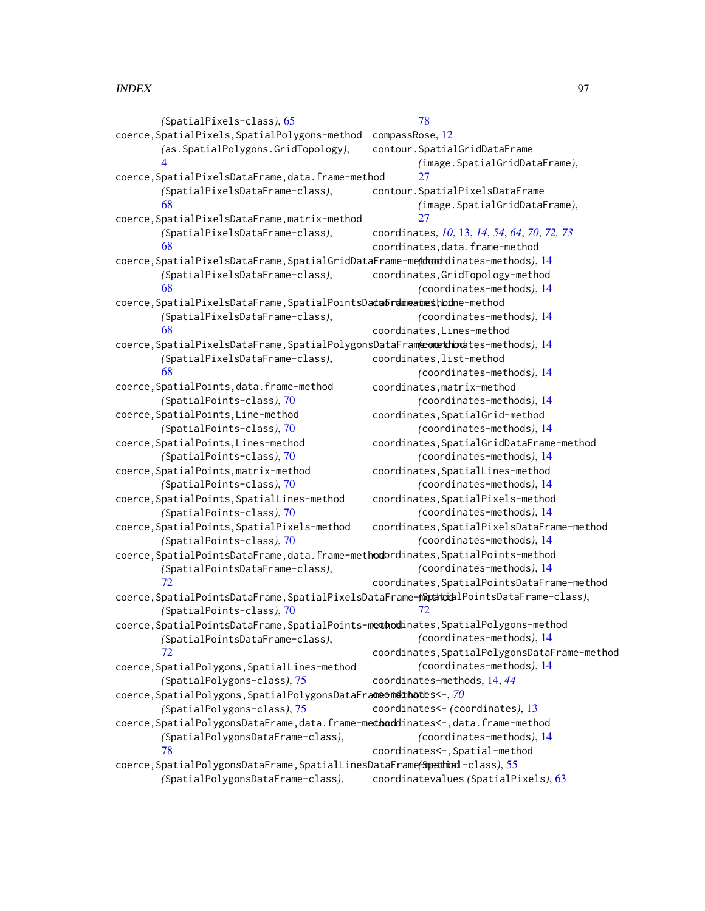*(*SpatialPixels-class*)*, [65](#page-64-0) coerce, SpatialPixels, SpatialPolygons-method compassRose, [12](#page-11-0) *(*as.SpatialPolygons.GridTopology*)*, [4](#page-3-0) coerce,SpatialPixelsDataFrame,data.frame-method *(*SpatialPixelsDataFrame-class*)*, [68](#page-67-0) coerce,SpatialPixelsDataFrame,matrix-method *(*SpatialPixelsDataFrame-class*)*, [68](#page-67-0) coerce,SpatialPixelsDataFrame,SpatialGridDataFrame-method *(*coordinates-methods*)*, [14](#page-13-0) *(*SpatialPixelsDataFrame-class*)*, [68](#page-67-0) coerce,SpatialPixelsDataFrame,SpatialPointsDa**ta&rdinaates**hodhe-method *(*SpatialPixelsDataFrame-class*)*, [68](#page-67-0) coerce,SpatialPixelsDataFrame,SpatialPolygonsDataFrame-method *(*coordinates-methods*)*, [14](#page-13-0) *(*SpatialPixelsDataFrame-class*)*, [68](#page-67-0) coerce,SpatialPoints,data.frame-method *(*SpatialPoints-class*)*, [70](#page-69-1) coerce,SpatialPoints,Line-method *(*SpatialPoints-class*)*, [70](#page-69-1) coerce,SpatialPoints,Lines-method *(*SpatialPoints-class*)*, [70](#page-69-1) coerce,SpatialPoints,matrix-method *(*SpatialPoints-class*)*, [70](#page-69-1) coerce,SpatialPoints,SpatialLines-method *(*SpatialPoints-class*)*, [70](#page-69-1) coerce,SpatialPoints,SpatialPixels-method *(*SpatialPoints-class*)*, [70](#page-69-1) coerce, SpatialPointsDataFrame, data.frame-methodordinates, SpatialPoints-method *(*SpatialPointsDataFrame-class*)*, [72](#page-71-0) coerce,SpatialPointsDataFrame,SpatialPixelsDataFrame-method *(*SpatialPointsDataFrame-class*)*, *(*SpatialPoints-class*)*, [70](#page-69-1) coerce, SpatialPointsDataFrame, SpatialPoints-methodinates, SpatialPolygons-method *(*SpatialPointsDataFrame-class*)*, [72](#page-71-0) coerce,SpatialPolygons,SpatialLines-method *(*SpatialPolygons-class*)*, [75](#page-74-1) coerce, SpatialPolygons, SpatialPolygonsDataFrameomethates<-, [70](#page-69-1) *(*SpatialPolygons-class*)*, [75](#page-74-1) coerce, SpatialPolygonsDataFrame, data.frame-methoddinates<-, data.frame-method *(*SpatialPolygonsDataFrame-class*)*, [78](#page-77-1) coerce,SpatialPolygonsDataFrame,SpatialLinesDataFrame<del>(Spedhical</del>-class),[55](#page-54-2) *(*SpatialPolygonsDataFrame-class*)*, [78](#page-77-1) contour.SpatialGridDataFrame *(*image.SpatialGridDataFrame*)*,  $27$ contour.SpatialPixelsDataFrame *(*image.SpatialGridDataFrame*)*, [27](#page-26-0) coordinates, *[10](#page-9-0)*, [13,](#page-12-1) *[14](#page-13-0)*, *[54](#page-53-0)*, *[64](#page-63-0)*, *[70](#page-69-1)*, *[72,](#page-71-0) [73](#page-72-0)* coordinates,data.frame-method coordinates,GridTopology-method *(*coordinates-methods*)*, [14](#page-13-0) *(*coordinates-methods*)*, [14](#page-13-0) coordinates,Lines-method coordinates,list-method *(*coordinates-methods*)*, [14](#page-13-0) coordinates,matrix-method *(*coordinates-methods*)*, [14](#page-13-0) coordinates,SpatialGrid-method *(*coordinates-methods*)*, [14](#page-13-0) coordinates,SpatialGridDataFrame-method *(*coordinates-methods*)*, [14](#page-13-0) coordinates,SpatialLines-method *(*coordinates-methods*)*, [14](#page-13-0) coordinates,SpatialPixels-method *(*coordinates-methods*)*, [14](#page-13-0) coordinates,SpatialPixelsDataFrame-method *(*coordinates-methods*)*, [14](#page-13-0) *(*coordinates-methods*)*, [14](#page-13-0) coordinates,SpatialPointsDataFrame-method [72](#page-71-0) *(*coordinates-methods*)*, [14](#page-13-0) coordinates, SpatialPolygonsDataFrame-method *(*coordinates-methods*)*, [14](#page-13-0) coordinates-methods, [14,](#page-13-0) *[44](#page-43-1)* coordinates<- *(*coordinates*)*, [13](#page-12-1) *(*coordinates-methods*)*, [14](#page-13-0) coordinates<-,Spatial-method coordinatevalues *(*SpatialPixels*)*, [63](#page-62-0)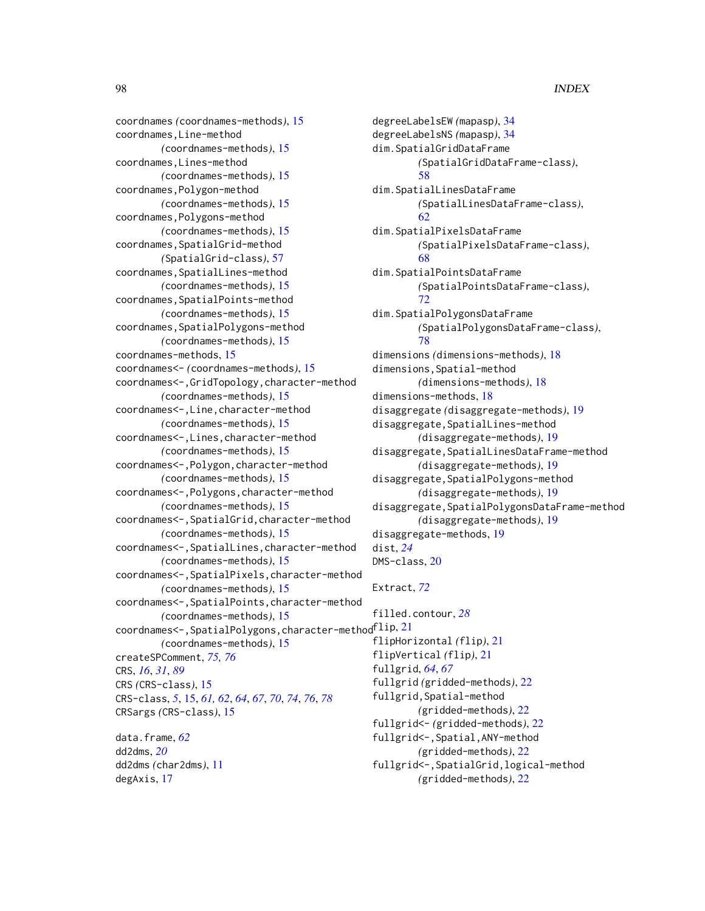coordnames *(*coordnames-methods*)*, [15](#page-14-2) coordnames,Line-method *(*coordnames-methods*)*, [15](#page-14-2) coordnames,Lines-method *(*coordnames-methods*)*, [15](#page-14-2) coordnames,Polygon-method *(*coordnames-methods*)*, [15](#page-14-2) coordnames,Polygons-method *(*coordnames-methods*)*, [15](#page-14-2) coordnames, SpatialGrid-method *(*SpatialGrid-class*)*, [57](#page-56-0) coordnames,SpatialLines-method *(*coordnames-methods*)*, [15](#page-14-2) coordnames,SpatialPoints-method *(*coordnames-methods*)*, [15](#page-14-2) coordnames, SpatialPolygons-method *(*coordnames-methods*)*, [15](#page-14-2) coordnames-methods, [15](#page-14-2) coordnames<- *(*coordnames-methods*)*, [15](#page-14-2) coordnames<-,GridTopology,character-method *(*coordnames-methods*)*, [15](#page-14-2) coordnames<-,Line,character-method *(*coordnames-methods*)*, [15](#page-14-2) coordnames<-,Lines,character-method *(*coordnames-methods*)*, [15](#page-14-2) coordnames<-,Polygon,character-method *(*coordnames-methods*)*, [15](#page-14-2) coordnames<-,Polygons,character-method *(*coordnames-methods*)*, [15](#page-14-2) coordnames<-,SpatialGrid,character-method *(*coordnames-methods*)*, [15](#page-14-2) coordnames<-,SpatialLines,character-method *(*coordnames-methods*)*, [15](#page-14-2) coordnames<-,SpatialPixels,character-method *(*coordnames-methods*)*, [15](#page-14-2) coordnames<-,SpatialPoints,character-method *(*coordnames-methods*)*, [15](#page-14-2) <code>coordnames $\le$ –</code>,<code>SpatialPolygons</code>,<code>character-method</code> f $\mathrm{lip}, 21$  $\mathrm{lip}, 21$ *(*coordnames-methods*)*, [15](#page-14-2) createSPComment, *[75,](#page-74-1) [76](#page-75-0)* CRS, *[16](#page-15-0)*, *[31](#page-30-0)*, *[89](#page-88-2)* CRS *(*CRS-class*)*, [15](#page-14-2) CRS-class, *[5](#page-4-0)*, [15,](#page-14-2) *[61,](#page-60-0) [62](#page-61-0)*, *[64](#page-63-0)*, *[67](#page-66-2)*, *[70](#page-69-1)*, *[74](#page-73-2)*, *[76](#page-75-0)*, *[78](#page-77-1)* CRSargs *(*CRS-class*)*, [15](#page-14-2) data.frame, *[62](#page-61-0)* dd2dms, *[20](#page-19-0)*

dd2dms *(*char2dms*)*, [11](#page-10-0) degAxis, [17](#page-16-0)

degreeLabelsEW *(*mapasp*)*, [34](#page-33-0) degreeLabelsNS *(*mapasp*)*, [34](#page-33-0) dim.SpatialGridDataFrame *(*SpatialGridDataFrame-class*)*, [58](#page-57-0) dim.SpatialLinesDataFrame *(*SpatialLinesDataFrame-class*)*, [62](#page-61-0) dim.SpatialPixelsDataFrame *(*SpatialPixelsDataFrame-class*)*, [68](#page-67-0) dim.SpatialPointsDataFrame *(*SpatialPointsDataFrame-class*)*, [72](#page-71-0) dim.SpatialPolygonsDataFrame *(*SpatialPolygonsDataFrame-class*)*, [78](#page-77-1) dimensions *(*dimensions-methods*)*, [18](#page-17-0) dimensions,Spatial-method *(*dimensions-methods*)*, [18](#page-17-0) dimensions-methods, [18](#page-17-0) disaggregate *(*disaggregate-methods*)*, [19](#page-18-0) disaggregate,SpatialLines-method *(*disaggregate-methods*)*, [19](#page-18-0) disaggregate,SpatialLinesDataFrame-method *(*disaggregate-methods*)*, [19](#page-18-0) disaggregate,SpatialPolygons-method *(*disaggregate-methods*)*, [19](#page-18-0) disaggregate, SpatialPolygonsDataFrame-method *(*disaggregate-methods*)*, [19](#page-18-0) disaggregate-methods, [19](#page-18-0) dist, *[24](#page-23-0)* DMS-class, [20](#page-19-0) Extract, *[72](#page-71-0)* filled.contour, *[28](#page-27-0)* flipHorizontal *(*flip*)*, [21](#page-20-0)

flipVertical *(*flip*)*, [21](#page-20-0) fullgrid, *[64](#page-63-0)*, *[67](#page-66-2)* fullgrid *(*gridded-methods*)*, [22](#page-21-0) fullgrid,Spatial-method *(*gridded-methods*)*, [22](#page-21-0) fullgrid<- *(*gridded-methods*)*, [22](#page-21-0) fullgrid<-,Spatial,ANY-method *(*gridded-methods*)*, [22](#page-21-0) fullgrid<-,SpatialGrid,logical-method

*(*gridded-methods*)*, [22](#page-21-0)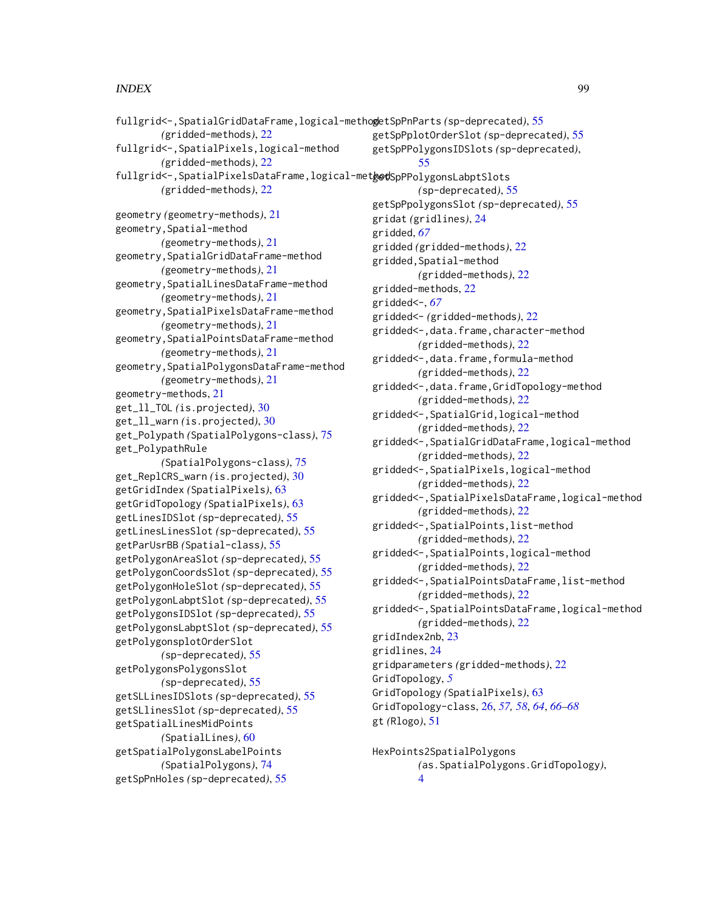*(*gridded-methods*)*, [22](#page-21-0) fullgrid<-,SpatialPixels,logical-method *(*gridded-methods*)*, [22](#page-21-0) fullgrid<-,SpatialPixelsDataFrame,logical-met**hodS**pPPolygonsLabptSlots *(*gridded-methods*)*, [22](#page-21-0) geometry *(*geometry-methods*)*, [21](#page-20-0) geometry,Spatial-method *(*geometry-methods*)*, [21](#page-20-0) geometry,SpatialGridDataFrame-method *(*geometry-methods*)*, [21](#page-20-0) geometry,SpatialLinesDataFrame-method *(*geometry-methods*)*, [21](#page-20-0) geometry,SpatialPixelsDataFrame-method *(*geometry-methods*)*, [21](#page-20-0) geometry,SpatialPointsDataFrame-method *(*geometry-methods*)*, [21](#page-20-0) geometry,SpatialPolygonsDataFrame-method *(*geometry-methods*)*, [21](#page-20-0) geometry-methods, [21](#page-20-0) get\_ll\_TOL *(*is.projected*)*, [30](#page-29-1) get\_ll\_warn *(*is.projected*)*, [30](#page-29-1) get\_Polypath *(*SpatialPolygons-class*)*, [75](#page-74-1) get\_PolypathRule *(*SpatialPolygons-class*)*, [75](#page-74-1) get\_ReplCRS\_warn *(*is.projected*)*, [30](#page-29-1) getGridIndex *(*SpatialPixels*)*, [63](#page-62-0) getGridTopology *(*SpatialPixels*)*, [63](#page-62-0) getLinesIDSlot *(*sp-deprecated*)*, [55](#page-54-2) getLinesLinesSlot *(*sp-deprecated*)*, [55](#page-54-2) getParUsrBB *(*Spatial-class*)*, [55](#page-54-2) getPolygonAreaSlot *(*sp-deprecated*)*, [55](#page-54-2) getPolygonCoordsSlot *(*sp-deprecated*)*, [55](#page-54-2) getPolygonHoleSlot *(*sp-deprecated*)*, [55](#page-54-2) getPolygonLabptSlot *(*sp-deprecated*)*, [55](#page-54-2) getPolygonsIDSlot *(*sp-deprecated*)*, [55](#page-54-2) getPolygonsLabptSlot *(*sp-deprecated*)*, [55](#page-54-2) getPolygonsplotOrderSlot *(*sp-deprecated*)*, [55](#page-54-2) getPolygonsPolygonsSlot *(*sp-deprecated*)*, [55](#page-54-2) getSLLinesIDSlots *(*sp-deprecated*)*, [55](#page-54-2) getSLlinesSlot *(*sp-deprecated*)*, [55](#page-54-2) getSpatialLinesMidPoints *(*SpatialLines*)*, [60](#page-59-0) getSpatialPolygonsLabelPoints *(*SpatialPolygons*)*, [74](#page-73-2) getSpPnHoles *(*sp-deprecated*)*, [55](#page-54-2)

getSpPplotOrderSlot *(*sp-deprecated*)*, [55](#page-54-2) getSpPPolygonsIDSlots *(*sp-deprecated*)*, [55](#page-54-2) *(*sp-deprecated*)*, [55](#page-54-2) getSpPpolygonsSlot *(*sp-deprecated*)*, [55](#page-54-2) gridat *(*gridlines*)*, [24](#page-23-0) gridded, *[67](#page-66-2)* gridded *(*gridded-methods*)*, [22](#page-21-0) gridded,Spatial-method *(*gridded-methods*)*, [22](#page-21-0) gridded-methods, [22](#page-21-0) gridded<-, *[67](#page-66-2)* gridded<- *(*gridded-methods*)*, [22](#page-21-0) gridded<-,data.frame,character-method *(*gridded-methods*)*, [22](#page-21-0) gridded<-,data.frame,formula-method *(*gridded-methods*)*, [22](#page-21-0) gridded<-,data.frame,GridTopology-method *(*gridded-methods*)*, [22](#page-21-0) gridded<-,SpatialGrid,logical-method *(*gridded-methods*)*, [22](#page-21-0) gridded<-,SpatialGridDataFrame,logical-method *(*gridded-methods*)*, [22](#page-21-0) gridded<-,SpatialPixels,logical-method *(*gridded-methods*)*, [22](#page-21-0) gridded<-,SpatialPixelsDataFrame,logical-method *(*gridded-methods*)*, [22](#page-21-0) gridded<-,SpatialPoints,list-method *(*gridded-methods*)*, [22](#page-21-0) gridded<-,SpatialPoints,logical-method *(*gridded-methods*)*, [22](#page-21-0) gridded<-,SpatialPointsDataFrame,list-method *(*gridded-methods*)*, [22](#page-21-0) gridded<-,SpatialPointsDataFrame,logical-method *(*gridded-methods*)*, [22](#page-21-0) gridIndex2nb, [23](#page-22-0) gridlines, [24](#page-23-0) gridparameters *(*gridded-methods*)*, [22](#page-21-0) GridTopology, *[5](#page-4-0)* GridTopology *(*SpatialPixels*)*, [63](#page-62-0) GridTopology-class, [26,](#page-25-0) *[57,](#page-56-0) [58](#page-57-0)*, *[64](#page-63-0)*, *[66](#page-65-0)[–68](#page-67-0)* gt *(*Rlogo*)*, [51](#page-50-0)

HexPoints2SpatialPolygons

*(*as.SpatialPolygons.GridTopology*)*,

```
4
```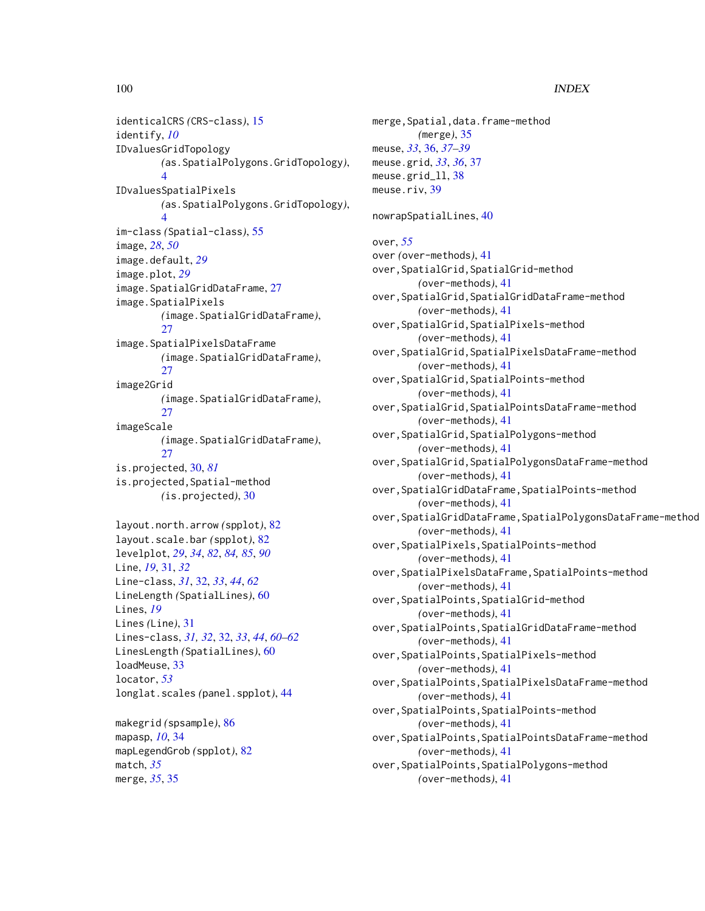identicalCRS *(*CRS-class*)*, [15](#page-14-2) identify, *[10](#page-9-0)* IDvaluesGridTopology *(*as.SpatialPolygons.GridTopology*)*, [4](#page-3-0) IDvaluesSpatialPixels *(*as.SpatialPolygons.GridTopology*)*, [4](#page-3-0) im-class *(*Spatial-class*)*, [55](#page-54-2) image, *[28](#page-27-0)*, *[50](#page-49-0)* image.default, *[29](#page-28-0)* image.plot, *[29](#page-28-0)* image.SpatialGridDataFrame, [27](#page-26-0) image.SpatialPixels *(*image.SpatialGridDataFrame*)*, [27](#page-26-0) image.SpatialPixelsDataFrame *(*image.SpatialGridDataFrame*)*, [27](#page-26-0) image2Grid *(*image.SpatialGridDataFrame*)*, [27](#page-26-0) imageScale *(*image.SpatialGridDataFrame*)*,  $27$ is.projected, [30,](#page-29-1) *[81](#page-80-0)* is.projected,Spatial-method *(*is.projected*)*, [30](#page-29-1) layout.north.arrow *(*spplot*)*, [82](#page-81-2) layout.scale.bar *(*spplot*)*, [82](#page-81-2) levelplot, *[29](#page-28-0)*, *[34](#page-33-0)*, *[82](#page-81-2)*, *[84,](#page-83-0) [85](#page-84-0)*, *[90](#page-89-0)* Line, *[19](#page-18-0)*, [31,](#page-30-0) *[32](#page-31-0)* Line-class, *[31](#page-30-0)*, [32,](#page-31-0) *[33](#page-32-0)*, *[44](#page-43-1)*, *[62](#page-61-0)* LineLength *(*SpatialLines*)*, [60](#page-59-0) Lines, *[19](#page-18-0)* Lines *(*Line*)*, [31](#page-30-0) Lines-class, *[31,](#page-30-0) [32](#page-31-0)*, [32,](#page-31-0) *[33](#page-32-0)*, *[44](#page-43-1)*, *[60–](#page-59-0)[62](#page-61-0)* LinesLength *(*SpatialLines*)*, [60](#page-59-0) loadMeuse, [33](#page-32-0) locator, *[53](#page-52-0)* longlat.scales *(*panel.spplot*)*, [44](#page-43-1) makegrid *(*spsample*)*, [86](#page-85-1)

```
mapasp, 10, 34
mapLegendGrob (spplot), 82
match, 35
merge, 35, 35
```
merge,Spatial,data.frame-method *(*merge*)*, [35](#page-34-0) meuse, *[33](#page-32-0)*, [36,](#page-35-0) *[37](#page-36-0)[–39](#page-38-0)* meuse.grid, *[33](#page-32-0)*, *[36](#page-35-0)*, [37](#page-36-0) meuse.grid\_ll, [38](#page-37-0) meuse.riv, [39](#page-38-0) nowrapSpatialLines, [40](#page-39-0) over, *[55](#page-54-2)* over *(*over-methods*)*, [41](#page-40-0) over,SpatialGrid,SpatialGrid-method *(*over-methods*)*, [41](#page-40-0) over,SpatialGrid,SpatialGridDataFrame-method *(*over-methods*)*, [41](#page-40-0) over,SpatialGrid,SpatialPixels-method *(*over-methods*)*, [41](#page-40-0) over,SpatialGrid,SpatialPixelsDataFrame-method *(*over-methods*)*, [41](#page-40-0) over,SpatialGrid,SpatialPoints-method *(*over-methods*)*, [41](#page-40-0) over,SpatialGrid,SpatialPointsDataFrame-method *(*over-methods*)*, [41](#page-40-0) over,SpatialGrid,SpatialPolygons-method *(*over-methods*)*, [41](#page-40-0) over,SpatialGrid,SpatialPolygonsDataFrame-method *(*over-methods*)*, [41](#page-40-0) over,SpatialGridDataFrame,SpatialPoints-method *(*over-methods*)*, [41](#page-40-0) over,SpatialGridDataFrame,SpatialPolygonsDataFrame-method *(*over-methods*)*, [41](#page-40-0) over,SpatialPixels,SpatialPoints-method *(*over-methods*)*, [41](#page-40-0) over,SpatialPixelsDataFrame,SpatialPoints-method *(*over-methods*)*, [41](#page-40-0) over,SpatialPoints,SpatialGrid-method *(*over-methods*)*, [41](#page-40-0) over,SpatialPoints,SpatialGridDataFrame-method *(*over-methods*)*, [41](#page-40-0) over,SpatialPoints,SpatialPixels-method *(*over-methods*)*, [41](#page-40-0) over,SpatialPoints,SpatialPixelsDataFrame-method *(*over-methods*)*, [41](#page-40-0) over,SpatialPoints,SpatialPoints-method *(*over-methods*)*, [41](#page-40-0) over,SpatialPoints,SpatialPointsDataFrame-method *(*over-methods*)*, [41](#page-40-0) over,SpatialPoints,SpatialPolygons-method *(*over-methods*)*, [41](#page-40-0)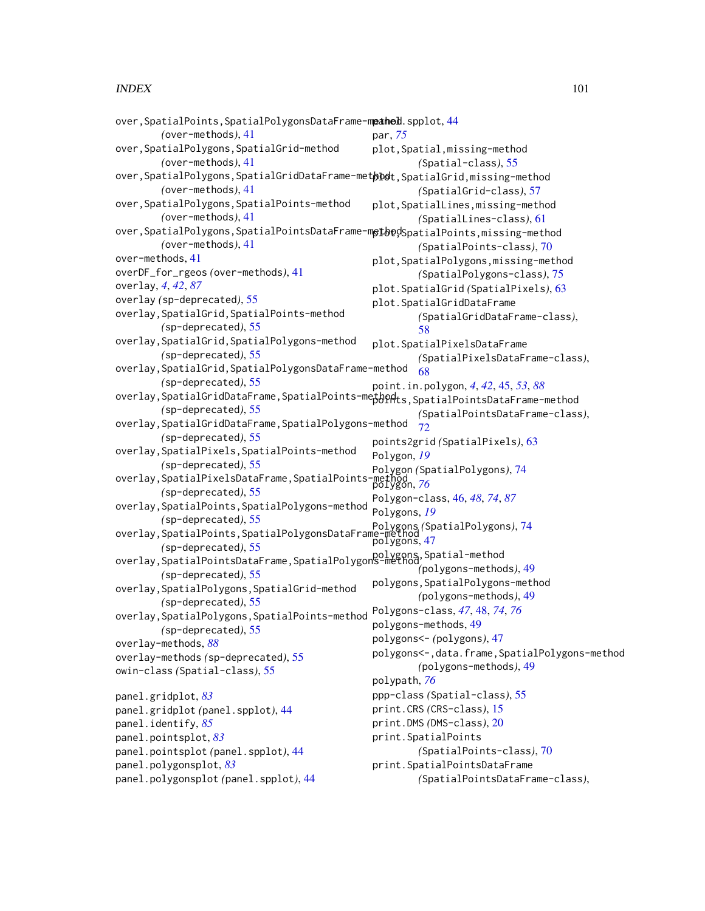#### $I$ NDEX  $101$

```
44
        (over-methods), 41
over,SpatialPolygons,SpatialGrid-method
        (over-methods), 41
over,SpatialPolygons,SpatialGridDataFrame-metþDøt,SpatialGrid,missing-method
        (over-methods), 41
over,SpatialPolygons,SpatialPoints-method
        (over-methods), 41
over,SpatialPolygons,SpatialPointsDataFrame-met<code>be</code>dSpatialPoints,missing-method
        (over-methods), 41
over-methods, 41
overDF_for_rgeos (over-methods), 41
overlay, 4, 42, 87
overlay (sp-deprecated), 55
overlay,SpatialGrid,SpatialPoints-method
        (sp-deprecated), 55
overlay,SpatialGrid,SpatialPolygons-method
        (sp-deprecated), 55
overlay,SpatialGrid,SpatialPolygonsDataFrame-method
        (sp-deprecated), 55
overlay, SpatialGridDataFrame, SpatialPoints-methodts, SpatialPointsDataFrame-method
        (sp-deprecated), 55
overlay,SpatialGridDataFrame,SpatialPolygons-method
        (sp-deprecated), 55
overlay,SpatialPixels,SpatialPoints-method
        (sp-deprecated), 55
overlay,SpatialPixelsDataFrame,SpatialPoints-method
polygon, 76
        (sp-deprecated), 55
overlay,SpatialPoints,SpatialPolygons-method
        (sp-deprecated), 55
overlay,SpatialPoints,SpatialPolygonsDataFrame-method
        (sp-deprecated), 55
overlay,SpatialPointsDataFrame,SpatialPolygons-method
polygons,Spatial-method
        (sp-deprecated), 55
overlay,SpatialPolygons,SpatialGrid-method
        (sp-deprecated), 55
overlay,SpatialPolygons,SpatialPoints-method
        (sp-deprecated), 55
overlay-methods, 88
overlay-methods (sp-deprecated), 55
owin-class (Spatial-class), 55
panel.gridplot, 83
panel.gridplot (panel.spplot), 44
panel.identify, 85
panel.pointsplot, 83
panel.pointsplot (panel.spplot), 44
panel.polygonsplot, 83
panel.polygonsplot (panel.spplot), 44
                                               par, 75
                                               plot,Spatial,missing-method
                                                       (Spatial-class), 55
                                                       (SpatialGrid-class), 57
                                               plot,SpatialLines,missing-method
                                                       (SpatialLines-class), 61
                                                       (SpatialPoints-class), 70
                                               plot,SpatialPolygons,missing-method
                                                       (SpatialPolygons-class), 75
                                               plot.SpatialGrid (SpatialPixels), 63
                                               plot.SpatialGridDataFrame
                                                       (SpatialGridDataFrame-class),
                                                       58
                                               plot.SpatialPixelsDataFrame
                                                       (SpatialPixelsDataFrame-class),
                                                       68
                                               point.in.polygon, 4, 42, 45, 53, 88
                                                       (SpatialPointsDataFrame-class),
                                                       72points2grid (SpatialPixels), 63
                                               Polygon, 19
                                               Polygon (SpatialPolygons), 74
                                               Polygon-class, 46, 48, 74, 87
                                               Polygons, 19
                                               Polygons (SpatialPolygons), 74
                                               polygons, 47
                                                       (polygons-methods), 49
                                               polygons,SpatialPolygons-method
                                                       (polygons-methods), 49
                                               Polygons-class, 47, 48, 74, 76
                                               polygons-methods, 49
                                               polygons<- (polygons), 47
                                               polygons<-,data.frame,SpatialPolygons-method
                                                       (polygons-methods), 49
                                               polypath, 76
                                               ppp-class (Spatial-class), 55
                                               print.CRS (CRS-class), 15
                                               print.DMS (DMS-class), 20
                                               print.SpatialPoints
                                                       (SpatialPoints-class), 70
                                               print.SpatialPointsDataFrame
                                                       (SpatialPointsDataFrame-class),
```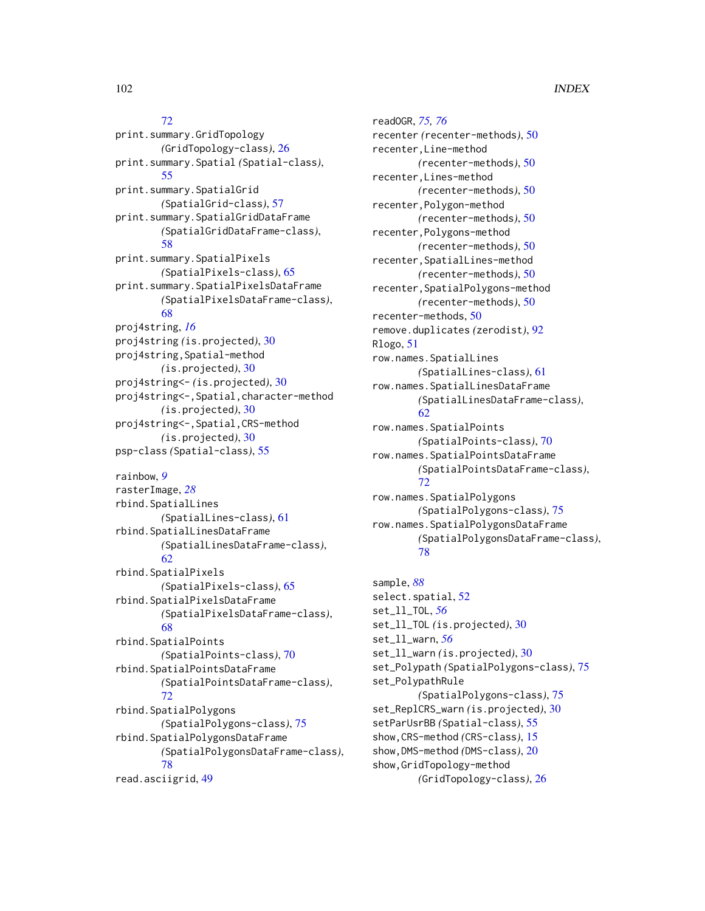#### [72](#page-71-0)

print.summary.GridTopology *(*GridTopology-class*)*, [26](#page-25-0) print.summary.Spatial *(*Spatial-class*)*, [55](#page-54-2) print.summary.SpatialGrid *(*SpatialGrid-class*)*, [57](#page-56-0) print.summary.SpatialGridDataFrame *(*SpatialGridDataFrame-class*)*, [58](#page-57-0) print.summary.SpatialPixels *(*SpatialPixels-class*)*, [65](#page-64-0) print.summary.SpatialPixelsDataFrame *(*SpatialPixelsDataFrame-class*)*, [68](#page-67-0) proj4string, *[16](#page-15-0)* proj4string *(*is.projected*)*, [30](#page-29-1) proj4string,Spatial-method *(*is.projected*)*, [30](#page-29-1) proj4string<- *(*is.projected*)*, [30](#page-29-1) proj4string<-,Spatial,character-method *(*is.projected*)*, [30](#page-29-1) proj4string<-,Spatial,CRS-method *(*is.projected*)*, [30](#page-29-1) psp-class *(*Spatial-class*)*, [55](#page-54-2) rainbow, *[9](#page-8-0)* rasterImage, *[28](#page-27-0)* rbind.SpatialLines *(*SpatialLines-class*)*, [61](#page-60-0) rbind.SpatialLinesDataFrame *(*SpatialLinesDataFrame-class*)*, [62](#page-61-0) rbind.SpatialPixels *(*SpatialPixels-class*)*, [65](#page-64-0) rbind.SpatialPixelsDataFrame *(*SpatialPixelsDataFrame-class*)*, [68](#page-67-0)

rbind.SpatialPoints *(*SpatialPoints-class*)*, [70](#page-69-1) rbind.SpatialPointsDataFrame *(*SpatialPointsDataFrame-class*)*, [72](#page-71-0) rbind.SpatialPolygons *(*SpatialPolygons-class*)*, [75](#page-74-1) rbind.SpatialPolygonsDataFrame *(*SpatialPolygonsDataFrame-class*)*, [78](#page-77-1) read.asciigrid, [49](#page-48-0)

readOGR, *[75,](#page-74-1) [76](#page-75-0)* recenter *(*recenter-methods*)*, [50](#page-49-0) recenter,Line-method *(*recenter-methods*)*, [50](#page-49-0) recenter,Lines-method *(*recenter-methods*)*, [50](#page-49-0) recenter,Polygon-method *(*recenter-methods*)*, [50](#page-49-0) recenter,Polygons-method *(*recenter-methods*)*, [50](#page-49-0) recenter,SpatialLines-method *(*recenter-methods*)*, [50](#page-49-0) recenter,SpatialPolygons-method *(*recenter-methods*)*, [50](#page-49-0) recenter-methods, [50](#page-49-0) remove.duplicates *(*zerodist*)*, [92](#page-91-0) Rlogo, [51](#page-50-0) row.names.SpatialLines *(*SpatialLines-class*)*, [61](#page-60-0) row.names.SpatialLinesDataFrame *(*SpatialLinesDataFrame-class*)*, [62](#page-61-0) row.names.SpatialPoints *(*SpatialPoints-class*)*, [70](#page-69-1) row.names.SpatialPointsDataFrame *(*SpatialPointsDataFrame-class*)*, [72](#page-71-0) row.names.SpatialPolygons *(*SpatialPolygons-class*)*, [75](#page-74-1) row.names.SpatialPolygonsDataFrame *(*SpatialPolygonsDataFrame-class*)*, [78](#page-77-1)

sample, *[88](#page-87-0)* select.spatial, [52](#page-51-0) set\_ll\_TOL, *[56](#page-55-0)* set\_ll\_TOL *(*is.projected*)*, [30](#page-29-1) set\_ll\_warn, *[56](#page-55-0)* set\_ll\_warn *(*is.projected*)*, [30](#page-29-1) set\_Polypath *(*SpatialPolygons-class*)*, [75](#page-74-1) set\_PolypathRule *(*SpatialPolygons-class*)*, [75](#page-74-1) set\_ReplCRS\_warn *(*is.projected*)*, [30](#page-29-1) setParUsrBB *(*Spatial-class*)*, [55](#page-54-2) show,CRS-method *(*CRS-class*)*, [15](#page-14-2) show,DMS-method *(*DMS-class*)*, [20](#page-19-0) show,GridTopology-method *(*GridTopology-class*)*, [26](#page-25-0)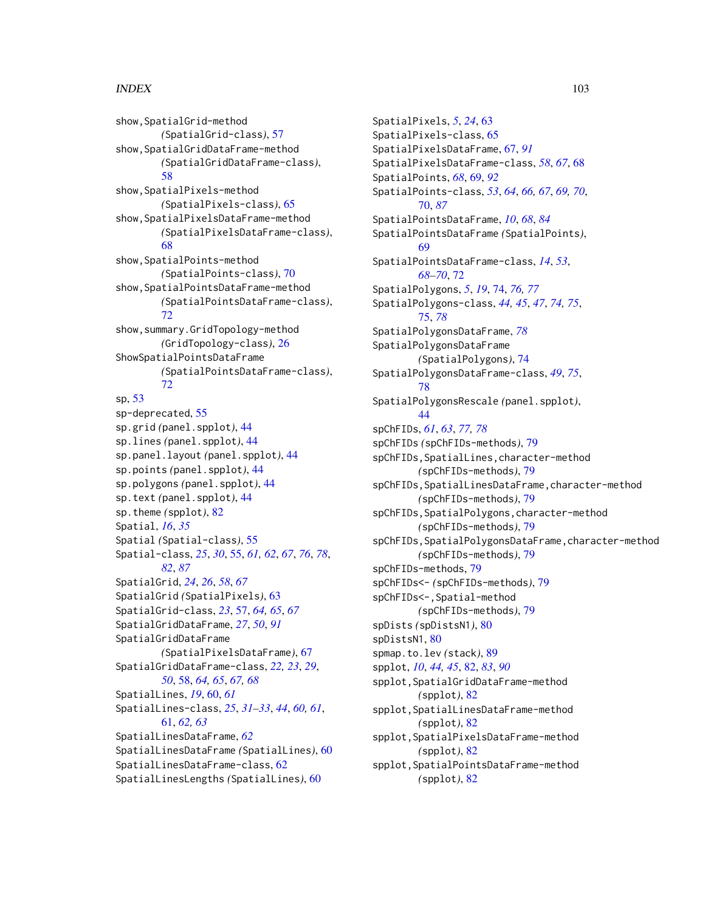# INDEX  $103$

show,SpatialGrid-method *(*SpatialGrid-class*)*, [57](#page-56-0) show,SpatialGridDataFrame-method *(*SpatialGridDataFrame-class*)*, [58](#page-57-0) show,SpatialPixels-method *(*SpatialPixels-class*)*, [65](#page-64-0) show,SpatialPixelsDataFrame-method *(*SpatialPixelsDataFrame-class*)*, [68](#page-67-0) show,SpatialPoints-method *(*SpatialPoints-class*)*, [70](#page-69-1) show,SpatialPointsDataFrame-method *(*SpatialPointsDataFrame-class*)*, [72](#page-71-0) show,summary.GridTopology-method *(*GridTopology-class*)*, [26](#page-25-0) ShowSpatialPointsDataFrame *(*SpatialPointsDataFrame-class*)*, [72](#page-71-0) sp, [53](#page-52-0) sp-deprecated, [55](#page-54-2) sp.grid *(*panel.spplot*)*, [44](#page-43-1) sp.lines *(*panel.spplot*)*, [44](#page-43-1) sp.panel.layout *(*panel.spplot*)*, [44](#page-43-1) sp.points *(*panel.spplot*)*, [44](#page-43-1) sp.polygons *(*panel.spplot*)*, [44](#page-43-1) sp.text *(*panel.spplot*)*, [44](#page-43-1) sp.theme *(*spplot*)*, [82](#page-81-2) Spatial, *[16](#page-15-0)*, *[35](#page-34-0)* Spatial *(*Spatial-class*)*, [55](#page-54-2) Spatial-class, *[25](#page-24-0)*, *[30](#page-29-1)*, [55,](#page-54-2) *[61,](#page-60-0) [62](#page-61-0)*, *[67](#page-66-2)*, *[76](#page-75-0)*, *[78](#page-77-1)*, *[82](#page-81-2)*, *[87](#page-86-0)* SpatialGrid, *[24](#page-23-0)*, *[26](#page-25-0)*, *[58](#page-57-0)*, *[67](#page-66-2)* SpatialGrid *(*SpatialPixels*)*, [63](#page-62-0) SpatialGrid-class, *[23](#page-22-0)*, [57,](#page-56-0) *[64,](#page-63-0) [65](#page-64-0)*, *[67](#page-66-2)* SpatialGridDataFrame, *[27](#page-26-0)*, *[50](#page-49-0)*, *[91](#page-90-0)* SpatialGridDataFrame *(*SpatialPixelsDataFrame*)*, [67](#page-66-2) SpatialGridDataFrame-class, *[22,](#page-21-0) [23](#page-22-0)*, *[29](#page-28-0)*, *[50](#page-49-0)*, [58,](#page-57-0) *[64,](#page-63-0) [65](#page-64-0)*, *[67,](#page-66-2) [68](#page-67-0)* SpatialLines, *[19](#page-18-0)*, [60,](#page-59-0) *[61](#page-60-0)* SpatialLines-class, *[25](#page-24-0)*, *[31–](#page-30-0)[33](#page-32-0)*, *[44](#page-43-1)*, *[60,](#page-59-0) [61](#page-60-0)*, [61,](#page-60-0) *[62,](#page-61-0) [63](#page-62-0)* SpatialLinesDataFrame, *[62](#page-61-0)* SpatialLinesDataFrame *(*SpatialLines*)*, [60](#page-59-0) SpatialLinesDataFrame-class, [62](#page-61-0) SpatialLinesLengths *(*SpatialLines*)*, [60](#page-59-0)

SpatialPixels, *[5](#page-4-0)*, *[24](#page-23-0)*, [63](#page-62-0) SpatialPixels-class, [65](#page-64-0) SpatialPixelsDataFrame, [67,](#page-66-2) *[91](#page-90-0)* SpatialPixelsDataFrame-class, *[58](#page-57-0)*, *[67](#page-66-2)*, [68](#page-67-0) SpatialPoints, *[68](#page-67-0)*, [69,](#page-68-2) *[92](#page-91-0)* SpatialPoints-class, *[53](#page-52-0)*, *[64](#page-63-0)*, *[66,](#page-65-0) [67](#page-66-2)*, *[69,](#page-68-2) [70](#page-69-1)*, [70,](#page-69-1) *[87](#page-86-0)* SpatialPointsDataFrame, *[10](#page-9-0)*, *[68](#page-67-0)*, *[84](#page-83-0)* SpatialPointsDataFrame *(*SpatialPoints*)*, [69](#page-68-2) SpatialPointsDataFrame-class, *[14](#page-13-0)*, *[53](#page-52-0)*, *[68](#page-67-0)[–70](#page-69-1)*, [72](#page-71-0) SpatialPolygons, *[5](#page-4-0)*, *[19](#page-18-0)*, [74,](#page-73-2) *[76,](#page-75-0) [77](#page-76-0)* SpatialPolygons-class, *[44,](#page-43-1) [45](#page-44-1)*, *[47](#page-46-0)*, *[74,](#page-73-2) [75](#page-74-1)*, [75,](#page-74-1) *[78](#page-77-1)* SpatialPolygonsDataFrame, *[78](#page-77-1)* SpatialPolygonsDataFrame *(*SpatialPolygons*)*, [74](#page-73-2) SpatialPolygonsDataFrame-class, *[49](#page-48-0)*, *[75](#page-74-1)*, [78](#page-77-1) SpatialPolygonsRescale *(*panel.spplot*)*, [44](#page-43-1) spChFIDs, *[61](#page-60-0)*, *[63](#page-62-0)*, *[77,](#page-76-0) [78](#page-77-1)* spChFIDs *(*spChFIDs-methods*)*, [79](#page-78-1) spChFIDs,SpatialLines,character-method *(*spChFIDs-methods*)*, [79](#page-78-1) spChFIDs,SpatialLinesDataFrame,character-method *(*spChFIDs-methods*)*, [79](#page-78-1) spChFIDs,SpatialPolygons,character-method *(*spChFIDs-methods*)*, [79](#page-78-1) spChFIDs,SpatialPolygonsDataFrame,character-method *(*spChFIDs-methods*)*, [79](#page-78-1) spChFIDs-methods, [79](#page-78-1) spChFIDs<- *(*spChFIDs-methods*)*, [79](#page-78-1) spChFIDs<-,Spatial-method *(*spChFIDs-methods*)*, [79](#page-78-1) spDists *(*spDistsN1*)*, [80](#page-79-0) spDistsN1, [80](#page-79-0) spmap.to.lev *(*stack*)*, [89](#page-88-2) spplot, *[10](#page-9-0)*, *[44,](#page-43-1) [45](#page-44-1)*, [82,](#page-81-2) *[83](#page-82-0)*, *[90](#page-89-0)* spplot,SpatialGridDataFrame-method *(*spplot*)*, [82](#page-81-2) spplot,SpatialLinesDataFrame-method *(*spplot*)*, [82](#page-81-2) spplot,SpatialPixelsDataFrame-method *(*spplot*)*, [82](#page-81-2) spplot,SpatialPointsDataFrame-method *(*spplot*)*, [82](#page-81-2)